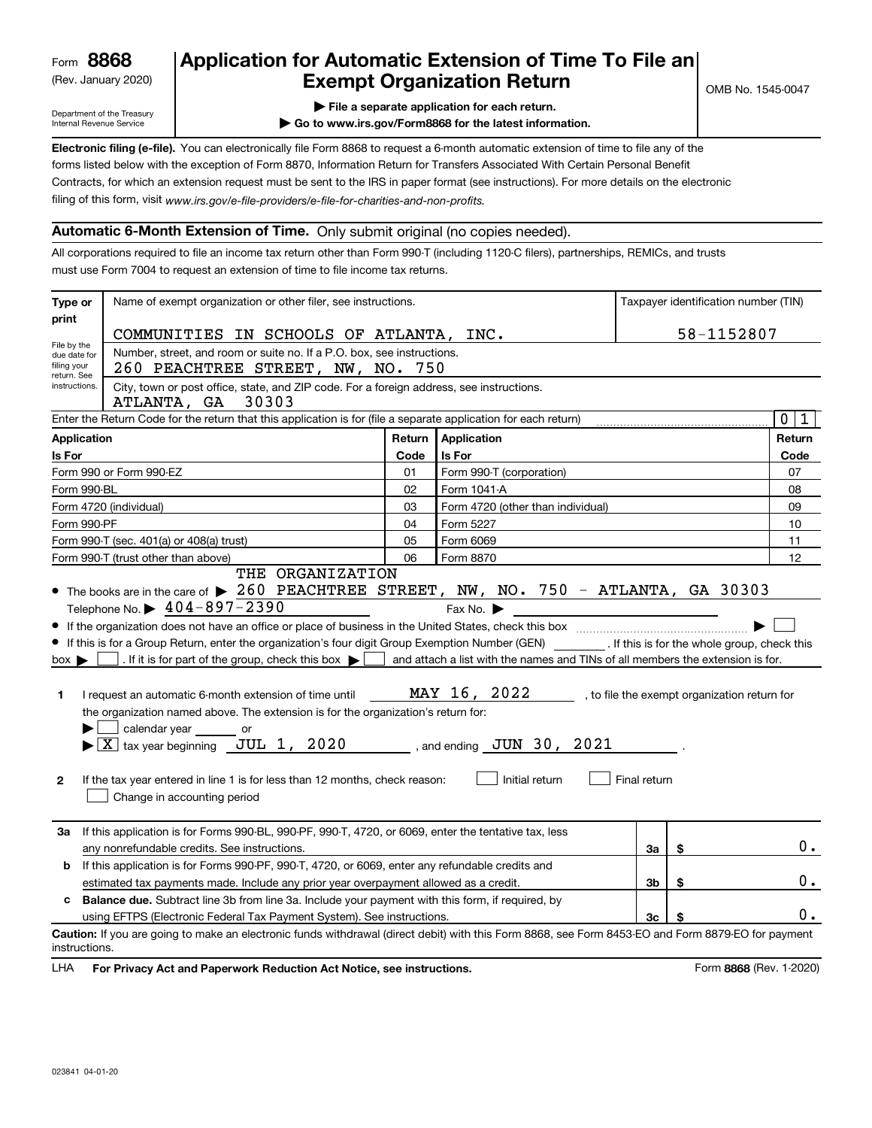(Rev. January 2020)

# **Application for Automatic Extension of Time To File an Exempt Organization Return**

Department of the Treasury Internal Revenue Service

**| File a separate application for each return.**

**| Go to www.irs.gov/Form8868 for the latest information.**

**Electronic filing (e-file).**  You can electronically file Form 8868 to request a 6-month automatic extension of time to file any of the filing of this form, visit www.irs.gov/e-file-providers/e-file-for-charities-and-non-profits. forms listed below with the exception of Form 8870, Information Return for Transfers Associated With Certain Personal Benefit Contracts, for which an extension request must be sent to the IRS in paper format (see instructions). For more details on the electronic

# **Automatic 6-Month Extension of Time.** Only submit original (no copies needed).

All corporations required to file an income tax return other than Form 990-T (including 1120-C filers), partnerships, REMICs, and trusts must use Form 7004 to request an extension of time to file income tax returns.

| Type or                                                                                                                           | Name of exempt organization or other filer, see instructions.                                                                                                                                                                                                                                                                                                                                                                                                                                                                                                                                                                                                                                                                                                                                                                                                                                                                                                                                             |        |                                   |    |    | Taxpayer identification number (TIN) |  |
|-----------------------------------------------------------------------------------------------------------------------------------|-----------------------------------------------------------------------------------------------------------------------------------------------------------------------------------------------------------------------------------------------------------------------------------------------------------------------------------------------------------------------------------------------------------------------------------------------------------------------------------------------------------------------------------------------------------------------------------------------------------------------------------------------------------------------------------------------------------------------------------------------------------------------------------------------------------------------------------------------------------------------------------------------------------------------------------------------------------------------------------------------------------|--------|-----------------------------------|----|----|--------------------------------------|--|
| print                                                                                                                             |                                                                                                                                                                                                                                                                                                                                                                                                                                                                                                                                                                                                                                                                                                                                                                                                                                                                                                                                                                                                           |        |                                   |    |    |                                      |  |
| File by the                                                                                                                       | COMMUNITIES IN SCHOOLS OF ATLANTA, INC.                                                                                                                                                                                                                                                                                                                                                                                                                                                                                                                                                                                                                                                                                                                                                                                                                                                                                                                                                                   |        |                                   |    |    | 58-1152807                           |  |
| due date for<br>filing your<br>return. See                                                                                        | Number, street, and room or suite no. If a P.O. box, see instructions.<br>260 PEACHTREE STREET, NW, NO. 750                                                                                                                                                                                                                                                                                                                                                                                                                                                                                                                                                                                                                                                                                                                                                                                                                                                                                               |        |                                   |    |    |                                      |  |
| City, town or post office, state, and ZIP code. For a foreign address, see instructions.<br>instructions.<br>ATLANTA, GA<br>30303 |                                                                                                                                                                                                                                                                                                                                                                                                                                                                                                                                                                                                                                                                                                                                                                                                                                                                                                                                                                                                           |        |                                   |    |    |                                      |  |
| Enter the Return Code for the return that this application is for (file a separate application for each return)                   |                                                                                                                                                                                                                                                                                                                                                                                                                                                                                                                                                                                                                                                                                                                                                                                                                                                                                                                                                                                                           |        |                                   |    |    | $\mathbf 0$<br>1                     |  |
| <b>Application</b>                                                                                                                |                                                                                                                                                                                                                                                                                                                                                                                                                                                                                                                                                                                                                                                                                                                                                                                                                                                                                                                                                                                                           | Return | Application                       |    |    | Return                               |  |
| Is For                                                                                                                            |                                                                                                                                                                                                                                                                                                                                                                                                                                                                                                                                                                                                                                                                                                                                                                                                                                                                                                                                                                                                           | Code   | Is For                            |    |    | Code                                 |  |
|                                                                                                                                   | Form 990 or Form 990-EZ                                                                                                                                                                                                                                                                                                                                                                                                                                                                                                                                                                                                                                                                                                                                                                                                                                                                                                                                                                                   | 01     | Form 990-T (corporation)          |    |    | 07                                   |  |
| Form 990-BL                                                                                                                       |                                                                                                                                                                                                                                                                                                                                                                                                                                                                                                                                                                                                                                                                                                                                                                                                                                                                                                                                                                                                           | 02     | Form 1041-A                       |    |    | 08                                   |  |
|                                                                                                                                   | Form 4720 (individual)                                                                                                                                                                                                                                                                                                                                                                                                                                                                                                                                                                                                                                                                                                                                                                                                                                                                                                                                                                                    | 03     | Form 4720 (other than individual) |    |    | 09                                   |  |
| Form 990-PF                                                                                                                       |                                                                                                                                                                                                                                                                                                                                                                                                                                                                                                                                                                                                                                                                                                                                                                                                                                                                                                                                                                                                           | 04     | Form 5227                         |    |    | 10                                   |  |
|                                                                                                                                   | Form 990-T (sec. 401(a) or 408(a) trust)                                                                                                                                                                                                                                                                                                                                                                                                                                                                                                                                                                                                                                                                                                                                                                                                                                                                                                                                                                  | 05     | Form 6069                         |    |    | 11                                   |  |
|                                                                                                                                   | Form 990-T (trust other than above)<br>THE ORGANIZATION                                                                                                                                                                                                                                                                                                                                                                                                                                                                                                                                                                                                                                                                                                                                                                                                                                                                                                                                                   | 06     | Form 8870                         |    |    | 12                                   |  |
| $box \blacktriangleright$<br>1<br>$\mathbf{2}$                                                                                    | • The books are in the care of > 260 PEACHTREE STREET, NW, NO. 750 - ATLANTA, GA 30303<br>Telephone No. $\triangleright$ 404-897-2390<br>Fax No. $\blacktriangleright$<br>If this is for a Group Return, enter the organization's four digit Group Exemption Number (GEN) [f this is for the whole group, check this<br>. If it is for part of the group, check this box $\blacktriangleright$<br>and attach a list with the names and TINs of all members the extension is for.<br>MAY 16, 2022<br>I request an automatic 6-month extension of time until<br>, to file the exempt organization return for<br>the organization named above. The extension is for the organization's return for:<br>calendar year<br>or<br>$\blacktriangleright$ $\boxed{\text{X}}$ tax year beginning JUL 1, 2020<br>$\sim$ , and ending $\overline{\text{JUN}}$ 30, 2021<br>Initial return<br>If the tax year entered in line 1 is for less than 12 months, check reason:<br>Final return<br>Change in accounting period |        |                                   |    |    |                                      |  |
| За                                                                                                                                | If this application is for Forms 990-BL, 990-PF, 990-T, 4720, or 6069, enter the tentative tax, less<br>any nonrefundable credits. See instructions.                                                                                                                                                                                                                                                                                                                                                                                                                                                                                                                                                                                                                                                                                                                                                                                                                                                      |        |                                   | За | \$ | 0.                                   |  |
| b                                                                                                                                 | If this application is for Forms 990-PF, 990-T, 4720, or 6069, enter any refundable credits and                                                                                                                                                                                                                                                                                                                                                                                                                                                                                                                                                                                                                                                                                                                                                                                                                                                                                                           |        |                                   |    |    |                                      |  |
|                                                                                                                                   | estimated tax payments made. Include any prior year overpayment allowed as a credit.                                                                                                                                                                                                                                                                                                                                                                                                                                                                                                                                                                                                                                                                                                                                                                                                                                                                                                                      |        |                                   | 3b | \$ | 0.                                   |  |
|                                                                                                                                   | c Balance due. Subtract line 3b from line 3a. Include your payment with this form, if required, by                                                                                                                                                                                                                                                                                                                                                                                                                                                                                                                                                                                                                                                                                                                                                                                                                                                                                                        |        |                                   |    |    |                                      |  |
|                                                                                                                                   | using EFTPS (Electronic Federal Tax Payment System). See instructions.                                                                                                                                                                                                                                                                                                                                                                                                                                                                                                                                                                                                                                                                                                                                                                                                                                                                                                                                    |        |                                   | 3c | \$ | υ.                                   |  |
| instructions.                                                                                                                     | Caution: If you are going to make an electronic funds withdrawal (direct debit) with this Form 8868, see Form 8453-EO and Form 8879-EO for payment                                                                                                                                                                                                                                                                                                                                                                                                                                                                                                                                                                                                                                                                                                                                                                                                                                                        |        |                                   |    |    |                                      |  |

**HA** For Privacy Act and Paperwork Reduction Act Notice, see instructions. **But a struction of the Constantion Constant** Form 8868 (Rev. 1-2020) LHA

OMB No. 1545-0047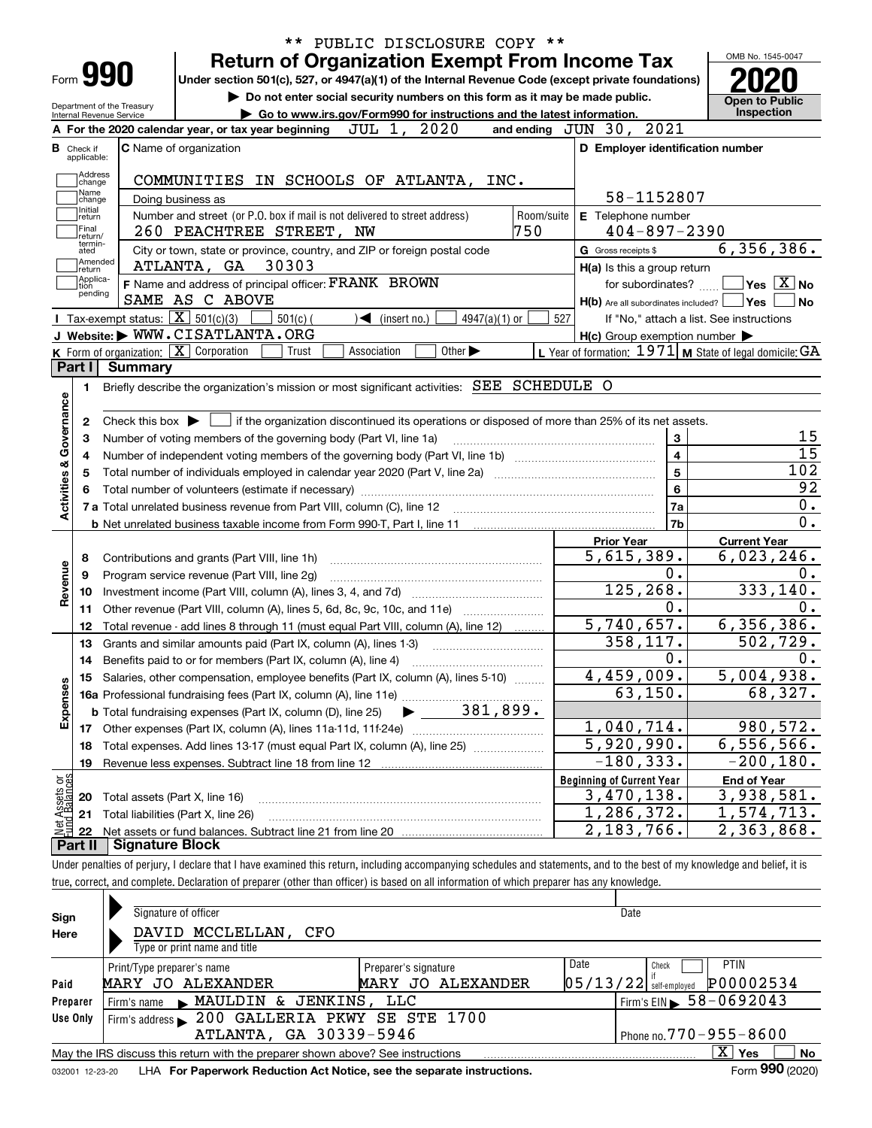|                                                  | Form 990                                               |         |                                                                                                        |                                                                          |             |                            |                             |                 |                   | <b>Return of Organization Exempt From Income Tax</b><br>Under section 501(c), 527, or 4947(a)(1) of the Internal Revenue Code (except private foundations)<br>Do not enter social security numbers on this form as it may be made public. |                         | OMB No. 1545-0047                                                                                                        |
|--------------------------------------------------|--------------------------------------------------------|---------|--------------------------------------------------------------------------------------------------------|--------------------------------------------------------------------------|-------------|----------------------------|-----------------------------|-----------------|-------------------|-------------------------------------------------------------------------------------------------------------------------------------------------------------------------------------------------------------------------------------------|-------------------------|--------------------------------------------------------------------------------------------------------------------------|
|                                                  | Department of the Treasury<br>Internal Revenue Service |         |                                                                                                        | ► Go to www.irs.gov/Form990 for instructions and the latest information. |             |                            |                             |                 |                   |                                                                                                                                                                                                                                           |                         | <b>Open to Public</b><br><b>Inspection</b>                                                                               |
|                                                  |                                                        |         | A For the 2020 calendar year, or tax year beginning                                                    |                                                                          | JUL 1,      |                            | 2020                        |                 |                   | and ending JUN 30, 2021                                                                                                                                                                                                                   |                         |                                                                                                                          |
|                                                  | <b>B</b> Check if<br>applicable:                       |         | <b>C</b> Name of organization                                                                          |                                                                          |             |                            |                             |                 |                   | D Employer identification number                                                                                                                                                                                                          |                         |                                                                                                                          |
|                                                  | Address<br>change<br>Name                              |         | COMMUNITIES IN SCHOOLS OF ATLANTA, INC.                                                                |                                                                          |             |                            |                             |                 |                   |                                                                                                                                                                                                                                           |                         |                                                                                                                          |
|                                                  | change<br>Initial                                      |         | Doing business as                                                                                      |                                                                          |             |                            |                             |                 |                   | 58-1152807                                                                                                                                                                                                                                |                         |                                                                                                                          |
|                                                  | return<br> Final<br>Ireturn/                           |         | Number and street (or P.O. box if mail is not delivered to street address)<br>260 PEACHTREE STREET, NW |                                                                          |             |                            |                             |                 | Room/suite<br>750 | E Telephone number<br>$404 - 897 - 2390$                                                                                                                                                                                                  |                         |                                                                                                                          |
|                                                  | termin-<br>ated<br> Amended<br>∣return                 |         | City or town, state or province, country, and ZIP or foreign postal code<br>ATLANTA, GA                | 30303                                                                    |             |                            |                             |                 |                   | G Gross receipts \$<br>H(a) Is this a group return                                                                                                                                                                                        |                         | 6, 356, 386.                                                                                                             |
|                                                  | Applica-<br>tion                                       |         | F Name and address of principal officer: FRANK BROWN                                                   |                                                                          |             |                            |                             |                 |                   | for subordinates?                                                                                                                                                                                                                         |                         | $\Box$ Yes $\Box X$ No                                                                                                   |
|                                                  | pending                                                |         | SAME AS C ABOVE                                                                                        |                                                                          |             |                            |                             |                 |                   | $H(b)$ Are all subordinates included? $\Box$ Yes                                                                                                                                                                                          |                         | l No                                                                                                                     |
|                                                  |                                                        |         | Tax-exempt status: $\boxed{\mathbf{X}}$ 501(c)(3)                                                      | $501(c)$ (                                                               |             | $\mathcal{L}$ (insert no.) |                             | $4947(a)(1)$ or | 527               |                                                                                                                                                                                                                                           |                         | If "No," attach a list. See instructions                                                                                 |
|                                                  |                                                        |         | J Website: WWW.CISATLANTA.ORG                                                                          |                                                                          |             |                            |                             |                 |                   | $H(c)$ Group exemption number $\blacktriangleright$                                                                                                                                                                                       |                         |                                                                                                                          |
|                                                  |                                                        |         | <b>K</b> Form of organization: $\boxed{\mathbf{X}}$ Corporation                                        | Trust                                                                    | Association |                            | Other $\blacktriangleright$ |                 |                   | L Year of formation: $1971$ M State of legal domicile: GA                                                                                                                                                                                 |                         |                                                                                                                          |
|                                                  | Part I                                                 | Summary |                                                                                                        |                                                                          |             |                            |                             |                 |                   |                                                                                                                                                                                                                                           |                         |                                                                                                                          |
|                                                  |                                                        |         |                                                                                                        |                                                                          |             |                            |                             |                 |                   |                                                                                                                                                                                                                                           |                         |                                                                                                                          |
|                                                  | 1.                                                     |         | Briefly describe the organization's mission or most significant activities: SEE SCHEDULE O             |                                                                          |             |                            |                             |                 |                   |                                                                                                                                                                                                                                           |                         |                                                                                                                          |
| Activities & Governance                          | 2                                                      |         | Check this box $\blacktriangleright$ $\Box$                                                            |                                                                          |             |                            |                             |                 |                   | if the organization discontinued its operations or disposed of more than 25% of its net assets.                                                                                                                                           |                         |                                                                                                                          |
|                                                  | З                                                      |         | Number of voting members of the governing body (Part VI, line 1a)                                      |                                                                          |             |                            |                             |                 |                   |                                                                                                                                                                                                                                           | $\mathbf 3$             |                                                                                                                          |
|                                                  | 4                                                      |         |                                                                                                        |                                                                          |             |                            |                             |                 |                   |                                                                                                                                                                                                                                           | $\overline{\mathbf{4}}$ |                                                                                                                          |
|                                                  | 5                                                      |         |                                                                                                        |                                                                          |             |                            |                             |                 |                   |                                                                                                                                                                                                                                           | $5\phantom{a}$          | 102                                                                                                                      |
|                                                  |                                                        |         |                                                                                                        |                                                                          |             |                            |                             |                 |                   |                                                                                                                                                                                                                                           | 6                       |                                                                                                                          |
|                                                  |                                                        |         |                                                                                                        |                                                                          |             |                            |                             |                 |                   |                                                                                                                                                                                                                                           | 7a                      |                                                                                                                          |
|                                                  |                                                        |         |                                                                                                        |                                                                          |             |                            |                             |                 |                   |                                                                                                                                                                                                                                           |                         |                                                                                                                          |
|                                                  |                                                        |         |                                                                                                        |                                                                          |             |                            |                             |                 |                   |                                                                                                                                                                                                                                           | 7b                      |                                                                                                                          |
|                                                  | 8                                                      |         |                                                                                                        |                                                                          |             |                            |                             |                 |                   | <b>Prior Year</b>                                                                                                                                                                                                                         |                         | <b>Current Year</b>                                                                                                      |
|                                                  | 9                                                      |         |                                                                                                        | Contributions and grants (Part VIII, line 1h)                            |             |                            |                             |                 |                   | 5,615,389.                                                                                                                                                                                                                                |                         |                                                                                                                          |
|                                                  |                                                        |         | Program service revenue (Part VIII, line 2g)                                                           |                                                                          |             |                            |                             |                 |                   |                                                                                                                                                                                                                                           | 0.                      |                                                                                                                          |
|                                                  | 10                                                     |         |                                                                                                        |                                                                          |             |                            |                             |                 |                   | 125, 268.                                                                                                                                                                                                                                 |                         |                                                                                                                          |
|                                                  | 11                                                     |         | Other revenue (Part VIII, column (A), lines 5, 6d, 8c, 9c, 10c, and 11e)                               |                                                                          |             |                            |                             |                 |                   |                                                                                                                                                                                                                                           | $0$ .                   |                                                                                                                          |
|                                                  | 12                                                     |         | Total revenue - add lines 8 through 11 (must equal Part VIII, column (A), line 12)                     |                                                                          |             |                            |                             |                 |                   | 5,740,657.                                                                                                                                                                                                                                |                         |                                                                                                                          |
|                                                  | 13                                                     |         | Grants and similar amounts paid (Part IX, column (A), lines 1-3)                                       |                                                                          |             |                            |                             |                 |                   | 358, 117.                                                                                                                                                                                                                                 |                         |                                                                                                                          |
|                                                  | 14                                                     |         |                                                                                                        |                                                                          |             |                            |                             |                 |                   |                                                                                                                                                                                                                                           | 0.                      |                                                                                                                          |
|                                                  |                                                        |         | 15 Salaries, other compensation, employee benefits (Part IX, column (A), lines 5-10)                   |                                                                          |             |                            |                             |                 |                   | 4,459,009.                                                                                                                                                                                                                                |                         |                                                                                                                          |
|                                                  |                                                        |         |                                                                                                        |                                                                          |             |                            |                             |                 |                   | 63, 150.                                                                                                                                                                                                                                  |                         |                                                                                                                          |
|                                                  |                                                        |         | <b>b</b> Total fundraising expenses (Part IX, column (D), line 25)                                     |                                                                          |             |                            |                             | 381,899.        |                   |                                                                                                                                                                                                                                           |                         |                                                                                                                          |
|                                                  | 17                                                     |         |                                                                                                        |                                                                          |             |                            |                             |                 |                   | 1,040,714.                                                                                                                                                                                                                                |                         |                                                                                                                          |
|                                                  | 18                                                     |         | Total expenses. Add lines 13-17 (must equal Part IX, column (A), line 25) [                            |                                                                          |             |                            |                             |                 |                   | 5,920,990.                                                                                                                                                                                                                                |                         |                                                                                                                          |
|                                                  | 19                                                     |         |                                                                                                        |                                                                          |             |                            |                             |                 |                   | $-180, 333.$                                                                                                                                                                                                                              |                         | 6,023,246.<br>333, 140.<br>6, 356, 386.<br>502,729.<br>5,004,938.<br>68,327.<br>980,572.<br>6, 556, 566.<br>$-200, 180.$ |
|                                                  |                                                        |         |                                                                                                        |                                                                          |             |                            |                             |                 |                   | <b>Beginning of Current Year</b>                                                                                                                                                                                                          |                         | <b>End of Year</b>                                                                                                       |
|                                                  | 20                                                     |         |                                                                                                        |                                                                          |             |                            |                             |                 |                   | 3,470,138.                                                                                                                                                                                                                                |                         | 3,938,581.                                                                                                               |
| Revenue<br>Expenses<br>t Assets or<br>d Balances | 21                                                     |         | Total assets (Part X, line 16)<br>Total liabilities (Part X, line 26)                                  |                                                                          |             |                            |                             |                 |                   | $\overline{1}$ , 286, 372.                                                                                                                                                                                                                |                         | 1,574,713.                                                                                                               |
|                                                  | -22                                                    |         |                                                                                                        |                                                                          |             |                            |                             |                 |                   | 2,183,766.                                                                                                                                                                                                                                |                         | 2,363,868.                                                                                                               |

| Signature of officer<br>Date<br>Sign<br>DAVID MCCLELLAN, CFO<br>Here<br>Type or print name and title                                                           |                              |
|----------------------------------------------------------------------------------------------------------------------------------------------------------------|------------------------------|
| Date<br>Check<br>Print/Type preparer's name<br>Preparer's signature<br>$\left 05/13/22\right $ self-employed<br>MARY JO ALEXANDER<br>MARY JO ALEXANDER<br>Paid | <b>PTIN</b><br>P00002534     |
| $1$ Firm's EIN $\triangleright$ 58 - 0692043<br>$\blacktriangleright$ MAULDIN & JENKINS,<br>LLC<br>Preparer<br>Firm's name                                     |                              |
| 200 GALLERIA PKWY SE STE 1700<br>Use Only<br>Firm's address $\blacktriangleright$                                                                              |                              |
| ATLANTA, GA 30339-5946<br>Phone no. $770 - 955 - 8600$                                                                                                         |                              |
| X  <br>May the IRS discuss this return with the preparer shown above? See instructions                                                                         | <b>No</b><br>Yes<br>$\cdots$ |

032001 12-23-20 LHA **For Paperwork Reduction Act Notice, see the separate instructions. Form 990 (2020)** 

**990**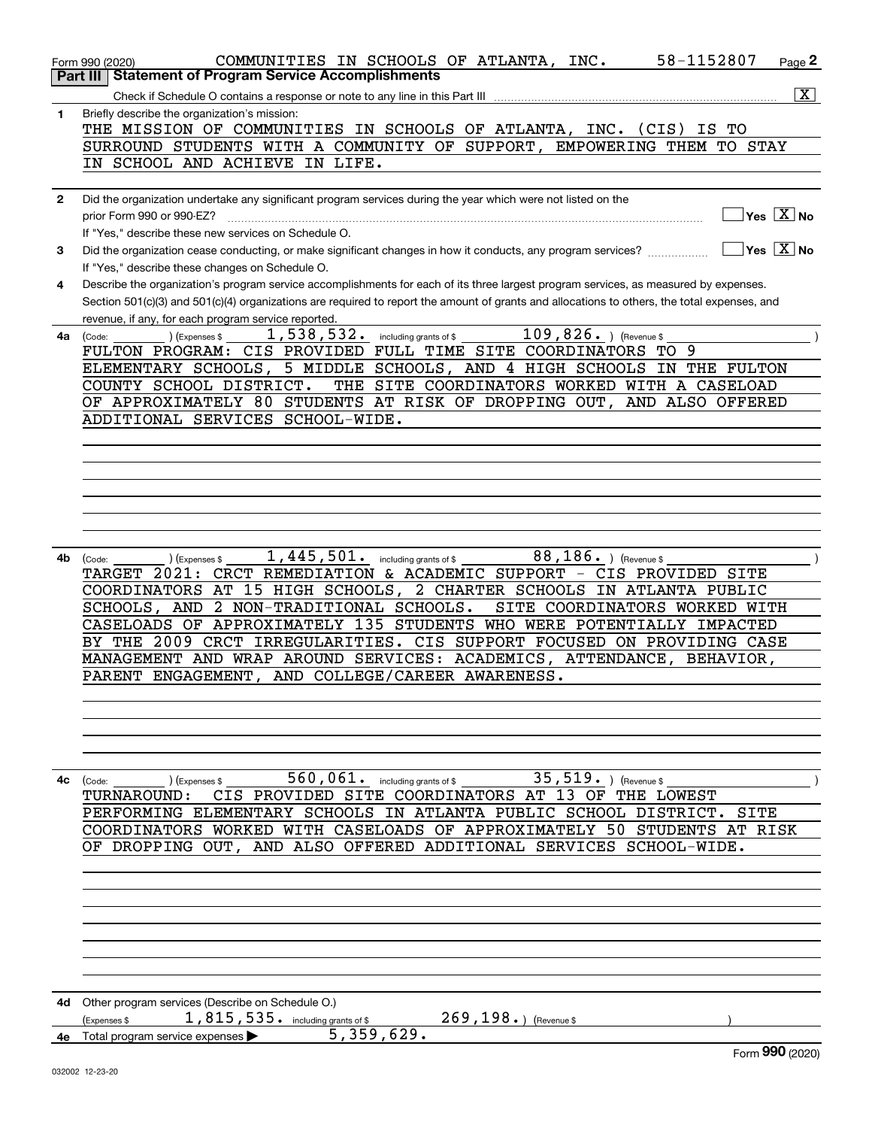|              | 58-1152807<br>COMMUNITIES IN SCHOOLS OF ATLANTA, INC.<br>Page 2<br>Form 990 (2020)                                                                                                                                                                                                   |
|--------------|--------------------------------------------------------------------------------------------------------------------------------------------------------------------------------------------------------------------------------------------------------------------------------------|
|              | <b>Part III   Statement of Program Service Accomplishments</b>                                                                                                                                                                                                                       |
|              | $\overline{\mathbf{X}}$                                                                                                                                                                                                                                                              |
| 1.           | Briefly describe the organization's mission:                                                                                                                                                                                                                                         |
|              | THE MISSION OF COMMUNITIES IN SCHOOLS OF ATLANTA, INC. (CIS) IS TO                                                                                                                                                                                                                   |
|              | SURROUND STUDENTS WITH A COMMUNITY OF SUPPORT, EMPOWERING THEM TO STAY                                                                                                                                                                                                               |
|              | IN SCHOOL AND ACHIEVE IN LIFE.                                                                                                                                                                                                                                                       |
|              |                                                                                                                                                                                                                                                                                      |
| $\mathbf{2}$ | Did the organization undertake any significant program services during the year which were not listed on the                                                                                                                                                                         |
|              | $\boxed{\phantom{1}}$ Yes $\boxed{\mathrm{X}}$ No<br>prior Form 990 or 990-EZ?                                                                                                                                                                                                       |
|              | If "Yes," describe these new services on Schedule O.<br>$\Box$ Yes $\boxed{X}$ No                                                                                                                                                                                                    |
| 3            | Did the organization cease conducting, or make significant changes in how it conducts, any program services?                                                                                                                                                                         |
|              | If "Yes," describe these changes on Schedule O.                                                                                                                                                                                                                                      |
| 4            | Describe the organization's program service accomplishments for each of its three largest program services, as measured by expenses.<br>Section 501(c)(3) and 501(c)(4) organizations are required to report the amount of grants and allocations to others, the total expenses, and |
|              | revenue, if any, for each program service reported.                                                                                                                                                                                                                                  |
| 4a           | $109,826.$ ) (Revenue \$<br>$1,538,532.$ including grants of \$<br>) (Expenses \$                                                                                                                                                                                                    |
|              | (Code:<br>FULTON PROGRAM: CIS PROVIDED FULL TIME SITE COORDINATORS TO 9                                                                                                                                                                                                              |
|              | ELEMENTARY SCHOOLS, 5 MIDDLE SCHOOLS, AND 4 HIGH SCHOOLS IN THE FULTON                                                                                                                                                                                                               |
|              | THE SITE COORDINATORS WORKED WITH A CASELOAD<br>COUNTY SCHOOL DISTRICT.                                                                                                                                                                                                              |
|              | OF APPROXIMATELY 80 STUDENTS AT RISK OF DROPPING OUT, AND ALSO OFFERED                                                                                                                                                                                                               |
|              | ADDITIONAL SERVICES SCHOOL-WIDE.                                                                                                                                                                                                                                                     |
|              |                                                                                                                                                                                                                                                                                      |
|              |                                                                                                                                                                                                                                                                                      |
|              |                                                                                                                                                                                                                                                                                      |
|              |                                                                                                                                                                                                                                                                                      |
|              |                                                                                                                                                                                                                                                                                      |
|              |                                                                                                                                                                                                                                                                                      |
|              |                                                                                                                                                                                                                                                                                      |
| 4b           | $1,445,501$ . including grants of \$<br>$88,186.$ ) (Revenue \$<br>(Expenses \$<br>(Code:                                                                                                                                                                                            |
|              | TARGET 2021: CRCT REMEDIATION & ACADEMIC SUPPORT - CIS PROVIDED SITE                                                                                                                                                                                                                 |
|              | COORDINATORS AT 15 HIGH SCHOOLS, 2 CHARTER SCHOOLS IN ATLANTA PUBLIC                                                                                                                                                                                                                 |
|              | SCHOOLS, AND 2 NON-TRADITIONAL SCHOOLS.<br>SITE COORDINATORS WORKED WITH                                                                                                                                                                                                             |
|              | CASELOADS OF APPROXIMATELY 135 STUDENTS WHO WERE POTENTIALLY IMPACTED                                                                                                                                                                                                                |
|              | BY THE 2009 CRCT IRREGULARITIES. CIS SUPPORT FOCUSED ON PROVIDING CASE                                                                                                                                                                                                               |
|              | MANAGEMENT AND WRAP AROUND SERVICES: ACADEMICS, ATTENDANCE, BEHAVIOR,                                                                                                                                                                                                                |
|              | PARENT ENGAGEMENT, AND COLLEGE/CAREER AWARENESS.                                                                                                                                                                                                                                     |
|              |                                                                                                                                                                                                                                                                                      |
|              |                                                                                                                                                                                                                                                                                      |
|              |                                                                                                                                                                                                                                                                                      |
|              |                                                                                                                                                                                                                                                                                      |
|              |                                                                                                                                                                                                                                                                                      |
| 4с           | $560,061$ . including grants of \$<br>35,519. $ $ (Revenue \$<br>(Code:<br>(Expenses \$                                                                                                                                                                                              |
|              | CIS PROVIDED SITE COORDINATORS AT<br>TURNAROUND:<br>13 OF THE LOWEST                                                                                                                                                                                                                 |
|              | PERFORMING ELEMENTARY SCHOOLS IN ATLANTA PUBLIC SCHOOL DISTRICT. SITE<br>COORDINATORS WORKED WITH CASELOADS OF APPROXIMATELY 50 STUDENTS AT RISK                                                                                                                                     |
|              |                                                                                                                                                                                                                                                                                      |
|              | OF DROPPING OUT, AND ALSO OFFERED ADDITIONAL SERVICES SCHOOL-WIDE.                                                                                                                                                                                                                   |
|              |                                                                                                                                                                                                                                                                                      |
|              |                                                                                                                                                                                                                                                                                      |
|              |                                                                                                                                                                                                                                                                                      |
|              |                                                                                                                                                                                                                                                                                      |
|              |                                                                                                                                                                                                                                                                                      |
|              |                                                                                                                                                                                                                                                                                      |
|              |                                                                                                                                                                                                                                                                                      |
| 4d           | Other program services (Describe on Schedule O.)                                                                                                                                                                                                                                     |
|              | 1,815,535. including grants of \$<br>$269, 198.$ (Revenue \$)<br>(Expenses \$                                                                                                                                                                                                        |
| 4е           | 5,359,629.<br>Total program service expenses                                                                                                                                                                                                                                         |
|              | Form 990 (2020)                                                                                                                                                                                                                                                                      |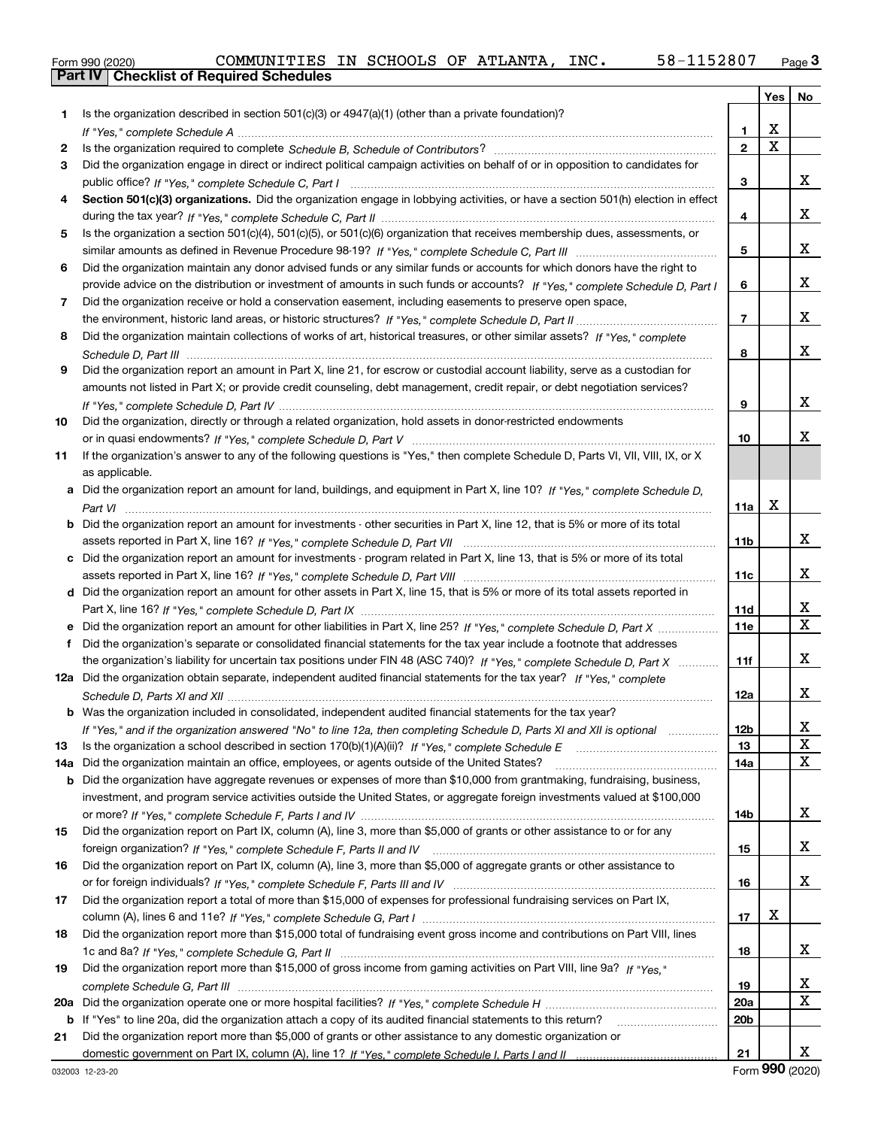|  | Form 990 (2020) |
|--|-----------------|

|     |                                                                                                                                       |                 |             | Yes   No     |
|-----|---------------------------------------------------------------------------------------------------------------------------------------|-----------------|-------------|--------------|
| 1   | Is the organization described in section $501(c)(3)$ or $4947(a)(1)$ (other than a private foundation)?                               |                 |             |              |
|     |                                                                                                                                       | 1.              | X           |              |
| 2   |                                                                                                                                       | $\overline{2}$  | $\mathbf X$ |              |
| 3   | Did the organization engage in direct or indirect political campaign activities on behalf of or in opposition to candidates for       |                 |             |              |
|     |                                                                                                                                       | 3               |             | x            |
| 4   | Section 501(c)(3) organizations. Did the organization engage in lobbying activities, or have a section 501(h) election in effect      |                 |             |              |
|     |                                                                                                                                       | 4               |             | x            |
| 5   | Is the organization a section 501(c)(4), 501(c)(5), or 501(c)(6) organization that receives membership dues, assessments, or          |                 |             |              |
|     |                                                                                                                                       | 5               |             | x            |
| 6   | Did the organization maintain any donor advised funds or any similar funds or accounts for which donors have the right to             |                 |             |              |
|     | provide advice on the distribution or investment of amounts in such funds or accounts? If "Yes," complete Schedule D, Part I          | 6               |             | x            |
| 7   | Did the organization receive or hold a conservation easement, including easements to preserve open space,                             |                 |             |              |
|     |                                                                                                                                       | $\overline{7}$  |             | x            |
| 8   | Did the organization maintain collections of works of art, historical treasures, or other similar assets? If "Yes," complete          |                 |             |              |
|     |                                                                                                                                       | 8               |             | x            |
| 9   | Did the organization report an amount in Part X, line 21, for escrow or custodial account liability, serve as a custodian for         |                 |             |              |
|     | amounts not listed in Part X; or provide credit counseling, debt management, credit repair, or debt negotiation services?             |                 |             |              |
|     |                                                                                                                                       | 9               |             | x            |
| 10  | Did the organization, directly or through a related organization, hold assets in donor-restricted endowments                          |                 |             |              |
|     |                                                                                                                                       | 10              |             | x            |
| 11  | If the organization's answer to any of the following questions is "Yes," then complete Schedule D, Parts VI, VII, VIII, IX, or X      |                 |             |              |
|     | as applicable.                                                                                                                        |                 |             |              |
|     | a Did the organization report an amount for land, buildings, and equipment in Part X, line 10? If "Yes." complete Schedule D.         |                 |             |              |
|     |                                                                                                                                       | 11a             | x           |              |
|     | <b>b</b> Did the organization report an amount for investments - other securities in Part X, line 12, that is 5% or more of its total |                 |             |              |
|     |                                                                                                                                       | 11 <sub>b</sub> |             | x            |
|     | c Did the organization report an amount for investments - program related in Part X, line 13, that is 5% or more of its total         |                 |             |              |
|     |                                                                                                                                       | 11c             |             | x            |
|     | d Did the organization report an amount for other assets in Part X, line 15, that is 5% or more of its total assets reported in       |                 |             |              |
|     |                                                                                                                                       | 11d             |             | X            |
|     |                                                                                                                                       | 11e             |             | $\mathbf{X}$ |
| f   | Did the organization's separate or consolidated financial statements for the tax year include a footnote that addresses               |                 |             |              |
|     | the organization's liability for uncertain tax positions under FIN 48 (ASC 740)? If "Yes," complete Schedule D, Part X                | 11f             |             | x            |
|     | 12a Did the organization obtain separate, independent audited financial statements for the tax year? If "Yes," complete               |                 |             |              |
|     |                                                                                                                                       | 12a             |             | x            |
|     | <b>b</b> Was the organization included in consolidated, independent audited financial statements for the tax year?                    |                 |             |              |
|     | If "Yes," and if the organization answered "No" to line 12a, then completing Schedule D, Parts XI and XII is optional                 | 12 <sub>b</sub> |             | х            |
| 13  |                                                                                                                                       | 13              |             | X            |
| 14a | Did the organization maintain an office, employees, or agents outside of the United States?                                           | 14a             |             | X            |
| b   | Did the organization have aggregate revenues or expenses of more than \$10,000 from grantmaking, fundraising, business,               |                 |             |              |
|     | investment, and program service activities outside the United States, or aggregate foreign investments valued at \$100,000            |                 |             |              |
|     |                                                                                                                                       | 14b             |             | x            |
| 15  | Did the organization report on Part IX, column (A), line 3, more than \$5,000 of grants or other assistance to or for any             |                 |             |              |
|     |                                                                                                                                       | 15              |             | x            |
| 16  | Did the organization report on Part IX, column (A), line 3, more than \$5,000 of aggregate grants or other assistance to              |                 |             |              |
|     |                                                                                                                                       | 16              |             | x            |
| 17  | Did the organization report a total of more than \$15,000 of expenses for professional fundraising services on Part IX,               |                 |             |              |
|     |                                                                                                                                       | 17              | X           |              |
| 18  | Did the organization report more than \$15,000 total of fundraising event gross income and contributions on Part VIII, lines          |                 |             |              |
|     |                                                                                                                                       | 18              |             | x            |
| 19  | Did the organization report more than \$15,000 of gross income from gaming activities on Part VIII, line 9a? If "Yes."                |                 |             |              |
|     |                                                                                                                                       | 19              |             | х            |
| 20a |                                                                                                                                       | <b>20a</b>      |             | X            |
| b   | If "Yes" to line 20a, did the organization attach a copy of its audited financial statements to this return?                          | 20 <sub>b</sub> |             |              |
| 21  | Did the organization report more than \$5,000 of grants or other assistance to any domestic organization or                           |                 |             |              |
|     |                                                                                                                                       | 21              |             | x            |

Form (2020) **990**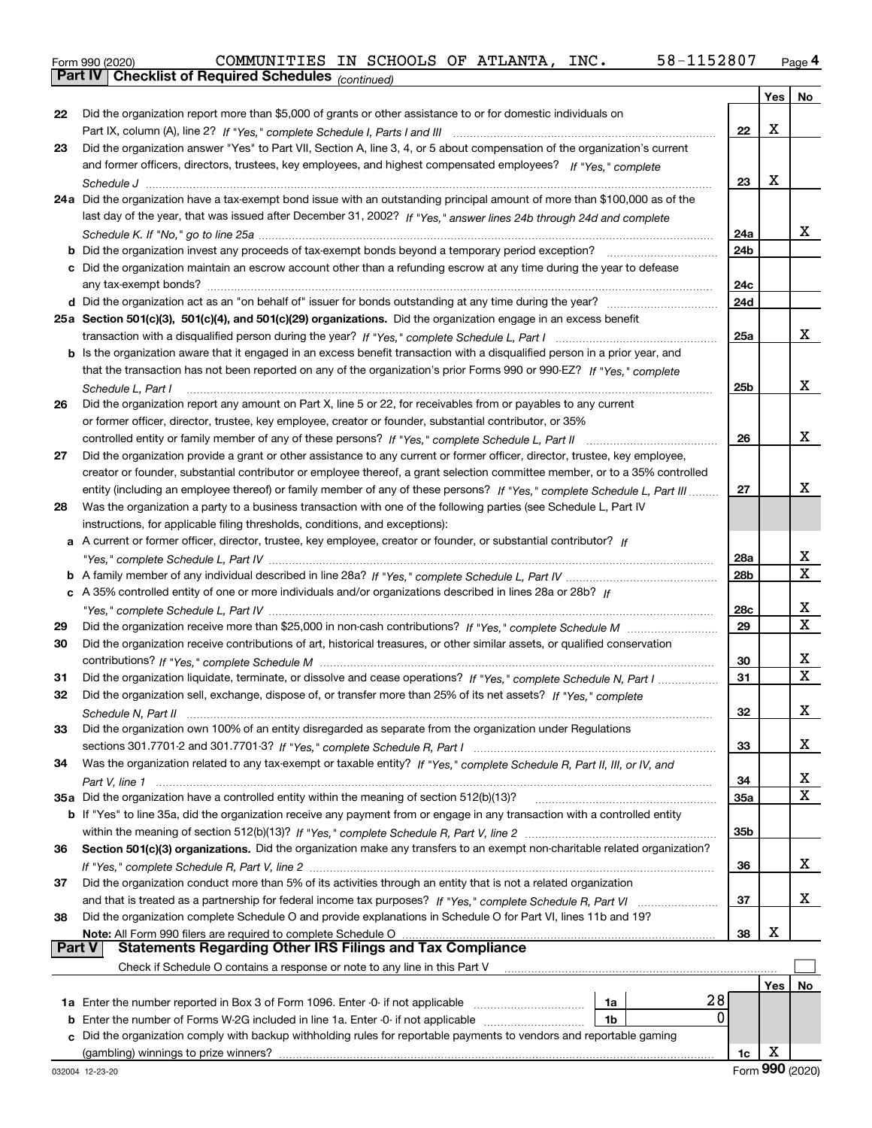|  | Form 990 (2020) |
|--|-----------------|

|    | Parl IV  <br>Crieckist of Required Scriedules (continued)                                                                          |                 |     |             |
|----|------------------------------------------------------------------------------------------------------------------------------------|-----------------|-----|-------------|
|    |                                                                                                                                    |                 | Yes | No          |
| 22 | Did the organization report more than \$5,000 of grants or other assistance to or for domestic individuals on                      |                 |     |             |
|    |                                                                                                                                    | 22              | X   |             |
| 23 | Did the organization answer "Yes" to Part VII, Section A, line 3, 4, or 5 about compensation of the organization's current         |                 |     |             |
|    | and former officers, directors, trustees, key employees, and highest compensated employees? If "Yes," complete                     |                 |     |             |
|    |                                                                                                                                    | 23              | X   |             |
|    | 24a Did the organization have a tax-exempt bond issue with an outstanding principal amount of more than \$100,000 as of the        |                 |     |             |
|    | last day of the year, that was issued after December 31, 2002? If "Yes," answer lines 24b through 24d and complete                 |                 |     |             |
|    |                                                                                                                                    | 24a             |     | x.          |
|    | <b>b</b> Did the organization invest any proceeds of tax-exempt bonds beyond a temporary period exception?                         | 24b             |     |             |
|    | c Did the organization maintain an escrow account other than a refunding escrow at any time during the year to defease             |                 |     |             |
|    | any tax-exempt bonds?                                                                                                              | 24c             |     |             |
|    | d Did the organization act as an "on behalf of" issuer for bonds outstanding at any time during the year?                          | 24d             |     |             |
|    | 25a Section 501(c)(3), 501(c)(4), and 501(c)(29) organizations. Did the organization engage in an excess benefit                   |                 |     |             |
|    |                                                                                                                                    | 25a             |     | x           |
|    | b Is the organization aware that it engaged in an excess benefit transaction with a disqualified person in a prior year, and       |                 |     |             |
|    | that the transaction has not been reported on any of the organization's prior Forms 990 or 990-EZ? If "Yes," complete              |                 |     |             |
|    | Schedule L, Part I                                                                                                                 | 25b             |     | х           |
| 26 | Did the organization report any amount on Part X, line 5 or 22, for receivables from or payables to any current                    |                 |     |             |
|    | or former officer, director, trustee, key employee, creator or founder, substantial contributor, or 35%                            |                 |     |             |
|    |                                                                                                                                    | 26              |     | x           |
| 27 | Did the organization provide a grant or other assistance to any current or former officer, director, trustee, key employee,        |                 |     |             |
|    | creator or founder, substantial contributor or employee thereof, a grant selection committee member, or to a 35% controlled        |                 |     |             |
|    | entity (including an employee thereof) or family member of any of these persons? If "Yes," complete Schedule L, Part III           | 27              |     | x           |
| 28 | Was the organization a party to a business transaction with one of the following parties (see Schedule L, Part IV                  |                 |     |             |
|    | instructions, for applicable filing thresholds, conditions, and exceptions):                                                       |                 |     |             |
|    | a A current or former officer, director, trustee, key employee, creator or founder, or substantial contributor? If                 |                 |     |             |
|    |                                                                                                                                    | 28a             |     | x           |
|    |                                                                                                                                    | 28 <sub>b</sub> |     | Χ           |
|    | c A 35% controlled entity of one or more individuals and/or organizations described in lines 28a or 28b? If                        |                 |     |             |
|    |                                                                                                                                    | 28c             |     | х           |
| 29 |                                                                                                                                    | 29              |     | $\mathbf X$ |
| 30 | Did the organization receive contributions of art, historical treasures, or other similar assets, or qualified conservation        |                 |     |             |
|    |                                                                                                                                    | 30              |     | х           |
| 31 | Did the organization liquidate, terminate, or dissolve and cease operations? If "Yes," complete Schedule N, Part I                 | 31              |     | х           |
| 32 | Did the organization sell, exchange, dispose of, or transfer more than 25% of its net assets? If "Yes," complete                   |                 |     |             |
|    | Schedule N. Part II                                                                                                                | 32              |     | х           |
| 33 | Did the organization own 100% of an entity disregarded as separate from the organization under Regulations                         |                 |     |             |
|    |                                                                                                                                    | 33              |     | x           |
| 34 | Was the organization related to any tax-exempt or taxable entity? If "Yes," complete Schedule R, Part II, III, or IV, and          |                 |     |             |
|    |                                                                                                                                    | 34              |     | х           |
|    | 35a Did the organization have a controlled entity within the meaning of section 512(b)(13)?                                        | 35a             |     | Χ           |
|    | <b>b</b> If "Yes" to line 35a, did the organization receive any payment from or engage in any transaction with a controlled entity |                 |     |             |
|    |                                                                                                                                    | 35b             |     |             |
| 36 | Section 501(c)(3) organizations. Did the organization make any transfers to an exempt non-charitable related organization?         |                 |     |             |
|    |                                                                                                                                    | 36              |     | x           |
| 37 | Did the organization conduct more than 5% of its activities through an entity that is not a related organization                   |                 |     |             |
|    |                                                                                                                                    | 37              |     | х           |
| 38 | Did the organization complete Schedule O and provide explanations in Schedule O for Part VI, lines 11b and 19?                     |                 |     |             |
|    | Note: All Form 990 filers are required to complete Schedule O                                                                      | 38              | х   |             |
|    | <b>Part V</b><br>Statements Regarding Other IRS Filings and Tax Compliance                                                         |                 |     |             |
|    | Check if Schedule O contains a response or note to any line in this Part V                                                         |                 |     |             |
|    |                                                                                                                                    |                 | Yes | No          |
|    | 28<br>1a                                                                                                                           |                 |     |             |
|    | 0<br><b>b</b> Enter the number of Forms W-2G included in line 1a. Enter -0- if not applicable <i>manumumumum</i><br>1b             |                 |     |             |
|    | c Did the organization comply with backup withholding rules for reportable payments to vendors and reportable gaming               |                 |     |             |
|    |                                                                                                                                    | 1c              | X   |             |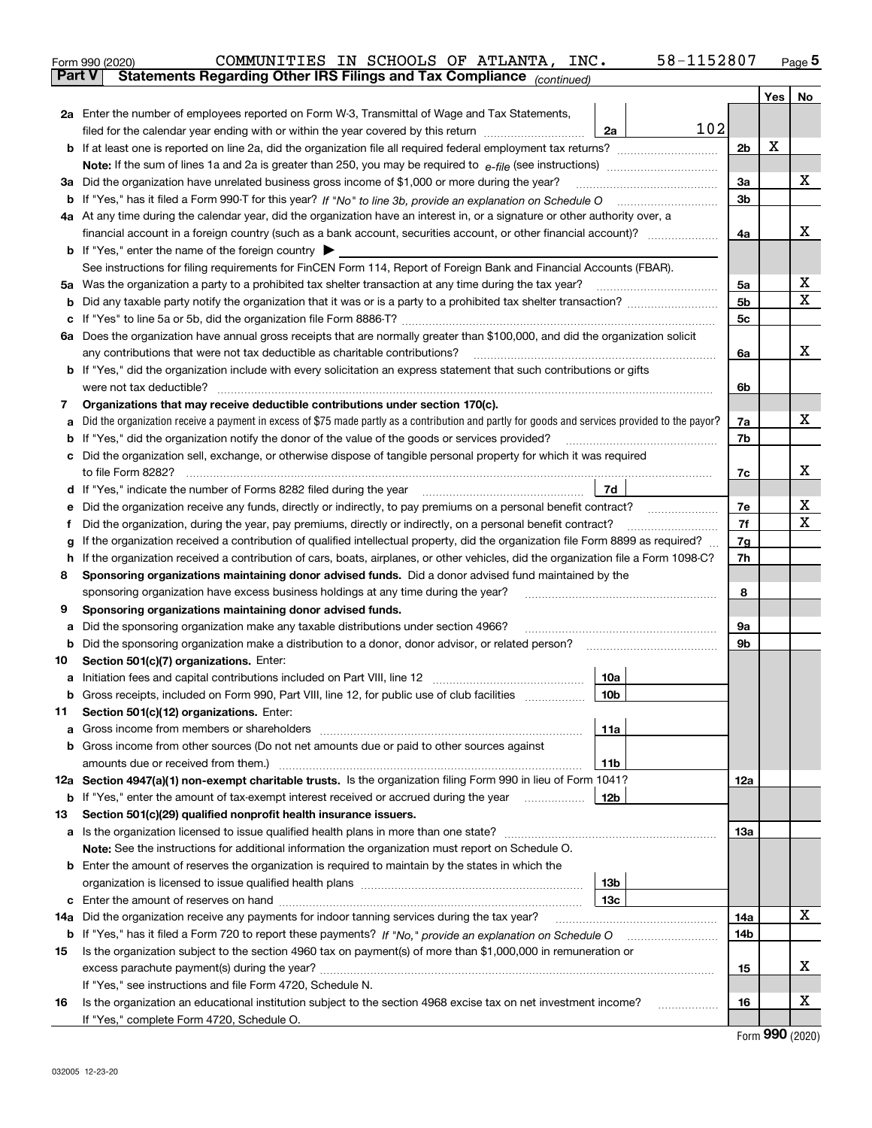|               | 58-1152807<br>COMMUNITIES IN SCHOOLS OF ATLANTA, INC.<br>Form 990 (2020)                                                                        |                |            | $Page$ <sup>5</sup> |  |
|---------------|-------------------------------------------------------------------------------------------------------------------------------------------------|----------------|------------|---------------------|--|
| <b>Part V</b> | Statements Regarding Other IRS Filings and Tax Compliance (continued)                                                                           |                |            |                     |  |
|               |                                                                                                                                                 |                | Yes        | No                  |  |
|               | 2a Enter the number of employees reported on Form W-3, Transmittal of Wage and Tax Statements,                                                  |                |            |                     |  |
|               | 102<br>filed for the calendar year ending with or within the year covered by this return<br>2a                                                  |                |            |                     |  |
|               |                                                                                                                                                 | 2 <sub>b</sub> | х          |                     |  |
|               |                                                                                                                                                 |                |            |                     |  |
|               | 3a Did the organization have unrelated business gross income of \$1,000 or more during the year?                                                | 3a             |            | х                   |  |
|               |                                                                                                                                                 | 3b             |            |                     |  |
|               | 4a At any time during the calendar year, did the organization have an interest in, or a signature or other authority over, a                    |                |            | х                   |  |
|               |                                                                                                                                                 |                |            |                     |  |
|               | <b>b</b> If "Yes," enter the name of the foreign country $\blacktriangleright$                                                                  |                |            |                     |  |
|               | See instructions for filing requirements for FinCEN Form 114, Report of Foreign Bank and Financial Accounts (FBAR).                             |                |            |                     |  |
|               | 5a Was the organization a party to a prohibited tax shelter transaction at any time during the tax year?                                        | 5a             |            | x                   |  |
| b             |                                                                                                                                                 | 5b             |            | X                   |  |
| c             |                                                                                                                                                 | 5c             |            |                     |  |
|               | 6a Does the organization have annual gross receipts that are normally greater than \$100,000, and did the organization solicit                  |                |            |                     |  |
|               | any contributions that were not tax deductible as charitable contributions?                                                                     | 6a             |            | x                   |  |
|               | <b>b</b> If "Yes," did the organization include with every solicitation an express statement that such contributions or gifts                   |                |            |                     |  |
|               | were not tax deductible?                                                                                                                        | 6b             |            |                     |  |
| 7             | Organizations that may receive deductible contributions under section 170(c).                                                                   |                |            |                     |  |
| a             | Did the organization receive a payment in excess of \$75 made partly as a contribution and partly for goods and services provided to the payor? | 7a             |            | х                   |  |
|               | <b>b</b> If "Yes," did the organization notify the donor of the value of the goods or services provided?                                        | 7b             |            |                     |  |
|               | c Did the organization sell, exchange, or otherwise dispose of tangible personal property for which it was required                             |                |            |                     |  |
|               |                                                                                                                                                 | 7c             |            | х                   |  |
|               | 7d<br>d If "Yes," indicate the number of Forms 8282 filed during the year manufactured in the set of the set of the water.                      |                |            |                     |  |
| е             | Did the organization receive any funds, directly or indirectly, to pay premiums on a personal benefit contract?                                 | 7е             |            | х                   |  |
| f             | Did the organization, during the year, pay premiums, directly or indirectly, on a personal benefit contract?                                    | 7f             |            | х                   |  |
| g             | If the organization received a contribution of qualified intellectual property, did the organization file Form 8899 as required?                | 7g             |            |                     |  |
| h.            | If the organization received a contribution of cars, boats, airplanes, or other vehicles, did the organization file a Form 1098-C?              | 7h             |            |                     |  |
| 8             | Sponsoring organizations maintaining donor advised funds. Did a donor advised fund maintained by the                                            |                |            |                     |  |
|               | sponsoring organization have excess business holdings at any time during the year?                                                              | 8              |            |                     |  |
| 9             | Sponsoring organizations maintaining donor advised funds.                                                                                       |                |            |                     |  |
| а             | Did the sponsoring organization make any taxable distributions under section 4966?                                                              | 9а             |            |                     |  |
| b             | Did the sponsoring organization make a distribution to a donor, donor advisor, or related person?                                               | 9b             |            |                     |  |
| 10            | Section 501(c)(7) organizations. Enter:                                                                                                         |                |            |                     |  |
|               | 10a                                                                                                                                             |                |            |                     |  |
|               | 10b <br>Gross receipts, included on Form 990, Part VIII, line 12, for public use of club facilities                                             |                |            |                     |  |
| 11            | Section 501(c)(12) organizations. Enter:                                                                                                        |                |            |                     |  |
| a             | Gross income from members or shareholders<br>11a                                                                                                |                |            |                     |  |
|               | b Gross income from other sources (Do not net amounts due or paid to other sources against                                                      |                |            |                     |  |
|               | 11b<br>12a Section 4947(a)(1) non-exempt charitable trusts. Is the organization filing Form 990 in lieu of Form 1041?                           | 12a            |            |                     |  |
|               | 12b<br><b>b</b> If "Yes," enter the amount of tax-exempt interest received or accrued during the year                                           |                |            |                     |  |
| 13            | Section 501(c)(29) qualified nonprofit health insurance issuers.                                                                                |                |            |                     |  |
| a             | Is the organization licensed to issue qualified health plans in more than one state?                                                            | 13а            |            |                     |  |
|               | Note: See the instructions for additional information the organization must report on Schedule O.                                               |                |            |                     |  |
|               | <b>b</b> Enter the amount of reserves the organization is required to maintain by the states in which the                                       |                |            |                     |  |
|               | 13b                                                                                                                                             |                |            |                     |  |
|               | 13с                                                                                                                                             |                |            |                     |  |
|               | 14a Did the organization receive any payments for indoor tanning services during the tax year?                                                  | 14a            |            | х                   |  |
|               | <b>b</b> If "Yes," has it filed a Form 720 to report these payments? If "No," provide an explanation on Schedule O                              | 14b            |            |                     |  |
| 15            | Is the organization subject to the section 4960 tax on payment(s) of more than \$1,000,000 in remuneration or                                   |                |            |                     |  |
|               |                                                                                                                                                 | 15             |            | x                   |  |
|               | If "Yes," see instructions and file Form 4720, Schedule N.                                                                                      |                |            |                     |  |
| 16            | Is the organization an educational institution subject to the section 4968 excise tax on net investment income?                                 | 16             |            | x                   |  |
|               | If "Yes," complete Form 4720, Schedule O.                                                                                                       |                |            |                     |  |
|               |                                                                                                                                                 |                | <u>nnn</u> |                     |  |

Form (2020) **990**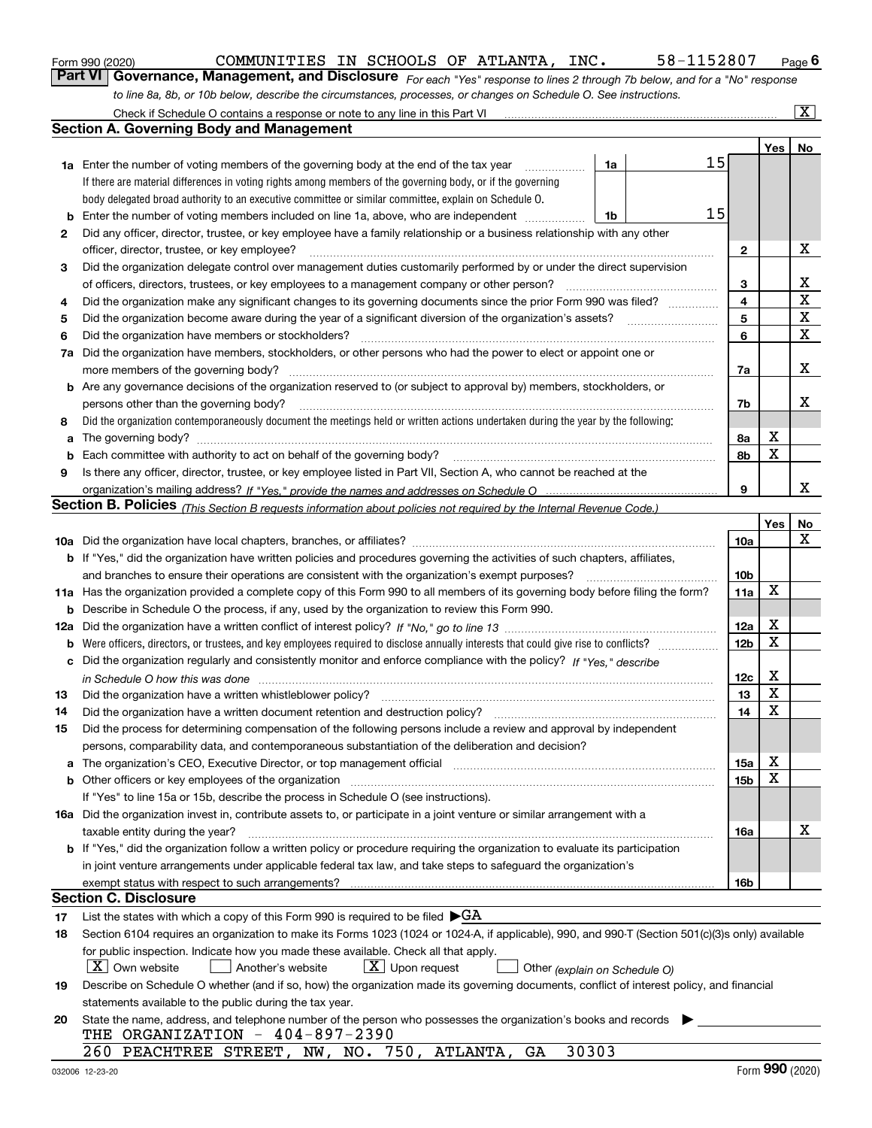|  | Form 990 (2020) |
|--|-----------------|
|  |                 |

*For each "Yes" response to lines 2 through 7b below, and for a "No" response to line 8a, 8b, or 10b below, describe the circumstances, processes, or changes on Schedule O. See instructions.* Form 990 (2020) **COMMUNITIES IN SCHOOLS OF ATLANTA, INC.** 58-1152807 Page 6<br>**Part VI Governance, Management, and Disclosure** *For each "Yes" response to lines 2 through 7b below, and for a "No" response* 

|     | Check if Schedule O contains a response or note to any line in this Part VI                                                                                           |                 |                  | $\overline{\mathbf{X}}$ |
|-----|-----------------------------------------------------------------------------------------------------------------------------------------------------------------------|-----------------|------------------|-------------------------|
|     | <b>Section A. Governing Body and Management</b>                                                                                                                       |                 |                  |                         |
|     |                                                                                                                                                                       |                 | Yes <sub>1</sub> | No                      |
|     | 15<br>1a<br><b>1a</b> Enter the number of voting members of the governing body at the end of the tax year                                                             |                 |                  |                         |
|     | If there are material differences in voting rights among members of the governing body, or if the governing                                                           |                 |                  |                         |
|     | body delegated broad authority to an executive committee or similar committee, explain on Schedule O.                                                                 |                 |                  |                         |
| b   | 15<br>Enter the number of voting members included on line 1a, above, who are independent<br>1b                                                                        |                 |                  |                         |
| 2   | Did any officer, director, trustee, or key employee have a family relationship or a business relationship with any other                                              |                 |                  |                         |
|     | officer, director, trustee, or key employee?                                                                                                                          | $\mathbf{2}$    |                  | х                       |
| 3   | Did the organization delegate control over management duties customarily performed by or under the direct supervision                                                 |                 |                  |                         |
|     | of officers, directors, trustees, or key employees to a management company or other person?                                                                           | 3               |                  | х                       |
| 4   | Did the organization make any significant changes to its governing documents since the prior Form 990 was filed?                                                      | 4               |                  | $\mathbf X$             |
|     |                                                                                                                                                                       | 5               |                  | $\mathbf X$             |
| 5   | Did the organization become aware during the year of a significant diversion of the organization's assets?                                                            |                 |                  | х                       |
| 6   | Did the organization have members or stockholders?                                                                                                                    | 6               |                  |                         |
| 7a  | Did the organization have members, stockholders, or other persons who had the power to elect or appoint one or                                                        |                 |                  |                         |
|     |                                                                                                                                                                       | 7a              |                  | х                       |
|     | <b>b</b> Are any governance decisions of the organization reserved to (or subject to approval by) members, stockholders, or                                           |                 |                  |                         |
|     | persons other than the governing body?                                                                                                                                | 7b              |                  | x                       |
| 8   | Did the organization contemporaneously document the meetings held or written actions undertaken during the year by the following:                                     |                 |                  |                         |
| a   |                                                                                                                                                                       | 8а              | х                |                         |
| b   | Each committee with authority to act on behalf of the governing body?                                                                                                 | 8b              | X                |                         |
| 9   | Is there any officer, director, trustee, or key employee listed in Part VII, Section A, who cannot be reached at the                                                  |                 |                  |                         |
|     |                                                                                                                                                                       | 9               |                  | x                       |
|     | Section B. Policies <sub>(This Section B requests information about policies not required by the Internal Revenue Code.)</sub>                                        |                 |                  |                         |
|     |                                                                                                                                                                       |                 | Yes              | No                      |
|     |                                                                                                                                                                       | 10a             |                  | X                       |
|     | b If "Yes," did the organization have written policies and procedures governing the activities of such chapters, affiliates,                                          |                 |                  |                         |
|     | and branches to ensure their operations are consistent with the organization's exempt purposes?                                                                       | 10b             |                  |                         |
|     | 11a Has the organization provided a complete copy of this Form 990 to all members of its governing body before filing the form?                                       | 11a             | Χ                |                         |
| b   | Describe in Schedule O the process, if any, used by the organization to review this Form 990.                                                                         |                 |                  |                         |
| 12a |                                                                                                                                                                       | 12a             | х                |                         |
| b   | Were officers, directors, or trustees, and key employees required to disclose annually interests that could give rise to conflicts?                                   | 12 <sub>b</sub> | $\mathbf X$      |                         |
| c   | Did the organization regularly and consistently monitor and enforce compliance with the policy? If "Yes," describe                                                    |                 |                  |                         |
|     |                                                                                                                                                                       | 12c             | х                |                         |
| 13  | Did the organization have a written whistleblower policy?                                                                                                             | 13              | $\mathbf X$      |                         |
| 14  | Did the organization have a written document retention and destruction policy?                                                                                        | 14              | $\mathbf X$      |                         |
| 15  | Did the process for determining compensation of the following persons include a review and approval by independent                                                    |                 |                  |                         |
|     | persons, comparability data, and contemporaneous substantiation of the deliberation and decision?                                                                     |                 |                  |                         |
| a   | The organization's CEO, Executive Director, or top management official manufactured content of the organization's CEO, Executive Director, or top management official | <b>15a</b>      | x                |                         |
|     | <b>b</b> Other officers or key employees of the organization                                                                                                          | 15b             | х                |                         |
|     | If "Yes" to line 15a or 15b, describe the process in Schedule O (see instructions).                                                                                   |                 |                  |                         |
|     | 16a Did the organization invest in, contribute assets to, or participate in a joint venture or similar arrangement with a                                             |                 |                  |                         |
|     | taxable entity during the year?                                                                                                                                       | 16a             |                  | x                       |
|     | <b>b</b> If "Yes," did the organization follow a written policy or procedure requiring the organization to evaluate its participation                                 |                 |                  |                         |
|     | in joint venture arrangements under applicable federal tax law, and take steps to safeguard the organization's                                                        |                 |                  |                         |
|     | exempt status with respect to such arrangements?                                                                                                                      | 16b             |                  |                         |
|     | Section C. Disclosure                                                                                                                                                 |                 |                  |                         |
| 17  | List the states with which a copy of this Form 990 is required to be filed $\blacktriangleright$ GA                                                                   |                 |                  |                         |
| 18  | Section 6104 requires an organization to make its Forms 1023 (1024 or 1024-A, if applicable), 990, and 990-T (Section 501(c)(3)s only) available                      |                 |                  |                         |
|     | for public inspection. Indicate how you made these available. Check all that apply.                                                                                   |                 |                  |                         |
|     | X   Own website<br>$X$ Upon request<br>Another's website<br>Other (explain on Schedule O)                                                                             |                 |                  |                         |
| 19  | Describe on Schedule O whether (and if so, how) the organization made its governing documents, conflict of interest policy, and financial                             |                 |                  |                         |
|     | statements available to the public during the tax year.                                                                                                               |                 |                  |                         |
| 20  | State the name, address, and telephone number of the person who possesses the organization's books and records                                                        |                 |                  |                         |
|     | THE ORGANIZATION - $404-897-2390$                                                                                                                                     |                 |                  |                         |
|     | 30303<br>260<br>PEACHTREE STREET, NW, NO. 750, ATLANTA,<br>GA                                                                                                         |                 |                  |                         |
|     |                                                                                                                                                                       |                 |                  |                         |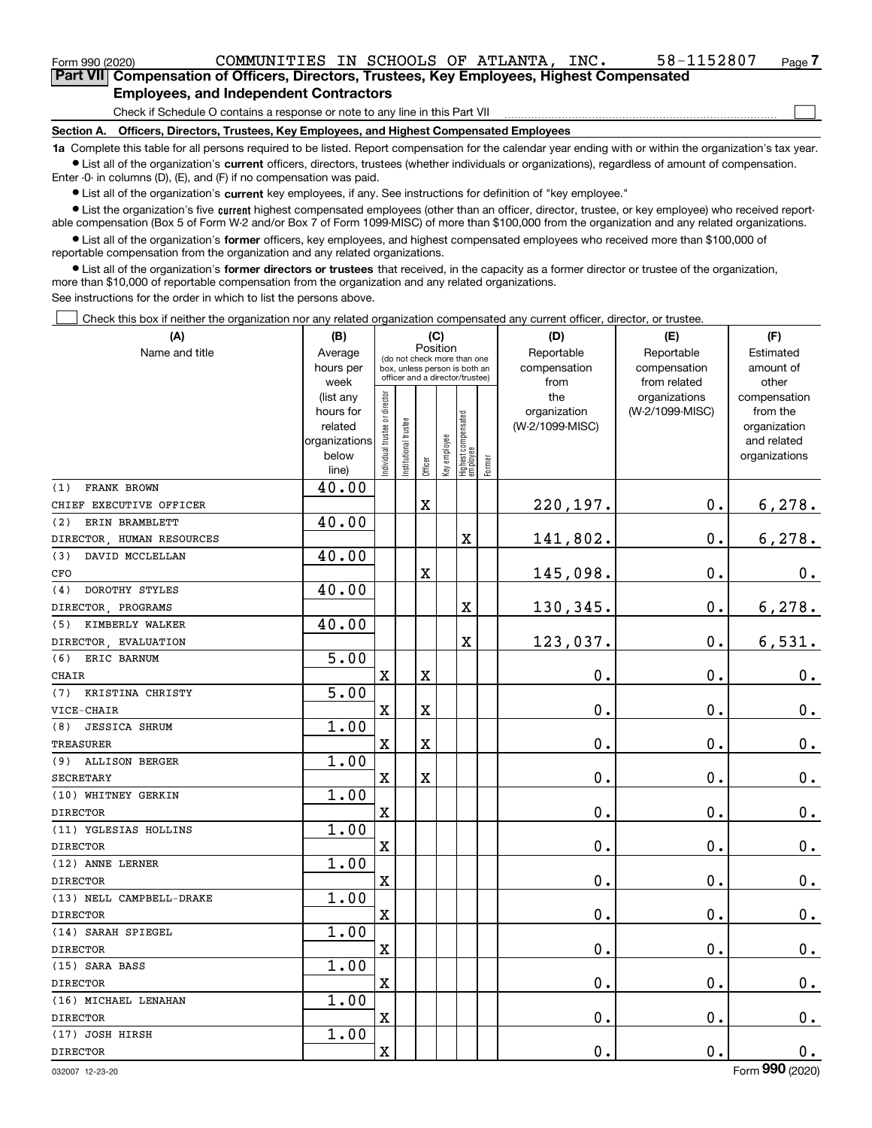| Form 990 (2020) | COMMUNITIES IN SCHOOLS OF ATLANTA, INC.                                                    | 58-1152807 | Page · |
|-----------------|--------------------------------------------------------------------------------------------|------------|--------|
|                 | Part VII Compensation of Officers, Directors, Trustees, Key Employees, Highest Compensated |            |        |
|                 | <b>Employees, and Independent Contractors</b>                                              |            |        |
|                 | Check if Schedule O contains a response or note to any line in this Part VII               |            |        |
| Section A.      | <b>Officers, Directors, Trustees, Key Employees, and Highest Compensated Employees</b>     |            |        |

**1a**  Complete this table for all persons required to be listed. Report compensation for the calendar year ending with or within the organization's tax year. **•** List all of the organization's current officers, directors, trustees (whether individuals or organizations), regardless of amount of compensation.

Enter -0- in columns (D), (E), and (F) if no compensation was paid.

 $\bullet$  List all of the organization's  $\,$ current key employees, if any. See instructions for definition of "key employee."

**•** List the organization's five current highest compensated employees (other than an officer, director, trustee, or key employee) who received reportable compensation (Box 5 of Form W-2 and/or Box 7 of Form 1099-MISC) of more than \$100,000 from the organization and any related organizations.

**•** List all of the organization's former officers, key employees, and highest compensated employees who received more than \$100,000 of reportable compensation from the organization and any related organizations.

**former directors or trustees**  ¥ List all of the organization's that received, in the capacity as a former director or trustee of the organization, more than \$10,000 of reportable compensation from the organization and any related organizations.

See instructions for the order in which to list the persons above.

Check this box if neither the organization nor any related organization compensated any current officer, director, or trustee.  $\mathcal{L}^{\text{max}}$ 

| (A)                          | (B)                    |                                |                                                                  | (C)     |              |                                   |           | (D)                 | (E)                              | (F)                      |
|------------------------------|------------------------|--------------------------------|------------------------------------------------------------------|---------|--------------|-----------------------------------|-----------|---------------------|----------------------------------|--------------------------|
| Name and title               | Average                |                                | Position<br>(do not check more than one                          |         | Reportable   | Reportable                        | Estimated |                     |                                  |                          |
|                              | hours per              |                                | box, unless person is both an<br>officer and a director/trustee) |         |              |                                   |           | compensation        | compensation                     | amount of                |
|                              | week                   |                                |                                                                  |         |              |                                   |           | from                | from related                     | other                    |
|                              | (list any<br>hours for |                                |                                                                  |         |              |                                   |           | the<br>organization | organizations<br>(W-2/1099-MISC) | compensation<br>from the |
|                              | related                |                                |                                                                  |         |              |                                   |           | (W-2/1099-MISC)     |                                  | organization             |
|                              | organizations          |                                |                                                                  |         |              |                                   |           |                     |                                  | and related              |
|                              | below                  | Individual trustee or director | Institutional trustee                                            |         | Key employee |                                   |           |                     |                                  | organizations            |
|                              | line)                  |                                |                                                                  | Officer |              | Highest compensated<br>  employee | Former    |                     |                                  |                          |
| FRANK BROWN<br>(1)           | 40.00                  |                                |                                                                  |         |              |                                   |           |                     |                                  |                          |
| CHIEF EXECUTIVE OFFICER      |                        |                                |                                                                  | X       |              |                                   |           | 220,197.            | 0.                               | 6,278.                   |
| ERIN BRAMBLETT<br>(2)        | 40.00                  |                                |                                                                  |         |              |                                   |           |                     |                                  |                          |
| DIRECTOR, HUMAN RESOURCES    |                        |                                |                                                                  |         |              | $\overline{\mathbf{X}}$           |           | 141,802.            | $\mathbf 0$ .                    | 6, 278.                  |
| DAVID MCCLELLAN<br>(3)       | 40.00                  |                                |                                                                  |         |              |                                   |           |                     |                                  |                          |
| CFO                          |                        |                                |                                                                  | X       |              |                                   |           | 145,098.            | 0.                               | $0_{.}$                  |
| DOROTHY STYLES<br>(4)        | 40.00                  |                                |                                                                  |         |              |                                   |           |                     |                                  |                          |
| DIRECTOR, PROGRAMS           |                        |                                |                                                                  |         |              | $\overline{\textbf{X}}$           |           | 130, 345.           | 0.                               | 6,278.                   |
| KIMBERLY WALKER<br>(5)       | 40.00                  |                                |                                                                  |         |              |                                   |           |                     |                                  |                          |
| DIRECTOR, EVALUATION         |                        |                                |                                                                  |         |              | $\overline{\textbf{X}}$           |           | 123,037.            | 0.                               | 6,531.                   |
| (6)<br>ERIC BARNUM           | 5.00                   |                                |                                                                  |         |              |                                   |           |                     |                                  |                          |
| <b>CHAIR</b>                 |                        | $\mathbf X$                    |                                                                  | X       |              |                                   |           | $\mathbf 0$ .       | $\mathbf 0$ .                    | $\mathbf 0$ .            |
| KRISTINA CHRISTY<br>(7)      | 5.00                   |                                |                                                                  |         |              |                                   |           |                     |                                  |                          |
| VICE-CHAIR                   |                        | $\mathbf X$                    |                                                                  | X       |              |                                   |           | $\mathbf 0$ .       | $\mathbf 0$ .                    | $\mathbf 0$ .            |
| (8)<br><b>JESSICA SHRUM</b>  | 1.00                   |                                |                                                                  |         |              |                                   |           |                     |                                  |                          |
| <b>TREASURER</b>             |                        | $\overline{\mathbf{X}}$        |                                                                  | X       |              |                                   |           | $\mathbf 0$ .       | $\mathbf 0$ .                    | $0_{.}$                  |
| (9)<br><b>ALLISON BERGER</b> | 1.00                   |                                |                                                                  |         |              |                                   |           |                     |                                  |                          |
| <b>SECRETARY</b>             |                        | $\mathbf x$                    |                                                                  | X       |              |                                   |           | 0.                  | 0.                               | $\mathbf 0$ .            |
| (10) WHITNEY GERKIN          | 1.00                   |                                |                                                                  |         |              |                                   |           |                     |                                  |                          |
| <b>DIRECTOR</b>              |                        | $\mathbf X$                    |                                                                  |         |              |                                   |           | $\mathbf 0$ .       | 0.                               | $0_{.}$                  |
| (11) YGLESIAS HOLLINS        | 1.00                   |                                |                                                                  |         |              |                                   |           |                     |                                  |                          |
| <b>DIRECTOR</b>              |                        | $\mathbf x$                    |                                                                  |         |              |                                   |           | 0.                  | 0.                               | $0_{\cdot}$              |
| (12) ANNE LERNER             | 1.00                   |                                |                                                                  |         |              |                                   |           |                     |                                  |                          |
| <b>DIRECTOR</b>              |                        | $\mathbf x$                    |                                                                  |         |              |                                   |           | 0.                  | 0.                               | $0_{\cdot}$              |
| (13) NELL CAMPBELL-DRAKE     | 1.00                   |                                |                                                                  |         |              |                                   |           |                     |                                  |                          |
| <b>DIRECTOR</b>              |                        | $\mathbf x$                    |                                                                  |         |              |                                   |           | $0$ .               | 0.                               | 0.                       |
| (14) SARAH SPIEGEL           | 1.00                   |                                |                                                                  |         |              |                                   |           |                     |                                  |                          |
| <b>DIRECTOR</b>              |                        | $\mathbf x$                    |                                                                  |         |              |                                   |           | $0$ .               | $\mathbf 0$ .                    | $\mathbf 0$ .            |
| (15) SARA BASS               | 1.00                   |                                |                                                                  |         |              |                                   |           |                     |                                  |                          |
| <b>DIRECTOR</b>              |                        | $\mathbf X$                    |                                                                  |         |              |                                   |           | 0.                  | $\mathbf 0$ .                    | $0_{.}$                  |
| (16) MICHAEL LENAHAN         | 1.00                   |                                |                                                                  |         |              |                                   |           |                     |                                  |                          |
| <b>DIRECTOR</b>              |                        | $\mathbf x$                    |                                                                  |         |              |                                   |           | $\mathbf 0$ .       | 0.                               | $\mathbf 0$ .            |
| (17) JOSH HIRSH              | 1.00                   |                                |                                                                  |         |              |                                   |           |                     |                                  |                          |
| <b>DIRECTOR</b>              |                        | $\mathbf x$                    |                                                                  |         |              |                                   |           | $\mathbf 0$ .       | 0.                               | $\mathbf 0$ .            |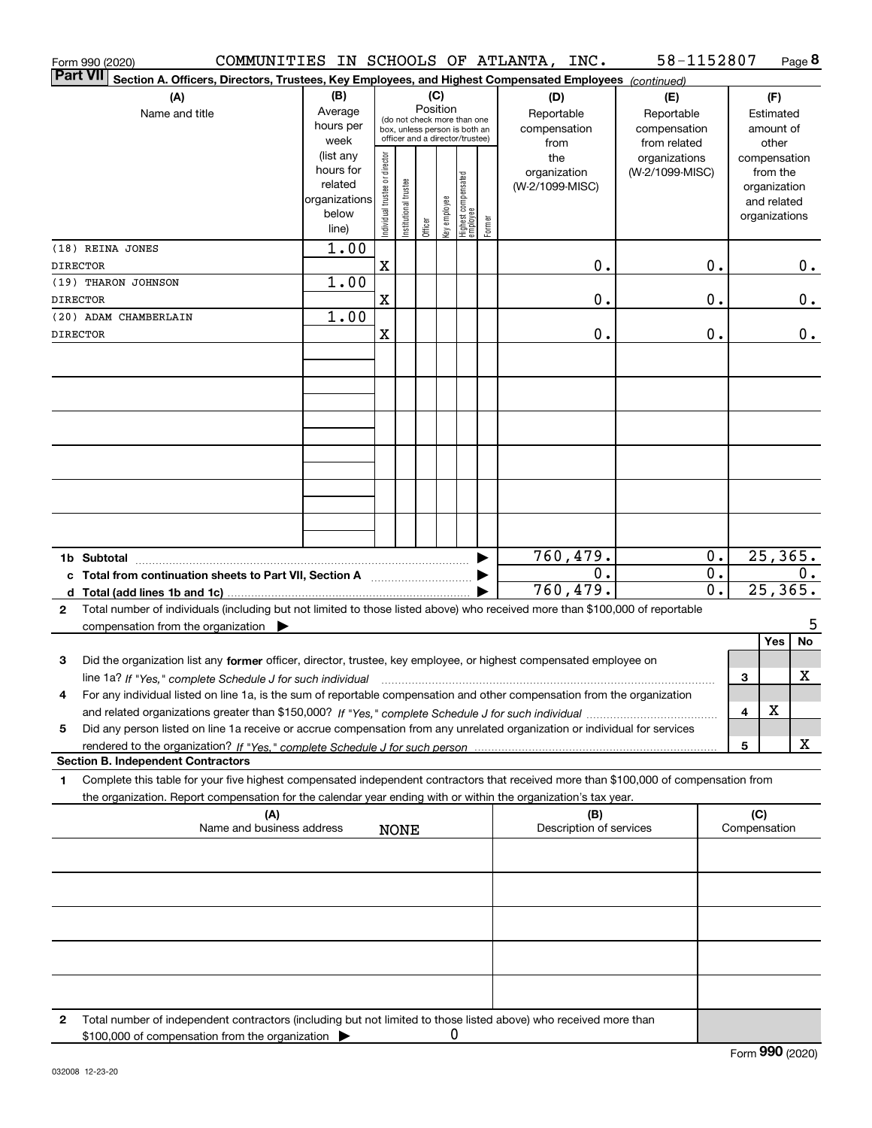| Form 990 (2020)                                                                                                                                                                                                                                                                       |                          |                                                              |                       |                 |              |                                  |        | COMMUNITIES IN SCHOOLS OF ATLANTA, INC. | 58-1152807                   |                  |                     | Page 8                       |
|---------------------------------------------------------------------------------------------------------------------------------------------------------------------------------------------------------------------------------------------------------------------------------------|--------------------------|--------------------------------------------------------------|-----------------------|-----------------|--------------|----------------------------------|--------|-----------------------------------------|------------------------------|------------------|---------------------|------------------------------|
| <b>Part VII</b><br>Section A. Officers, Directors, Trustees, Key Employees, and Highest Compensated Employees (continued)                                                                                                                                                             |                          |                                                              |                       |                 |              |                                  |        |                                         |                              |                  |                     |                              |
| (A)                                                                                                                                                                                                                                                                                   | (B)                      |                                                              |                       | (C)<br>Position |              |                                  |        | (D)                                     | (E)                          |                  |                     | (F)                          |
| Name and title                                                                                                                                                                                                                                                                        | Average<br>hours per     | (do not check more than one<br>box, unless person is both an |                       |                 |              |                                  |        | Reportable                              | Reportable                   |                  |                     | Estimated                    |
|                                                                                                                                                                                                                                                                                       | week                     |                                                              |                       |                 |              | officer and a director/trustee)  |        | compensation<br>from                    | compensation<br>from related |                  |                     | amount of<br>other           |
|                                                                                                                                                                                                                                                                                       | (list any                |                                                              |                       |                 |              |                                  |        | the                                     | organizations                |                  |                     | compensation                 |
|                                                                                                                                                                                                                                                                                       | hours for                |                                                              |                       |                 |              |                                  |        | organization                            | (W-2/1099-MISC)              |                  |                     | from the                     |
|                                                                                                                                                                                                                                                                                       | related<br>organizations |                                                              |                       |                 |              |                                  |        | (W-2/1099-MISC)                         |                              |                  |                     | organization                 |
|                                                                                                                                                                                                                                                                                       | below                    |                                                              |                       |                 |              |                                  |        |                                         |                              |                  |                     | and related<br>organizations |
|                                                                                                                                                                                                                                                                                       | line)                    | Individual trustee or director                               | Institutional trustee | Officer         | key employee | Highest compensated<br> employee | Former |                                         |                              |                  |                     |                              |
| (18) REINA JONES                                                                                                                                                                                                                                                                      | 1.00                     |                                                              |                       |                 |              |                                  |        |                                         |                              |                  |                     |                              |
| <b>DIRECTOR</b>                                                                                                                                                                                                                                                                       |                          | $\mathbf X$                                                  |                       |                 |              |                                  |        | 0.                                      |                              | 0.               |                     | $0$ .                        |
| (19) THARON JOHNSON                                                                                                                                                                                                                                                                   | 1.00                     |                                                              |                       |                 |              |                                  |        |                                         |                              |                  |                     |                              |
| <b>DIRECTOR</b>                                                                                                                                                                                                                                                                       |                          | X                                                            |                       |                 |              |                                  |        | 0.                                      |                              | 0.               |                     | 0.                           |
| (20) ADAM CHAMBERLAIN                                                                                                                                                                                                                                                                 | 1.00                     |                                                              |                       |                 |              |                                  |        |                                         |                              |                  |                     |                              |
| <b>DIRECTOR</b>                                                                                                                                                                                                                                                                       |                          | $\mathbf X$                                                  |                       |                 |              |                                  |        | 0.                                      |                              | 0.               |                     | $0$ .                        |
|                                                                                                                                                                                                                                                                                       |                          |                                                              |                       |                 |              |                                  |        |                                         |                              |                  |                     |                              |
|                                                                                                                                                                                                                                                                                       |                          |                                                              |                       |                 |              |                                  |        |                                         |                              |                  |                     |                              |
|                                                                                                                                                                                                                                                                                       |                          |                                                              |                       |                 |              |                                  |        |                                         |                              |                  |                     |                              |
|                                                                                                                                                                                                                                                                                       |                          |                                                              |                       |                 |              |                                  |        |                                         |                              |                  |                     |                              |
|                                                                                                                                                                                                                                                                                       |                          |                                                              |                       |                 |              |                                  |        |                                         |                              |                  |                     |                              |
|                                                                                                                                                                                                                                                                                       |                          |                                                              |                       |                 |              |                                  |        |                                         |                              |                  |                     |                              |
|                                                                                                                                                                                                                                                                                       |                          |                                                              |                       |                 |              |                                  |        |                                         |                              |                  |                     |                              |
|                                                                                                                                                                                                                                                                                       |                          |                                                              |                       |                 |              |                                  |        |                                         |                              |                  |                     |                              |
|                                                                                                                                                                                                                                                                                       |                          |                                                              |                       |                 |              |                                  |        |                                         |                              |                  |                     |                              |
|                                                                                                                                                                                                                                                                                       |                          |                                                              |                       |                 |              |                                  |        |                                         |                              |                  |                     |                              |
|                                                                                                                                                                                                                                                                                       |                          |                                                              |                       |                 |              |                                  |        | 760,479.                                |                              | $0$ .            |                     | 25, 365.                     |
| c Total from continuation sheets to Part VII, Section A [111] [12] Total from continuation sheets to Part VII, Section A                                                                                                                                                              |                          |                                                              |                       |                 |              |                                  | ▶      | 0.                                      |                              | $0$ .            |                     | $0$ .                        |
|                                                                                                                                                                                                                                                                                       |                          |                                                              |                       |                 |              |                                  |        | 760,479.                                |                              | $\overline{0}$ . |                     | 25,365.                      |
| Total number of individuals (including but not limited to those listed above) who received more than \$100,000 of reportable<br>$\mathbf{2}$                                                                                                                                          |                          |                                                              |                       |                 |              |                                  |        |                                         |                              |                  |                     |                              |
| compensation from the organization $\blacktriangleright$                                                                                                                                                                                                                              |                          |                                                              |                       |                 |              |                                  |        |                                         |                              |                  |                     | 5                            |
|                                                                                                                                                                                                                                                                                       |                          |                                                              |                       |                 |              |                                  |        |                                         |                              |                  |                     | <b>No</b><br>Yes             |
| Did the organization list any former officer, director, trustee, key employee, or highest compensated employee on<br>3                                                                                                                                                                |                          |                                                              |                       |                 |              |                                  |        |                                         |                              |                  |                     | х                            |
| line 1a? If "Yes," complete Schedule J for such individual manufactured contained and the line 1a? If "Yes," complete Schedule J for such individual<br>For any individual listed on line 1a, is the sum of reportable compensation and other compensation from the organization<br>4 |                          |                                                              |                       |                 |              |                                  |        |                                         |                              |                  | 3                   |                              |
|                                                                                                                                                                                                                                                                                       |                          |                                                              |                       |                 |              |                                  |        |                                         |                              |                  | 4                   | X                            |
| Did any person listed on line 1a receive or accrue compensation from any unrelated organization or individual for services<br>5                                                                                                                                                       |                          |                                                              |                       |                 |              |                                  |        |                                         |                              |                  |                     |                              |
|                                                                                                                                                                                                                                                                                       |                          |                                                              |                       |                 |              |                                  |        |                                         |                              |                  | 5                   | x                            |
| <b>Section B. Independent Contractors</b>                                                                                                                                                                                                                                             |                          |                                                              |                       |                 |              |                                  |        |                                         |                              |                  |                     |                              |
| Complete this table for your five highest compensated independent contractors that received more than \$100,000 of compensation from<br>1                                                                                                                                             |                          |                                                              |                       |                 |              |                                  |        |                                         |                              |                  |                     |                              |
| the organization. Report compensation for the calendar year ending with or within the organization's tax year.                                                                                                                                                                        |                          |                                                              |                       |                 |              |                                  |        |                                         |                              |                  |                     |                              |
| (A)<br>Name and business address                                                                                                                                                                                                                                                      |                          |                                                              | <b>NONE</b>           |                 |              |                                  |        | (B)<br>Description of services          |                              |                  | (C)<br>Compensation |                              |
|                                                                                                                                                                                                                                                                                       |                          |                                                              |                       |                 |              |                                  |        |                                         |                              |                  |                     |                              |
|                                                                                                                                                                                                                                                                                       |                          |                                                              |                       |                 |              |                                  |        |                                         |                              |                  |                     |                              |
|                                                                                                                                                                                                                                                                                       |                          |                                                              |                       |                 |              |                                  |        |                                         |                              |                  |                     |                              |
|                                                                                                                                                                                                                                                                                       |                          |                                                              |                       |                 |              |                                  |        |                                         |                              |                  |                     |                              |
|                                                                                                                                                                                                                                                                                       |                          |                                                              |                       |                 |              |                                  |        |                                         |                              |                  |                     |                              |
|                                                                                                                                                                                                                                                                                       |                          |                                                              |                       |                 |              |                                  |        |                                         |                              |                  |                     |                              |
|                                                                                                                                                                                                                                                                                       |                          |                                                              |                       |                 |              |                                  |        |                                         |                              |                  |                     |                              |
|                                                                                                                                                                                                                                                                                       |                          |                                                              |                       |                 |              |                                  |        |                                         |                              |                  |                     |                              |
|                                                                                                                                                                                                                                                                                       |                          |                                                              |                       |                 |              |                                  |        |                                         |                              |                  |                     |                              |
| Total number of independent contractors (including but not limited to those listed above) who received more than<br>2<br>\$100,000 of compensation from the organization                                                                                                              |                          |                                                              |                       |                 | 0            |                                  |        |                                         |                              |                  |                     |                              |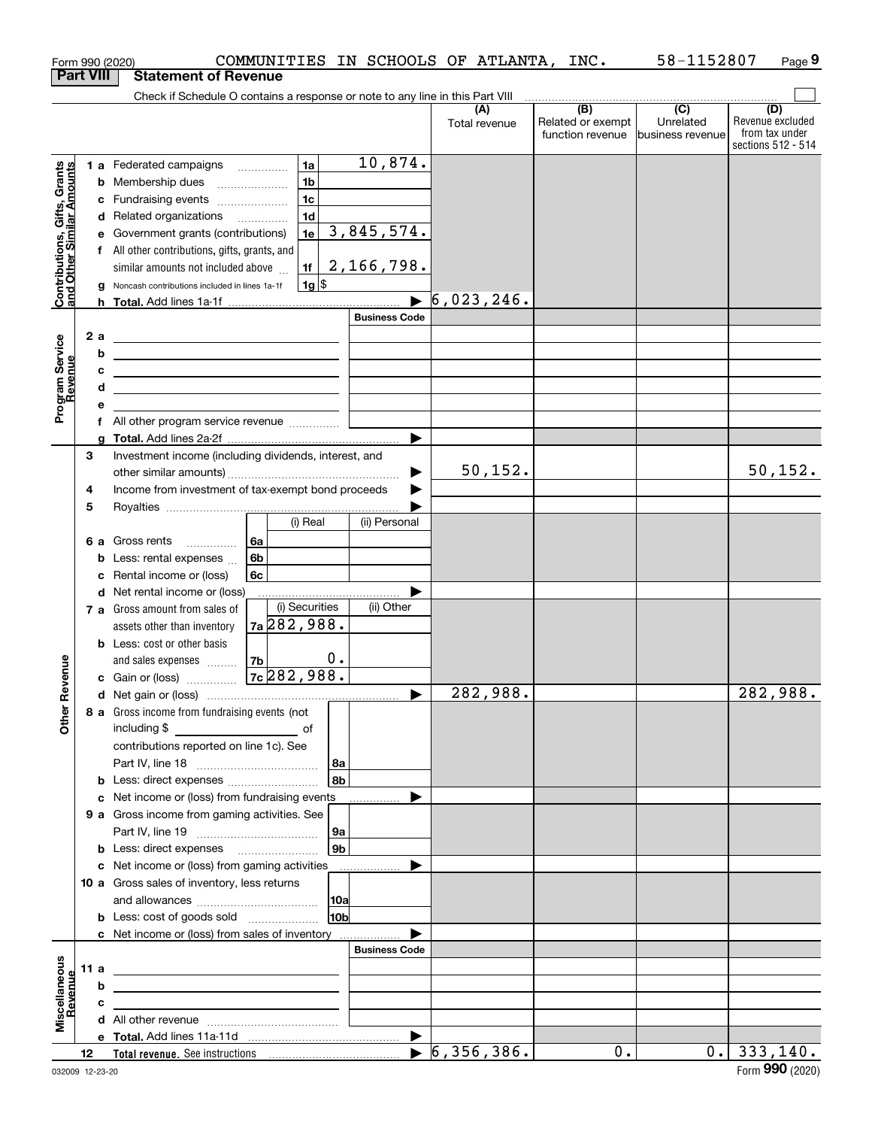|                                                           |    |         | Form 990 (2020)                                                                                                                                                            | COMMUNITIES IN SCHOOLS OF ATLANTA, INC. |                |                      |                                  |                                                           | 58-1152807                                      | Page 9                                                          |
|-----------------------------------------------------------|----|---------|----------------------------------------------------------------------------------------------------------------------------------------------------------------------------|-----------------------------------------|----------------|----------------------|----------------------------------|-----------------------------------------------------------|-------------------------------------------------|-----------------------------------------------------------------|
| <b>Part VIII</b>                                          |    |         | <b>Statement of Revenue</b>                                                                                                                                                |                                         |                |                      |                                  |                                                           |                                                 |                                                                 |
|                                                           |    |         | Check if Schedule O contains a response or note to any line in this Part VIII                                                                                              |                                         |                |                      |                                  |                                                           |                                                 |                                                                 |
|                                                           |    |         |                                                                                                                                                                            |                                         |                |                      | Total revenue                    | $\overline{(B)}$<br>Related or exempt<br>function revenue | $\overline{C}$<br>Unrelated<br>business revenue | (D)<br>Revenue excluded<br>from tax under<br>sections 512 - 514 |
|                                                           |    |         | 1 a Federated campaigns                                                                                                                                                    | 1a                                      |                | 10,874.              |                                  |                                                           |                                                 |                                                                 |
|                                                           |    |         | <b>b</b> Membership dues                                                                                                                                                   | 1 <sub>b</sub>                          |                |                      |                                  |                                                           |                                                 |                                                                 |
|                                                           |    |         | c Fundraising events                                                                                                                                                       | 1 <sub>c</sub>                          |                |                      |                                  |                                                           |                                                 |                                                                 |
|                                                           |    |         | d Related organizations                                                                                                                                                    | 1 <sub>d</sub>                          |                |                      |                                  |                                                           |                                                 |                                                                 |
|                                                           |    |         | e Government grants (contributions)                                                                                                                                        | 1e                                      |                | 3,845,574.           |                                  |                                                           |                                                 |                                                                 |
| Contributions, Gifts, Grants<br>and Other Similar Amounts |    |         | f All other contributions, gifts, grants, and<br>similar amounts not included above                                                                                        | 1f                                      |                | 2,166,798.           |                                  |                                                           |                                                 |                                                                 |
|                                                           |    |         | Noncash contributions included in lines 1a-1f                                                                                                                              | $1g$ \$                                 |                |                      |                                  |                                                           |                                                 |                                                                 |
|                                                           |    |         |                                                                                                                                                                            |                                         |                | <b>Business Code</b> | $\blacktriangleright$ 6,023,246. |                                                           |                                                 |                                                                 |
|                                                           |    |         |                                                                                                                                                                            |                                         |                |                      |                                  |                                                           |                                                 |                                                                 |
| Program Service<br>Revenue                                |    | 2a<br>b | <u> 1989 - Johann Barn, mars ann an t-Amhair an t-Amhair an t-Amhair an t-Amhair an t-Amhair an t-Amhair an t-Amh</u>                                                      |                                         |                |                      |                                  |                                                           |                                                 |                                                                 |
|                                                           |    | с       | the contract of the contract of the contract of the contract of the                                                                                                        |                                         |                |                      |                                  |                                                           |                                                 |                                                                 |
|                                                           |    | d       | <u> 1989 - Johann Barn, amerikansk politiker (</u><br><u> 1989 - Johann Barn, mars ann an t-Amhain Aonaich an t-Aonaich an t-Aonaich ann an t-Aonaich ann an t-Aonaich</u> |                                         |                |                      |                                  |                                                           |                                                 |                                                                 |
|                                                           |    | е       |                                                                                                                                                                            |                                         |                |                      |                                  |                                                           |                                                 |                                                                 |
|                                                           |    |         | f All other program service revenue                                                                                                                                        |                                         |                |                      |                                  |                                                           |                                                 |                                                                 |
|                                                           |    |         |                                                                                                                                                                            |                                         |                |                      |                                  |                                                           |                                                 |                                                                 |
|                                                           | 3  |         | Investment income (including dividends, interest, and                                                                                                                      |                                         |                |                      |                                  |                                                           |                                                 |                                                                 |
|                                                           |    |         |                                                                                                                                                                            |                                         |                |                      | 50, 152.                         |                                                           |                                                 | 50, 152.                                                        |
|                                                           | 4  |         | Income from investment of tax-exempt bond proceeds                                                                                                                         |                                         |                |                      |                                  |                                                           |                                                 |                                                                 |
|                                                           | 5  |         |                                                                                                                                                                            |                                         |                |                      |                                  |                                                           |                                                 |                                                                 |
|                                                           |    |         |                                                                                                                                                                            | (i) Real                                |                | (ii) Personal        |                                  |                                                           |                                                 |                                                                 |
|                                                           |    |         | 6 a Gross rents                                                                                                                                                            | 6a<br>6b                                |                |                      |                                  |                                                           |                                                 |                                                                 |
|                                                           |    |         | <b>b</b> Less: rental expenses<br>c Rental income or (loss)                                                                                                                |                                         |                |                      |                                  |                                                           |                                                 |                                                                 |
|                                                           |    |         | d Net rental income or (loss)                                                                                                                                              | 6c                                      |                |                      |                                  |                                                           |                                                 |                                                                 |
|                                                           |    |         | 7 a Gross amount from sales of                                                                                                                                             | (i) Securities                          |                | (ii) Other           |                                  |                                                           |                                                 |                                                                 |
|                                                           |    |         | assets other than inventory                                                                                                                                                | 7a 282, 988.                            |                |                      |                                  |                                                           |                                                 |                                                                 |
|                                                           |    |         | <b>b</b> Less: cost or other basis                                                                                                                                         |                                         |                |                      |                                  |                                                           |                                                 |                                                                 |
|                                                           |    |         | and sales expenses                                                                                                                                                         | 7b                                      | $\mathbf 0$ .  |                      |                                  |                                                           |                                                 |                                                                 |
| evenue                                                    |    |         | c Gain or (loss)                                                                                                                                                           | $7c$ 282,988.                           |                |                      |                                  |                                                           |                                                 |                                                                 |
| œ                                                         |    |         |                                                                                                                                                                            |                                         |                |                      | 282,988.                         |                                                           |                                                 | 282,988.                                                        |
| Other                                                     |    |         | 8 a Gross income from fundraising events (not                                                                                                                              |                                         |                |                      |                                  |                                                           |                                                 |                                                                 |
|                                                           |    |         | including \$                                                                                                                                                               | <u>of</u> of                            |                |                      |                                  |                                                           |                                                 |                                                                 |
|                                                           |    |         | contributions reported on line 1c). See                                                                                                                                    |                                         |                |                      |                                  |                                                           |                                                 |                                                                 |
|                                                           |    |         | <b>b</b> Less: direct expenses                                                                                                                                             |                                         | 8a<br>8b       |                      |                                  |                                                           |                                                 |                                                                 |
|                                                           |    |         | c Net income or (loss) from fundraising events                                                                                                                             |                                         |                |                      |                                  |                                                           |                                                 |                                                                 |
|                                                           |    |         | 9 a Gross income from gaming activities. See                                                                                                                               |                                         |                |                      |                                  |                                                           |                                                 |                                                                 |
|                                                           |    |         |                                                                                                                                                                            |                                         | 9a             |                      |                                  |                                                           |                                                 |                                                                 |
|                                                           |    |         | <b>b</b> Less: direct expenses <b>manually</b>                                                                                                                             |                                         | 9 <sub>b</sub> |                      |                                  |                                                           |                                                 |                                                                 |
|                                                           |    |         | c Net income or (loss) from gaming activities _______________                                                                                                              |                                         |                |                      |                                  |                                                           |                                                 |                                                                 |
|                                                           |    |         | 10 a Gross sales of inventory, less returns                                                                                                                                |                                         |                |                      |                                  |                                                           |                                                 |                                                                 |
|                                                           |    |         |                                                                                                                                                                            |                                         | 10a            |                      |                                  |                                                           |                                                 |                                                                 |
|                                                           |    |         | <b>b</b> Less: cost of goods sold                                                                                                                                          |                                         | <b>10b</b>     |                      |                                  |                                                           |                                                 |                                                                 |
|                                                           |    |         | c Net income or (loss) from sales of inventory                                                                                                                             |                                         |                |                      |                                  |                                                           |                                                 |                                                                 |
|                                                           |    |         |                                                                                                                                                                            |                                         |                | <b>Business Code</b> |                                  |                                                           |                                                 |                                                                 |
|                                                           |    | 11 a    | <u> 1989 - Johann Stein, marwolaethau a bhann an t-Amhair an t-Amhair an t-Amhair an t-Amhair an t-Amhair an t-A</u>                                                       |                                         |                |                      |                                  |                                                           |                                                 |                                                                 |
|                                                           |    | b       | <u> 1989 - Johann Stein, marwolaethau a bhann an t-Amhair an t-Amhair an t-Amhair an t-Amhair an t-Amhair an t-A</u>                                                       |                                         |                |                      |                                  |                                                           |                                                 |                                                                 |
| Miscellaneous<br>Revenue                                  |    | c       | <u> 1989 - Johann Stein, marwolaethau a bhann an t-Amhair an t-Amhair an t-Amhair an t-Amhair an t-Amhair an t-A</u>                                                       |                                         |                |                      |                                  |                                                           |                                                 |                                                                 |
|                                                           |    |         |                                                                                                                                                                            |                                         |                |                      |                                  |                                                           |                                                 |                                                                 |
|                                                           | 12 |         |                                                                                                                                                                            |                                         |                |                      |                                  | $\overline{0}$ .                                          |                                                 | 0.   333, 140.                                                  |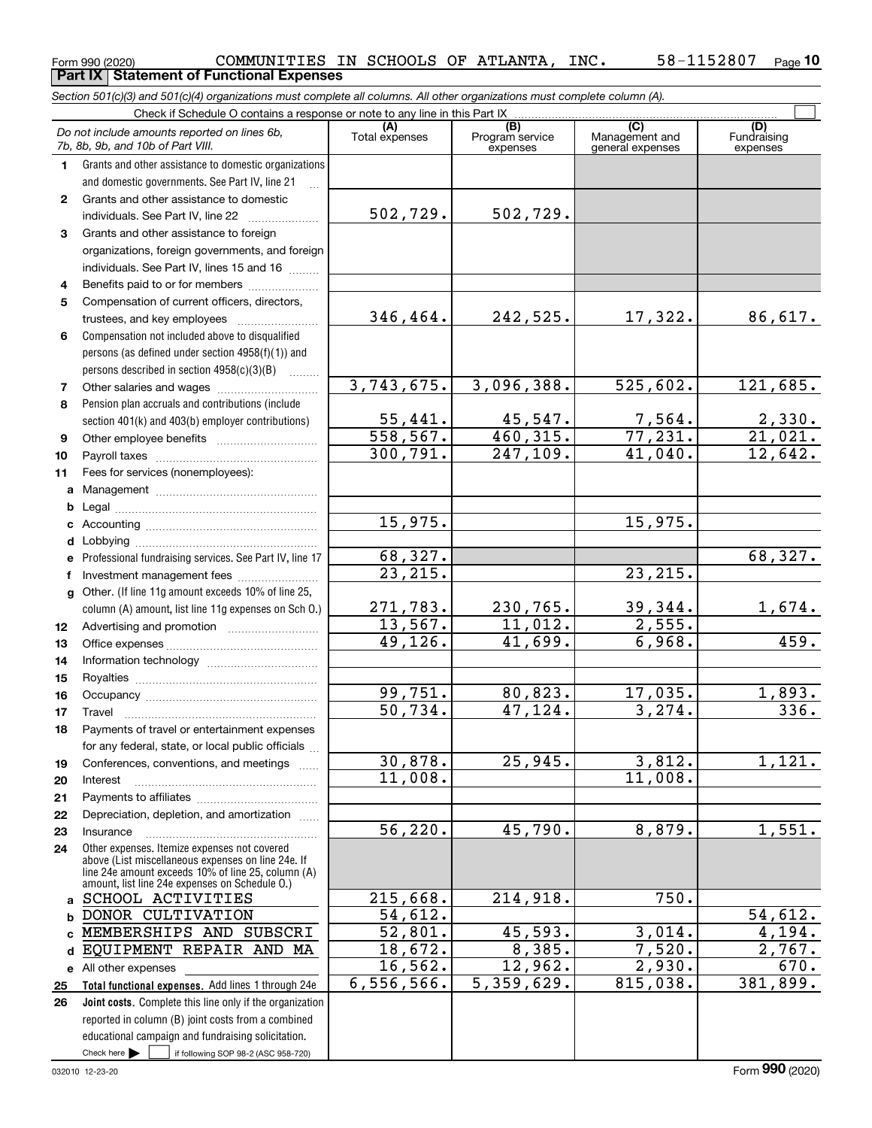Form 990 (2020) Page **Part IX Statement of Functional Expenses** COMMUNITIES IN SCHOOLS OF ATLANTA, INC. 58-1152807

|              | Section 501(c)(3) and 501(c)(4) organizations must complete all columns. All other organizations must complete column (A).                                                                                 |                          |                                    |                                           |                                |
|--------------|------------------------------------------------------------------------------------------------------------------------------------------------------------------------------------------------------------|--------------------------|------------------------------------|-------------------------------------------|--------------------------------|
|              | Check if Schedule O contains a response or note to any line in this Part IX                                                                                                                                |                          |                                    |                                           |                                |
|              | Do not include amounts reported on lines 6b,<br>7b, 8b, 9b, and 10b of Part VIII.                                                                                                                          | (A)<br>Total expenses    | (B)<br>Program service<br>expenses | (C)<br>Management and<br>general expenses | (D)<br>Fundraising<br>expenses |
| 1.           | Grants and other assistance to domestic organizations                                                                                                                                                      |                          |                                    |                                           |                                |
|              | and domestic governments. See Part IV, line 21                                                                                                                                                             |                          |                                    |                                           |                                |
| $\mathbf{2}$ | Grants and other assistance to domestic                                                                                                                                                                    |                          |                                    |                                           |                                |
|              | individuals. See Part IV, line 22                                                                                                                                                                          | 502,729.                 | 502,729.                           |                                           |                                |
| 3            | Grants and other assistance to foreign                                                                                                                                                                     |                          |                                    |                                           |                                |
|              | organizations, foreign governments, and foreign                                                                                                                                                            |                          |                                    |                                           |                                |
|              | individuals. See Part IV, lines 15 and 16                                                                                                                                                                  |                          |                                    |                                           |                                |
| 4            | Benefits paid to or for members                                                                                                                                                                            |                          |                                    |                                           |                                |
| 5            | Compensation of current officers, directors,                                                                                                                                                               |                          |                                    |                                           |                                |
|              | trustees, and key employees                                                                                                                                                                                | 346,464.                 | 242,525.                           | 17,322.                                   | 86,617.                        |
| 6            | Compensation not included above to disqualified                                                                                                                                                            |                          |                                    |                                           |                                |
|              | persons (as defined under section 4958(f)(1)) and                                                                                                                                                          |                          |                                    |                                           |                                |
|              | persons described in section 4958(c)(3)(B)<br>1.1.1.1.1.1.1                                                                                                                                                |                          |                                    |                                           |                                |
| 7            |                                                                                                                                                                                                            | 3,743,675.               | 3,096,388.                         | 525,602.                                  | 121,685.                       |
| 8            | Pension plan accruals and contributions (include                                                                                                                                                           |                          |                                    |                                           |                                |
|              | section 401(k) and 403(b) employer contributions)                                                                                                                                                          | $\frac{55,441}{558,567}$ | $\frac{45,547.}{460,315.}$         | $\frac{7,564}{77,231}$                    | $\frac{2,330}{21,021}$         |
| 9            |                                                                                                                                                                                                            |                          |                                    |                                           |                                |
| 10           |                                                                                                                                                                                                            | 300, 791.                | 247, 109.                          | 41,040.                                   | 12,642.                        |
| 11           | Fees for services (nonemployees):                                                                                                                                                                          |                          |                                    |                                           |                                |
| a            |                                                                                                                                                                                                            |                          |                                    |                                           |                                |
| b            |                                                                                                                                                                                                            |                          |                                    |                                           |                                |
| с            |                                                                                                                                                                                                            | 15,975.                  |                                    | 15,975.                                   |                                |
| d            |                                                                                                                                                                                                            |                          |                                    |                                           |                                |
| е            | Professional fundraising services. See Part IV, line 17                                                                                                                                                    | 68,327.                  |                                    |                                           | 68,327.                        |
| f            | Investment management fees                                                                                                                                                                                 | 23, 215.                 |                                    | 23, 215.                                  |                                |
| g            | Other. (If line 11g amount exceeds 10% of line 25,                                                                                                                                                         |                          |                                    |                                           |                                |
|              | column (A) amount, list line 11g expenses on Sch 0.)                                                                                                                                                       | 271,783.                 | 230,765.                           | 39,344.                                   | 1,674.                         |
| 12           |                                                                                                                                                                                                            | 13,567.                  | 11,012.                            | 2,555.                                    |                                |
| 13           |                                                                                                                                                                                                            | 49,126.                  | 41,699.                            | 6,968.                                    | 459.                           |
| 14           |                                                                                                                                                                                                            |                          |                                    |                                           |                                |
| 15           |                                                                                                                                                                                                            |                          |                                    |                                           |                                |
| 16           |                                                                                                                                                                                                            | 99,751.                  | 80,823.                            | 17,035.                                   | 1,893.                         |
| 17           |                                                                                                                                                                                                            | 50,734.                  | 47,124.                            | 3,274.                                    | 336.                           |
| 18           | Payments of travel or entertainment expenses                                                                                                                                                               |                          |                                    |                                           |                                |
|              | for any federal, state, or local public officials                                                                                                                                                          |                          |                                    |                                           |                                |
| 19           | Conferences, conventions, and meetings                                                                                                                                                                     | 30,878.                  | 25,945.                            | 3,812.                                    | 1,121.                         |
| 20           | Interest                                                                                                                                                                                                   | 11,008.                  |                                    | 11,008.                                   |                                |
| 21           |                                                                                                                                                                                                            |                          |                                    |                                           |                                |
| 22           | Depreciation, depletion, and amortization                                                                                                                                                                  |                          |                                    |                                           |                                |
| 23           | Insurance                                                                                                                                                                                                  | 56,220.                  | 45,790.                            | 8,879.                                    | 1,551.                         |
| 24           | Other expenses. Itemize expenses not covered<br>above (List miscellaneous expenses on line 24e. If<br>line 24e amount exceeds 10% of line 25, column (A)<br>amount, list line 24e expenses on Schedule O.) |                          |                                    |                                           |                                |
|              | a SCHOOL ACTIVITIES                                                                                                                                                                                        | 215,668.                 | 214,918.                           | 750.                                      |                                |
| b            | DONOR CULTIVATION                                                                                                                                                                                          | 54,612.                  |                                    |                                           | 54,612.                        |
| c            | MEMBERSHIPS AND SUBSCRI                                                                                                                                                                                    | 52,801.                  | 45,593.                            | 3,014.                                    | 4,194.                         |
| d            | EQUIPMENT REPAIR AND MA                                                                                                                                                                                    | 18,672.                  | 8,385.                             | 7,520.                                    | 2,767.                         |
|              | e All other expenses                                                                                                                                                                                       | 16, 562.                 | 12,962.                            | 2,930.                                    | 670.                           |
| 25           | Total functional expenses. Add lines 1 through 24e                                                                                                                                                         | 6,556,566.               | 5,359,629.                         | 815,038.                                  | 381,899.                       |
| 26           | Joint costs. Complete this line only if the organization                                                                                                                                                   |                          |                                    |                                           |                                |
|              | reported in column (B) joint costs from a combined                                                                                                                                                         |                          |                                    |                                           |                                |
|              | educational campaign and fundraising solicitation.                                                                                                                                                         |                          |                                    |                                           |                                |

Check here  $\blacktriangleright$ 

Check here  $\begin{array}{|c|c|c|c|c|}\hline \text{ } & \text{ if following SOP 98-2 (ASC 958-720)} \hline \end{array}$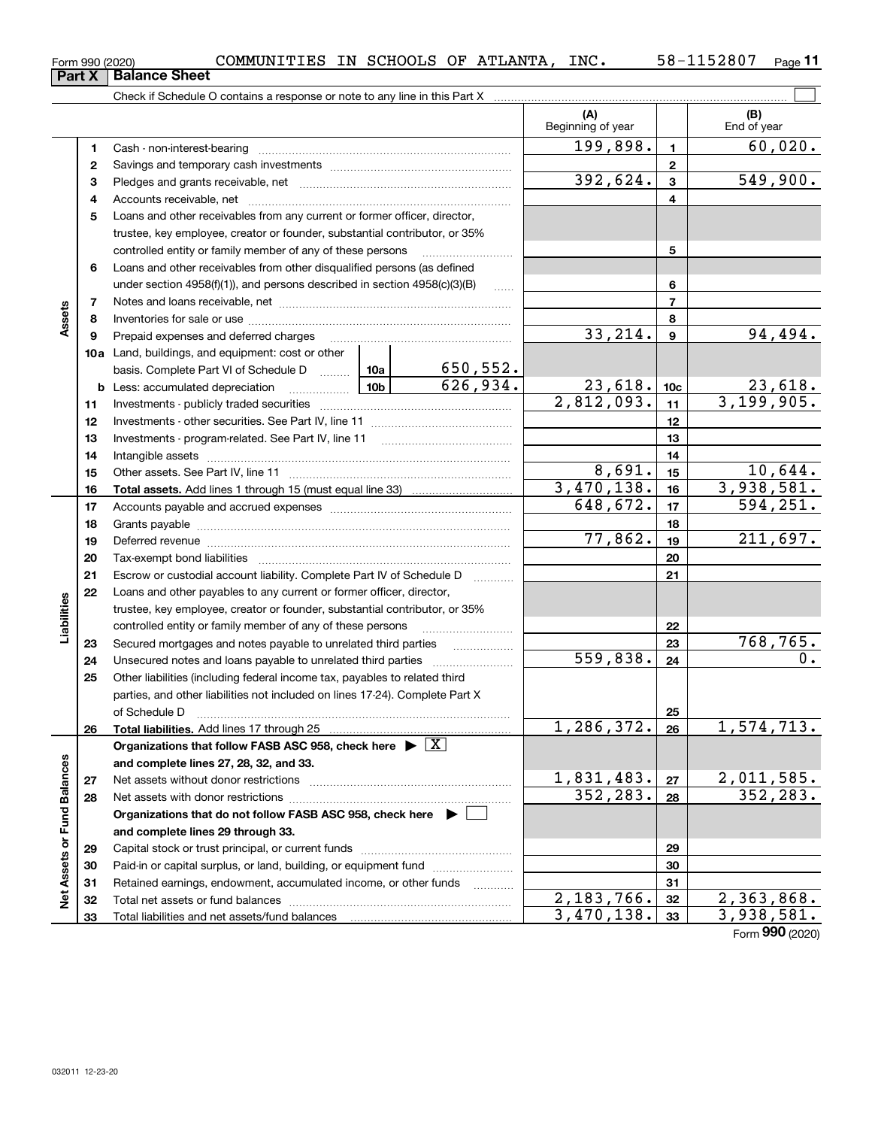| в | Part X   Balance Sheet |
|---|------------------------|
|   |                        |

**11**

|                             |          |                                                                                    |         |                             | (A)<br>Beginning of year |                | (B)<br>End of year             |
|-----------------------------|----------|------------------------------------------------------------------------------------|---------|-----------------------------|--------------------------|----------------|--------------------------------|
|                             | 1        |                                                                                    |         |                             | 199,898.                 | 1              | 60,020.                        |
|                             | 2        |                                                                                    |         |                             |                          | $\mathbf{2}$   |                                |
|                             | з        |                                                                                    |         |                             | 392,624.                 | 3              | 549,900.                       |
|                             | 4        |                                                                                    |         |                             |                          | 4              |                                |
|                             | 5        | Loans and other receivables from any current or former officer, director,          |         |                             |                          |                |                                |
|                             |          | trustee, key employee, creator or founder, substantial contributor, or 35%         |         |                             |                          |                |                                |
|                             |          | controlled entity or family member of any of these persons                         |         |                             |                          | 5              |                                |
|                             | 6        | Loans and other receivables from other disqualified persons (as defined            |         |                             |                          |                |                                |
|                             |          | under section $4958(f)(1)$ , and persons described in section $4958(c)(3)(B)$      |         |                             |                          | 6              |                                |
|                             | 7        |                                                                                    |         |                             |                          | $\overline{7}$ |                                |
| Assets                      | 8        |                                                                                    |         | 8                           |                          |                |                                |
|                             | 9        | Prepaid expenses and deferred charges                                              |         |                             | 33,214.                  | 9              | 94,494.                        |
|                             |          | <b>10a</b> Land, buildings, and equipment: cost or other                           |         |                             |                          |                |                                |
|                             |          | basis. Complete Part VI of Schedule D  10a                                         |         | $\frac{650,552.}{626,934.}$ |                          |                |                                |
|                             |          | $\boxed{10b}$<br><b>b</b> Less: accumulated depreciation                           | 23,618. | 10 <sub>c</sub>             | 23,618.                  |                |                                |
|                             | 11       |                                                                                    |         | $\overline{2,812,093}$ .    | 11                       | 3,199,905.     |                                |
|                             | 12       |                                                                                    |         | 12                          |                          |                |                                |
|                             | 13       | Investments - program-related. See Part IV, line 11                                |         | 13                          |                          |                |                                |
|                             | 14       |                                                                                    |         | 14                          |                          |                |                                |
|                             | 15       |                                                                                    |         | 8,691.                      | 15                       | 10,644.        |                                |
|                             | 16       |                                                                                    |         |                             | 3,470,138.               | 16             | 3,938,581.                     |
|                             | 17       |                                                                                    |         | 648,672.                    | 17                       | 594,251.       |                                |
|                             | 18       |                                                                                    |         | 18                          |                          |                |                                |
|                             | 19       |                                                                                    | 77,862. | 19                          | 211,697.                 |                |                                |
|                             | 20       |                                                                                    |         |                             | 20                       |                |                                |
|                             | 21       | Escrow or custodial account liability. Complete Part IV of Schedule D              |         | 1.1.1.1.1.1.1.1.1.1         |                          | 21             |                                |
|                             | 22       | Loans and other payables to any current or former officer, director,               |         |                             |                          |                |                                |
| Liabilities                 |          | trustee, key employee, creator or founder, substantial contributor, or 35%         |         |                             |                          |                |                                |
|                             |          | controlled entity or family member of any of these persons                         |         |                             |                          | 22             |                                |
|                             | 23       |                                                                                    |         |                             |                          | 23             | 768,765.                       |
|                             | 24       |                                                                                    |         |                             | 559,838.                 | 24             | 0.                             |
|                             | 25       | Other liabilities (including federal income tax, payables to related third         |         |                             |                          |                |                                |
|                             |          | parties, and other liabilities not included on lines 17-24). Complete Part X       |         |                             |                          |                |                                |
|                             |          | of Schedule D                                                                      |         |                             |                          | 25             |                                |
|                             | 26       | Total liabilities. Add lines 17 through 25                                         |         |                             | 1, 286, 372.             | 26             | 1,574,713.                     |
|                             |          | Organizations that follow FASB ASC 958, check here $\blacktriangleright \boxed{X}$ |         |                             |                          |                |                                |
|                             |          | and complete lines 27, 28, 32, and 33.                                             |         |                             |                          |                |                                |
|                             | 27       |                                                                                    |         |                             | 1,831,483.<br>352,283.   | 27             | <u>2,011,585.</u><br>352, 283. |
|                             | 28       |                                                                                    |         |                             |                          | 28             |                                |
|                             |          | Organizations that do not follow FASB ASC 958, check here $\blacktriangleright$    |         |                             |                          |                |                                |
| Net Assets or Fund Balances |          | and complete lines 29 through 33.                                                  |         |                             |                          |                |                                |
|                             | 29       |                                                                                    |         |                             |                          | 29             |                                |
|                             | 30       | Paid-in or capital surplus, or land, building, or equipment fund                   |         |                             |                          | 30             |                                |
|                             | 31       | Retained earnings, endowment, accumulated income, or other funds                   |         |                             | 2, 183, 766.             | 31<br>32       | 2,363,868.                     |
|                             | 32<br>33 |                                                                                    |         |                             | 3,470,138.               | 33             | 3,938,581.                     |
|                             |          |                                                                                    |         |                             |                          |                |                                |

Form (2020) **990**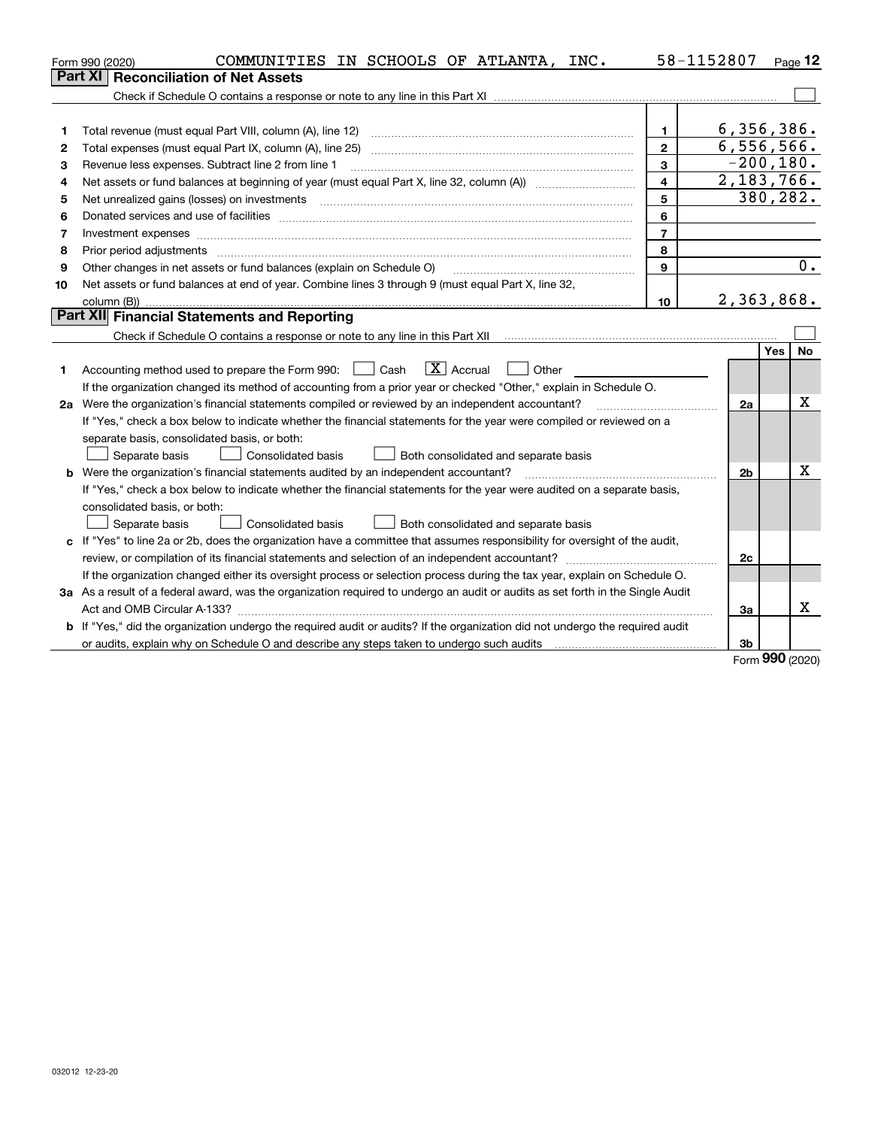|    | COMMUNITIES IN SCHOOLS OF ATLANTA, INC.<br>Form 990 (2020)                                                                      |                         | 58-1152807     |          | $Page$ 12 |
|----|---------------------------------------------------------------------------------------------------------------------------------|-------------------------|----------------|----------|-----------|
|    | <b>Reconciliation of Net Assets</b><br>Part XI                                                                                  |                         |                |          |           |
|    |                                                                                                                                 |                         |                |          |           |
|    |                                                                                                                                 |                         |                |          |           |
| 1  | Total revenue (must equal Part VIII, column (A), line 12)                                                                       | 1                       | 6,356,386.     |          |           |
| 2  | Total expenses (must equal Part IX, column (A), line 25)                                                                        | $\mathbf{2}$            | 6,556,566.     |          |           |
| З  | Revenue less expenses. Subtract line 2 from line 1                                                                              | 3                       | $-200,180.$    |          |           |
| 4  |                                                                                                                                 | $\overline{\mathbf{4}}$ | 2,183,766.     |          |           |
| 5  | Net unrealized gains (losses) on investments                                                                                    | 5                       |                | 380,282. |           |
| 6  |                                                                                                                                 | 6                       |                |          |           |
| 7  | Investment expenses www.communication.com/www.communication.com/www.communication.com/www.com                                   | $\overline{7}$          |                |          |           |
| 8  | Prior period adjustments                                                                                                        | 8                       |                |          |           |
| 9  | Other changes in net assets or fund balances (explain on Schedule O)                                                            | $\mathbf{Q}$            |                |          | 0.        |
| 10 | Net assets or fund balances at end of year. Combine lines 3 through 9 (must equal Part X, line 32,                              |                         |                |          |           |
|    | column (B))                                                                                                                     | 10                      | 2,363,868.     |          |           |
|    | Part XII Financial Statements and Reporting                                                                                     |                         |                |          |           |
|    |                                                                                                                                 |                         |                |          |           |
|    |                                                                                                                                 |                         |                | Yes      | No        |
| 1. | $ X $ Accrual<br>Accounting method used to prepare the Form 990: <u>I</u> Cash<br>Other                                         |                         |                |          |           |
|    | If the organization changed its method of accounting from a prior year or checked "Other," explain in Schedule O.               |                         |                |          |           |
|    | 2a Were the organization's financial statements compiled or reviewed by an independent accountant?                              |                         | 2a             |          | Χ         |
|    | If "Yes," check a box below to indicate whether the financial statements for the year were compiled or reviewed on a            |                         |                |          |           |
|    | separate basis, consolidated basis, or both:                                                                                    |                         |                |          |           |
|    | Separate basis<br><b>Consolidated basis</b><br>Both consolidated and separate basis                                             |                         |                |          |           |
|    | <b>b</b> Were the organization's financial statements audited by an independent accountant?                                     |                         | 2 <sub>b</sub> |          | х         |
|    | If "Yes," check a box below to indicate whether the financial statements for the year were audited on a separate basis,         |                         |                |          |           |
|    | consolidated basis, or both:                                                                                                    |                         |                |          |           |
|    | Separate basis<br><b>Consolidated basis</b><br>Both consolidated and separate basis                                             |                         |                |          |           |
| c  | If "Yes" to line 2a or 2b, does the organization have a committee that assumes responsibility for oversight of the audit,       |                         |                |          |           |
|    |                                                                                                                                 |                         | 2c             |          |           |
|    | If the organization changed either its oversight process or selection process during the tax year, explain on Schedule O.       |                         |                |          |           |
|    | 3a As a result of a federal award, was the organization required to undergo an audit or audits as set forth in the Single Audit |                         |                |          |           |
|    |                                                                                                                                 |                         | 3a             |          | x         |
|    | b If "Yes," did the organization undergo the required audit or audits? If the organization did not undergo the required audit   |                         |                |          |           |
|    |                                                                                                                                 |                         | 3b             |          |           |

Form (2020) **990**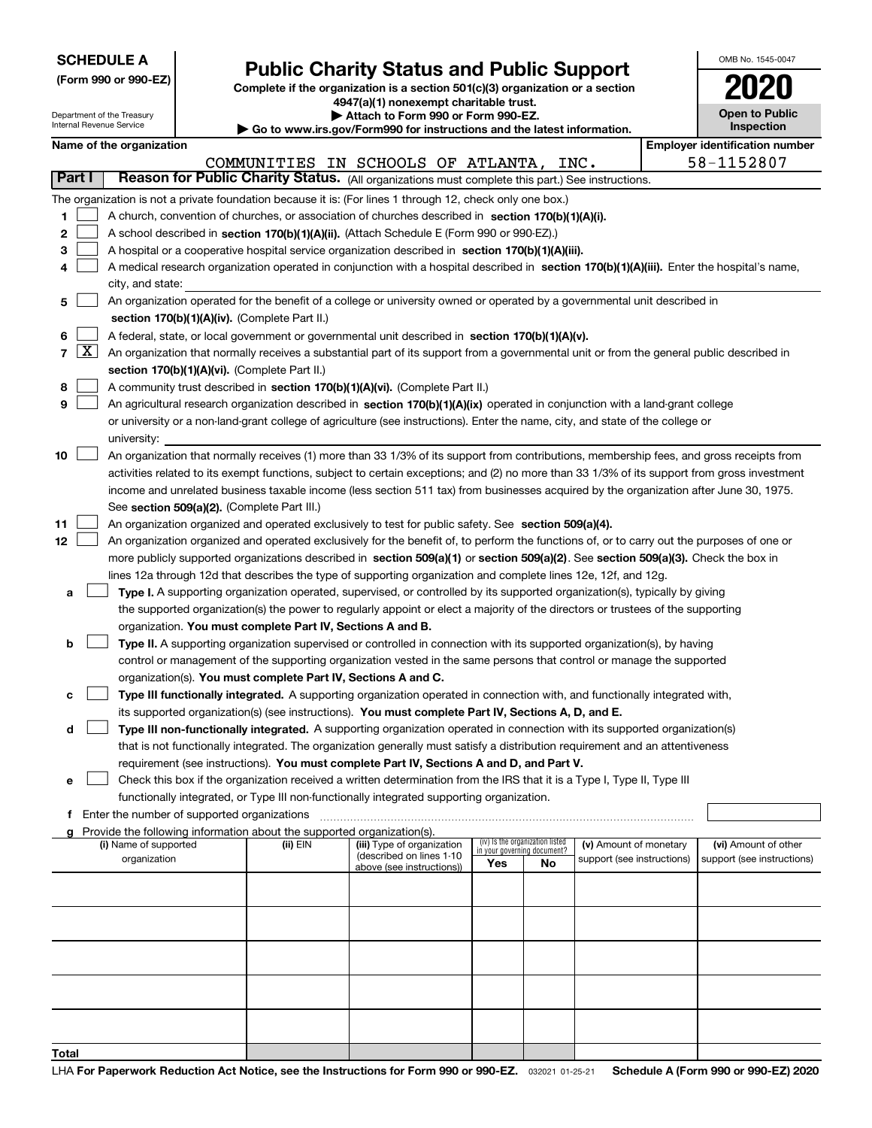| <b>SCHEDULE A</b> |  |  |  |  |  |  |
|-------------------|--|--|--|--|--|--|
|-------------------|--|--|--|--|--|--|

Department of the Treasury

|  |  |  | (Form 990 or 990-EZ) |
|--|--|--|----------------------|
|--|--|--|----------------------|

# **Public Charity Status and Public Support**

**Complete if the organization is a section 501(c)(3) organization or a section 4947(a)(1) nonexempt charitable trust. | Attach to Form 990 or Form 990-EZ.** 

|  |  |  |  | o www.irs.gov/Form990 for instructions and the latest information. |  |
|--|--|--|--|--------------------------------------------------------------------|--|

| OMB No 1545-0047                    |
|-------------------------------------|
| <b>'U2</b><br>U                     |
| <b>Open to Public</b><br>Inspection |

|                 | Internal Revenue Service<br><b>Inspection</b><br>$\blacktriangleright$ Go to www.irs.gov/Form990 for instructions and the latest information. |                                               |                          |                                             |                                                                        |                                                                                                                                                                                                                          |                             |                                 |                            |  |                                       |  |
|-----------------|-----------------------------------------------------------------------------------------------------------------------------------------------|-----------------------------------------------|--------------------------|---------------------------------------------|------------------------------------------------------------------------|--------------------------------------------------------------------------------------------------------------------------------------------------------------------------------------------------------------------------|-----------------------------|---------------------------------|----------------------------|--|---------------------------------------|--|
|                 |                                                                                                                                               |                                               | Name of the organization |                                             |                                                                        |                                                                                                                                                                                                                          |                             |                                 |                            |  | <b>Employer identification number</b> |  |
|                 |                                                                                                                                               |                                               |                          |                                             |                                                                        | COMMUNITIES IN SCHOOLS OF ATLANTA, INC.                                                                                                                                                                                  |                             |                                 |                            |  | 58-1152807                            |  |
|                 | Part I                                                                                                                                        |                                               |                          |                                             |                                                                        | Reason for Public Charity Status. (All organizations must complete this part.) See instructions.                                                                                                                         |                             |                                 |                            |  |                                       |  |
|                 |                                                                                                                                               |                                               |                          |                                             |                                                                        | The organization is not a private foundation because it is: (For lines 1 through 12, check only one box.)                                                                                                                |                             |                                 |                            |  |                                       |  |
| 1.              |                                                                                                                                               |                                               |                          |                                             |                                                                        | A church, convention of churches, or association of churches described in section 170(b)(1)(A)(i).                                                                                                                       |                             |                                 |                            |  |                                       |  |
| 2               |                                                                                                                                               |                                               |                          |                                             |                                                                        | A school described in section 170(b)(1)(A)(ii). (Attach Schedule E (Form 990 or 990-EZ).)                                                                                                                                |                             |                                 |                            |  |                                       |  |
| З               |                                                                                                                                               |                                               |                          |                                             |                                                                        | A hospital or a cooperative hospital service organization described in section 170(b)(1)(A)(iii).                                                                                                                        |                             |                                 |                            |  |                                       |  |
| 4               |                                                                                                                                               |                                               |                          |                                             |                                                                        | A medical research organization operated in conjunction with a hospital described in section 170(b)(1)(A)(iii). Enter the hospital's name,                                                                               |                             |                                 |                            |  |                                       |  |
|                 |                                                                                                                                               |                                               | city, and state:         |                                             |                                                                        |                                                                                                                                                                                                                          |                             |                                 |                            |  |                                       |  |
| 5.              |                                                                                                                                               |                                               |                          |                                             |                                                                        | An organization operated for the benefit of a college or university owned or operated by a governmental unit described in                                                                                                |                             |                                 |                            |  |                                       |  |
|                 |                                                                                                                                               | section 170(b)(1)(A)(iv). (Complete Part II.) |                          |                                             |                                                                        |                                                                                                                                                                                                                          |                             |                                 |                            |  |                                       |  |
| 6.              |                                                                                                                                               |                                               |                          |                                             |                                                                        | A federal, state, or local government or governmental unit described in section 170(b)(1)(A)(v).                                                                                                                         |                             |                                 |                            |  |                                       |  |
|                 | $7 \vert X \vert$                                                                                                                             |                                               |                          |                                             |                                                                        | An organization that normally receives a substantial part of its support from a governmental unit or from the general public described in                                                                                |                             |                                 |                            |  |                                       |  |
|                 |                                                                                                                                               |                                               |                          |                                             | section 170(b)(1)(A)(vi). (Complete Part II.)                          |                                                                                                                                                                                                                          |                             |                                 |                            |  |                                       |  |
| 8               |                                                                                                                                               |                                               |                          |                                             |                                                                        | A community trust described in section 170(b)(1)(A)(vi). (Complete Part II.)                                                                                                                                             |                             |                                 |                            |  |                                       |  |
| 9               |                                                                                                                                               |                                               |                          |                                             |                                                                        | An agricultural research organization described in section 170(b)(1)(A)(ix) operated in conjunction with a land-grant college                                                                                            |                             |                                 |                            |  |                                       |  |
|                 |                                                                                                                                               |                                               |                          |                                             |                                                                        | or university or a non-land-grant college of agriculture (see instructions). Enter the name, city, and state of the college or                                                                                           |                             |                                 |                            |  |                                       |  |
|                 |                                                                                                                                               |                                               | university:              |                                             |                                                                        |                                                                                                                                                                                                                          |                             |                                 |                            |  |                                       |  |
| 10              |                                                                                                                                               |                                               |                          |                                             |                                                                        | An organization that normally receives (1) more than 33 1/3% of its support from contributions, membership fees, and gross receipts from                                                                                 |                             |                                 |                            |  |                                       |  |
|                 |                                                                                                                                               |                                               |                          |                                             |                                                                        | activities related to its exempt functions, subject to certain exceptions; and (2) no more than 33 1/3% of its support from gross investment                                                                             |                             |                                 |                            |  |                                       |  |
|                 |                                                                                                                                               |                                               |                          |                                             |                                                                        | income and unrelated business taxable income (less section 511 tax) from businesses acquired by the organization after June 30, 1975.                                                                                    |                             |                                 |                            |  |                                       |  |
|                 |                                                                                                                                               |                                               |                          |                                             | See section 509(a)(2). (Complete Part III.)                            |                                                                                                                                                                                                                          |                             |                                 |                            |  |                                       |  |
| 11              |                                                                                                                                               |                                               |                          |                                             |                                                                        | An organization organized and operated exclusively to test for public safety. See section 509(a)(4).                                                                                                                     |                             |                                 |                            |  |                                       |  |
| 12 <sub>2</sub> |                                                                                                                                               |                                               |                          |                                             |                                                                        | An organization organized and operated exclusively for the benefit of, to perform the functions of, or to carry out the purposes of one or                                                                               |                             |                                 |                            |  |                                       |  |
|                 |                                                                                                                                               |                                               |                          |                                             |                                                                        | more publicly supported organizations described in section 509(a)(1) or section 509(a)(2). See section 509(a)(3). Check the box in                                                                                       |                             |                                 |                            |  |                                       |  |
|                 |                                                                                                                                               |                                               |                          |                                             |                                                                        | lines 12a through 12d that describes the type of supporting organization and complete lines 12e, 12f, and 12g.                                                                                                           |                             |                                 |                            |  |                                       |  |
| а               |                                                                                                                                               |                                               |                          |                                             |                                                                        | Type I. A supporting organization operated, supervised, or controlled by its supported organization(s), typically by giving                                                                                              |                             |                                 |                            |  |                                       |  |
|                 |                                                                                                                                               |                                               |                          |                                             |                                                                        | the supported organization(s) the power to regularly appoint or elect a majority of the directors or trustees of the supporting                                                                                          |                             |                                 |                            |  |                                       |  |
|                 |                                                                                                                                               |                                               |                          |                                             | organization. You must complete Part IV, Sections A and B.             |                                                                                                                                                                                                                          |                             |                                 |                            |  |                                       |  |
| b               |                                                                                                                                               |                                               |                          |                                             |                                                                        | Type II. A supporting organization supervised or controlled in connection with its supported organization(s), by having                                                                                                  |                             |                                 |                            |  |                                       |  |
|                 |                                                                                                                                               |                                               |                          |                                             |                                                                        | control or management of the supporting organization vested in the same persons that control or manage the supported                                                                                                     |                             |                                 |                            |  |                                       |  |
|                 |                                                                                                                                               |                                               |                          |                                             | organization(s). You must complete Part IV, Sections A and C.          |                                                                                                                                                                                                                          |                             |                                 |                            |  |                                       |  |
| с               |                                                                                                                                               |                                               |                          |                                             |                                                                        | Type III functionally integrated. A supporting organization operated in connection with, and functionally integrated with,                                                                                               |                             |                                 |                            |  |                                       |  |
|                 |                                                                                                                                               |                                               |                          |                                             |                                                                        | its supported organization(s) (see instructions). You must complete Part IV, Sections A, D, and E.                                                                                                                       |                             |                                 |                            |  |                                       |  |
| d               |                                                                                                                                               |                                               |                          |                                             |                                                                        | Type III non-functionally integrated. A supporting organization operated in connection with its supported organization(s)                                                                                                |                             |                                 |                            |  |                                       |  |
|                 |                                                                                                                                               |                                               |                          |                                             |                                                                        | that is not functionally integrated. The organization generally must satisfy a distribution requirement and an attentiveness<br>requirement (see instructions). You must complete Part IV, Sections A and D, and Part V. |                             |                                 |                            |  |                                       |  |
|                 |                                                                                                                                               |                                               |                          |                                             |                                                                        | Check this box if the organization received a written determination from the IRS that it is a Type I, Type II, Type III                                                                                                  |                             |                                 |                            |  |                                       |  |
| е               |                                                                                                                                               |                                               |                          |                                             |                                                                        | functionally integrated, or Type III non-functionally integrated supporting organization.                                                                                                                                |                             |                                 |                            |  |                                       |  |
| f               |                                                                                                                                               |                                               |                          | Enter the number of supported organizations |                                                                        |                                                                                                                                                                                                                          |                             |                                 |                            |  |                                       |  |
| a               |                                                                                                                                               |                                               |                          |                                             | Provide the following information about the supported organization(s). |                                                                                                                                                                                                                          |                             |                                 |                            |  |                                       |  |
|                 |                                                                                                                                               |                                               | (i) Name of supported    |                                             | (ii) $EIN$                                                             | (iii) Type of organization                                                                                                                                                                                               | in your governing document? | (iv) Is the organization listed | (v) Amount of monetary     |  | (vi) Amount of other                  |  |
|                 |                                                                                                                                               |                                               | organization             |                                             |                                                                        | (described on lines 1-10<br>above (see instructions))                                                                                                                                                                    | Yes                         | No                              | support (see instructions) |  | support (see instructions)            |  |
|                 |                                                                                                                                               |                                               |                          |                                             |                                                                        |                                                                                                                                                                                                                          |                             |                                 |                            |  |                                       |  |
|                 |                                                                                                                                               |                                               |                          |                                             |                                                                        |                                                                                                                                                                                                                          |                             |                                 |                            |  |                                       |  |
|                 |                                                                                                                                               |                                               |                          |                                             |                                                                        |                                                                                                                                                                                                                          |                             |                                 |                            |  |                                       |  |
|                 |                                                                                                                                               |                                               |                          |                                             |                                                                        |                                                                                                                                                                                                                          |                             |                                 |                            |  |                                       |  |
|                 |                                                                                                                                               |                                               |                          |                                             |                                                                        |                                                                                                                                                                                                                          |                             |                                 |                            |  |                                       |  |
|                 |                                                                                                                                               |                                               |                          |                                             |                                                                        |                                                                                                                                                                                                                          |                             |                                 |                            |  |                                       |  |
|                 |                                                                                                                                               |                                               |                          |                                             |                                                                        |                                                                                                                                                                                                                          |                             |                                 |                            |  |                                       |  |
|                 |                                                                                                                                               |                                               |                          |                                             |                                                                        |                                                                                                                                                                                                                          |                             |                                 |                            |  |                                       |  |
|                 |                                                                                                                                               |                                               |                          |                                             |                                                                        |                                                                                                                                                                                                                          |                             |                                 |                            |  |                                       |  |
|                 |                                                                                                                                               |                                               |                          |                                             |                                                                        |                                                                                                                                                                                                                          |                             |                                 |                            |  |                                       |  |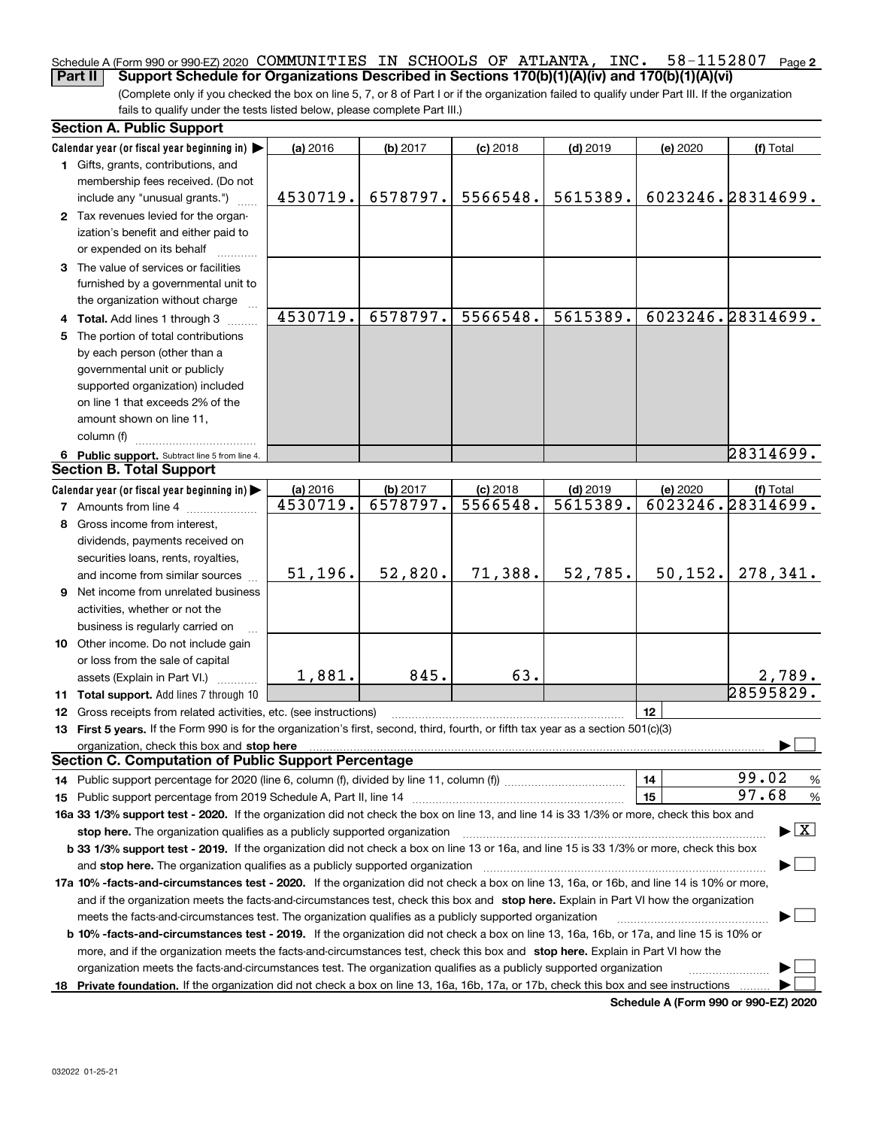#### **2** Schedule A (Form 990 or 990-EZ) 2020  $\,$  COMMUNITIES  $\,$  IN  $\,$  SCHOOLS OF <code>ATLANTA</code> , <code>INC. 58–1152807</code> <code>Page</code> **Part II Support Schedule for Organizations Described in Sections 170(b)(1)(A)(iv) and 170(b)(1)(A)(vi)**

(Complete only if you checked the box on line 5, 7, or 8 of Part I or if the organization failed to qualify under Part III. If the organization fails to qualify under the tests listed below, please complete Part III.)

| Calendar year (or fiscal year beginning in) $\blacktriangleright$<br>(a) 2016<br>$(b)$ 2017<br>$(c)$ 2018<br>$(d)$ 2019<br>(e) 2020<br>(f) Total<br>1 Gifts, grants, contributions, and<br>membership fees received. (Do not<br>6023246.28314699.<br>6578797.<br>5566548.<br>5615389.<br>4530719.<br>include any "unusual grants.")<br>2 Tax revenues levied for the organ-<br>ization's benefit and either paid to<br>or expended on its behalf<br>3 The value of services or facilities<br>furnished by a governmental unit to<br>the organization without charge<br>4530719.<br>6578797.<br>5566548.<br>6023246.28314699.<br>5615389.<br>4 Total. Add lines 1 through 3<br>5 The portion of total contributions<br>by each person (other than a<br>governmental unit or publicly<br>supported organization) included<br>on line 1 that exceeds 2% of the<br>amount shown on line 11,<br>column (f)<br>28314699.<br>6 Public support. Subtract line 5 from line 4.<br><b>Section B. Total Support</b><br>Calendar year (or fiscal year beginning in)<br>(a) 2016<br>(b) 2017<br>$(c)$ 2018<br>$(d)$ 2019<br>(e) 2020<br>(f) Total<br>6023246.28314699.<br>6578797.<br>5566548.<br>5615389.<br>4530719.<br><b>7</b> Amounts from line 4<br>8 Gross income from interest,<br>dividends, payments received on<br>securities loans, rents, royalties,<br>51, 196.<br>52,820.<br>71,388.<br>52,785.<br>50, 152.<br>278,341.<br>and income from similar sources<br>9 Net income from unrelated business<br>activities, whether or not the<br>business is regularly carried on<br>10 Other income. Do not include gain<br>or loss from the sale of capital<br>63.<br>1,881.<br>845.<br>2,789.<br>assets (Explain in Part VI.) <b>Constant</b><br>28595829.<br>11 Total support. Add lines 7 through 10<br>12<br>12 Gross receipts from related activities, etc. (see instructions)<br>13 First 5 years. If the Form 990 is for the organization's first, second, third, fourth, or fifth tax year as a section 501(c)(3)<br>organization, check this box and stop here manufactured and stop here and stop here are all the control of the state of the state of the control of the state of the state of the state of the state of the state of the state<br><b>Section C. Computation of Public Support Percentage</b> | <b>Section A. Public Support</b> |  |  |                                          |
|---------------------------------------------------------------------------------------------------------------------------------------------------------------------------------------------------------------------------------------------------------------------------------------------------------------------------------------------------------------------------------------------------------------------------------------------------------------------------------------------------------------------------------------------------------------------------------------------------------------------------------------------------------------------------------------------------------------------------------------------------------------------------------------------------------------------------------------------------------------------------------------------------------------------------------------------------------------------------------------------------------------------------------------------------------------------------------------------------------------------------------------------------------------------------------------------------------------------------------------------------------------------------------------------------------------------------------------------------------------------------------------------------------------------------------------------------------------------------------------------------------------------------------------------------------------------------------------------------------------------------------------------------------------------------------------------------------------------------------------------------------------------------------------------------------------------------------------------------------------------------------------------------------------------------------------------------------------------------------------------------------------------------------------------------------------------------------------------------------------------------------------------------------------------------------------------------------------------------------------------------------------------------------------------------------------------|----------------------------------|--|--|------------------------------------------|
|                                                                                                                                                                                                                                                                                                                                                                                                                                                                                                                                                                                                                                                                                                                                                                                                                                                                                                                                                                                                                                                                                                                                                                                                                                                                                                                                                                                                                                                                                                                                                                                                                                                                                                                                                                                                                                                                                                                                                                                                                                                                                                                                                                                                                                                                                                                     |                                  |  |  |                                          |
|                                                                                                                                                                                                                                                                                                                                                                                                                                                                                                                                                                                                                                                                                                                                                                                                                                                                                                                                                                                                                                                                                                                                                                                                                                                                                                                                                                                                                                                                                                                                                                                                                                                                                                                                                                                                                                                                                                                                                                                                                                                                                                                                                                                                                                                                                                                     |                                  |  |  |                                          |
|                                                                                                                                                                                                                                                                                                                                                                                                                                                                                                                                                                                                                                                                                                                                                                                                                                                                                                                                                                                                                                                                                                                                                                                                                                                                                                                                                                                                                                                                                                                                                                                                                                                                                                                                                                                                                                                                                                                                                                                                                                                                                                                                                                                                                                                                                                                     |                                  |  |  |                                          |
|                                                                                                                                                                                                                                                                                                                                                                                                                                                                                                                                                                                                                                                                                                                                                                                                                                                                                                                                                                                                                                                                                                                                                                                                                                                                                                                                                                                                                                                                                                                                                                                                                                                                                                                                                                                                                                                                                                                                                                                                                                                                                                                                                                                                                                                                                                                     |                                  |  |  |                                          |
|                                                                                                                                                                                                                                                                                                                                                                                                                                                                                                                                                                                                                                                                                                                                                                                                                                                                                                                                                                                                                                                                                                                                                                                                                                                                                                                                                                                                                                                                                                                                                                                                                                                                                                                                                                                                                                                                                                                                                                                                                                                                                                                                                                                                                                                                                                                     |                                  |  |  |                                          |
|                                                                                                                                                                                                                                                                                                                                                                                                                                                                                                                                                                                                                                                                                                                                                                                                                                                                                                                                                                                                                                                                                                                                                                                                                                                                                                                                                                                                                                                                                                                                                                                                                                                                                                                                                                                                                                                                                                                                                                                                                                                                                                                                                                                                                                                                                                                     |                                  |  |  |                                          |
|                                                                                                                                                                                                                                                                                                                                                                                                                                                                                                                                                                                                                                                                                                                                                                                                                                                                                                                                                                                                                                                                                                                                                                                                                                                                                                                                                                                                                                                                                                                                                                                                                                                                                                                                                                                                                                                                                                                                                                                                                                                                                                                                                                                                                                                                                                                     |                                  |  |  |                                          |
|                                                                                                                                                                                                                                                                                                                                                                                                                                                                                                                                                                                                                                                                                                                                                                                                                                                                                                                                                                                                                                                                                                                                                                                                                                                                                                                                                                                                                                                                                                                                                                                                                                                                                                                                                                                                                                                                                                                                                                                                                                                                                                                                                                                                                                                                                                                     |                                  |  |  |                                          |
|                                                                                                                                                                                                                                                                                                                                                                                                                                                                                                                                                                                                                                                                                                                                                                                                                                                                                                                                                                                                                                                                                                                                                                                                                                                                                                                                                                                                                                                                                                                                                                                                                                                                                                                                                                                                                                                                                                                                                                                                                                                                                                                                                                                                                                                                                                                     |                                  |  |  |                                          |
|                                                                                                                                                                                                                                                                                                                                                                                                                                                                                                                                                                                                                                                                                                                                                                                                                                                                                                                                                                                                                                                                                                                                                                                                                                                                                                                                                                                                                                                                                                                                                                                                                                                                                                                                                                                                                                                                                                                                                                                                                                                                                                                                                                                                                                                                                                                     |                                  |  |  |                                          |
|                                                                                                                                                                                                                                                                                                                                                                                                                                                                                                                                                                                                                                                                                                                                                                                                                                                                                                                                                                                                                                                                                                                                                                                                                                                                                                                                                                                                                                                                                                                                                                                                                                                                                                                                                                                                                                                                                                                                                                                                                                                                                                                                                                                                                                                                                                                     |                                  |  |  |                                          |
|                                                                                                                                                                                                                                                                                                                                                                                                                                                                                                                                                                                                                                                                                                                                                                                                                                                                                                                                                                                                                                                                                                                                                                                                                                                                                                                                                                                                                                                                                                                                                                                                                                                                                                                                                                                                                                                                                                                                                                                                                                                                                                                                                                                                                                                                                                                     |                                  |  |  |                                          |
|                                                                                                                                                                                                                                                                                                                                                                                                                                                                                                                                                                                                                                                                                                                                                                                                                                                                                                                                                                                                                                                                                                                                                                                                                                                                                                                                                                                                                                                                                                                                                                                                                                                                                                                                                                                                                                                                                                                                                                                                                                                                                                                                                                                                                                                                                                                     |                                  |  |  |                                          |
|                                                                                                                                                                                                                                                                                                                                                                                                                                                                                                                                                                                                                                                                                                                                                                                                                                                                                                                                                                                                                                                                                                                                                                                                                                                                                                                                                                                                                                                                                                                                                                                                                                                                                                                                                                                                                                                                                                                                                                                                                                                                                                                                                                                                                                                                                                                     |                                  |  |  |                                          |
|                                                                                                                                                                                                                                                                                                                                                                                                                                                                                                                                                                                                                                                                                                                                                                                                                                                                                                                                                                                                                                                                                                                                                                                                                                                                                                                                                                                                                                                                                                                                                                                                                                                                                                                                                                                                                                                                                                                                                                                                                                                                                                                                                                                                                                                                                                                     |                                  |  |  |                                          |
|                                                                                                                                                                                                                                                                                                                                                                                                                                                                                                                                                                                                                                                                                                                                                                                                                                                                                                                                                                                                                                                                                                                                                                                                                                                                                                                                                                                                                                                                                                                                                                                                                                                                                                                                                                                                                                                                                                                                                                                                                                                                                                                                                                                                                                                                                                                     |                                  |  |  |                                          |
|                                                                                                                                                                                                                                                                                                                                                                                                                                                                                                                                                                                                                                                                                                                                                                                                                                                                                                                                                                                                                                                                                                                                                                                                                                                                                                                                                                                                                                                                                                                                                                                                                                                                                                                                                                                                                                                                                                                                                                                                                                                                                                                                                                                                                                                                                                                     |                                  |  |  |                                          |
|                                                                                                                                                                                                                                                                                                                                                                                                                                                                                                                                                                                                                                                                                                                                                                                                                                                                                                                                                                                                                                                                                                                                                                                                                                                                                                                                                                                                                                                                                                                                                                                                                                                                                                                                                                                                                                                                                                                                                                                                                                                                                                                                                                                                                                                                                                                     |                                  |  |  |                                          |
|                                                                                                                                                                                                                                                                                                                                                                                                                                                                                                                                                                                                                                                                                                                                                                                                                                                                                                                                                                                                                                                                                                                                                                                                                                                                                                                                                                                                                                                                                                                                                                                                                                                                                                                                                                                                                                                                                                                                                                                                                                                                                                                                                                                                                                                                                                                     |                                  |  |  |                                          |
|                                                                                                                                                                                                                                                                                                                                                                                                                                                                                                                                                                                                                                                                                                                                                                                                                                                                                                                                                                                                                                                                                                                                                                                                                                                                                                                                                                                                                                                                                                                                                                                                                                                                                                                                                                                                                                                                                                                                                                                                                                                                                                                                                                                                                                                                                                                     |                                  |  |  |                                          |
|                                                                                                                                                                                                                                                                                                                                                                                                                                                                                                                                                                                                                                                                                                                                                                                                                                                                                                                                                                                                                                                                                                                                                                                                                                                                                                                                                                                                                                                                                                                                                                                                                                                                                                                                                                                                                                                                                                                                                                                                                                                                                                                                                                                                                                                                                                                     |                                  |  |  |                                          |
|                                                                                                                                                                                                                                                                                                                                                                                                                                                                                                                                                                                                                                                                                                                                                                                                                                                                                                                                                                                                                                                                                                                                                                                                                                                                                                                                                                                                                                                                                                                                                                                                                                                                                                                                                                                                                                                                                                                                                                                                                                                                                                                                                                                                                                                                                                                     |                                  |  |  |                                          |
|                                                                                                                                                                                                                                                                                                                                                                                                                                                                                                                                                                                                                                                                                                                                                                                                                                                                                                                                                                                                                                                                                                                                                                                                                                                                                                                                                                                                                                                                                                                                                                                                                                                                                                                                                                                                                                                                                                                                                                                                                                                                                                                                                                                                                                                                                                                     |                                  |  |  |                                          |
|                                                                                                                                                                                                                                                                                                                                                                                                                                                                                                                                                                                                                                                                                                                                                                                                                                                                                                                                                                                                                                                                                                                                                                                                                                                                                                                                                                                                                                                                                                                                                                                                                                                                                                                                                                                                                                                                                                                                                                                                                                                                                                                                                                                                                                                                                                                     |                                  |  |  |                                          |
|                                                                                                                                                                                                                                                                                                                                                                                                                                                                                                                                                                                                                                                                                                                                                                                                                                                                                                                                                                                                                                                                                                                                                                                                                                                                                                                                                                                                                                                                                                                                                                                                                                                                                                                                                                                                                                                                                                                                                                                                                                                                                                                                                                                                                                                                                                                     |                                  |  |  |                                          |
|                                                                                                                                                                                                                                                                                                                                                                                                                                                                                                                                                                                                                                                                                                                                                                                                                                                                                                                                                                                                                                                                                                                                                                                                                                                                                                                                                                                                                                                                                                                                                                                                                                                                                                                                                                                                                                                                                                                                                                                                                                                                                                                                                                                                                                                                                                                     |                                  |  |  |                                          |
|                                                                                                                                                                                                                                                                                                                                                                                                                                                                                                                                                                                                                                                                                                                                                                                                                                                                                                                                                                                                                                                                                                                                                                                                                                                                                                                                                                                                                                                                                                                                                                                                                                                                                                                                                                                                                                                                                                                                                                                                                                                                                                                                                                                                                                                                                                                     |                                  |  |  |                                          |
|                                                                                                                                                                                                                                                                                                                                                                                                                                                                                                                                                                                                                                                                                                                                                                                                                                                                                                                                                                                                                                                                                                                                                                                                                                                                                                                                                                                                                                                                                                                                                                                                                                                                                                                                                                                                                                                                                                                                                                                                                                                                                                                                                                                                                                                                                                                     |                                  |  |  |                                          |
|                                                                                                                                                                                                                                                                                                                                                                                                                                                                                                                                                                                                                                                                                                                                                                                                                                                                                                                                                                                                                                                                                                                                                                                                                                                                                                                                                                                                                                                                                                                                                                                                                                                                                                                                                                                                                                                                                                                                                                                                                                                                                                                                                                                                                                                                                                                     |                                  |  |  |                                          |
|                                                                                                                                                                                                                                                                                                                                                                                                                                                                                                                                                                                                                                                                                                                                                                                                                                                                                                                                                                                                                                                                                                                                                                                                                                                                                                                                                                                                                                                                                                                                                                                                                                                                                                                                                                                                                                                                                                                                                                                                                                                                                                                                                                                                                                                                                                                     |                                  |  |  |                                          |
|                                                                                                                                                                                                                                                                                                                                                                                                                                                                                                                                                                                                                                                                                                                                                                                                                                                                                                                                                                                                                                                                                                                                                                                                                                                                                                                                                                                                                                                                                                                                                                                                                                                                                                                                                                                                                                                                                                                                                                                                                                                                                                                                                                                                                                                                                                                     |                                  |  |  |                                          |
|                                                                                                                                                                                                                                                                                                                                                                                                                                                                                                                                                                                                                                                                                                                                                                                                                                                                                                                                                                                                                                                                                                                                                                                                                                                                                                                                                                                                                                                                                                                                                                                                                                                                                                                                                                                                                                                                                                                                                                                                                                                                                                                                                                                                                                                                                                                     |                                  |  |  |                                          |
|                                                                                                                                                                                                                                                                                                                                                                                                                                                                                                                                                                                                                                                                                                                                                                                                                                                                                                                                                                                                                                                                                                                                                                                                                                                                                                                                                                                                                                                                                                                                                                                                                                                                                                                                                                                                                                                                                                                                                                                                                                                                                                                                                                                                                                                                                                                     |                                  |  |  |                                          |
|                                                                                                                                                                                                                                                                                                                                                                                                                                                                                                                                                                                                                                                                                                                                                                                                                                                                                                                                                                                                                                                                                                                                                                                                                                                                                                                                                                                                                                                                                                                                                                                                                                                                                                                                                                                                                                                                                                                                                                                                                                                                                                                                                                                                                                                                                                                     |                                  |  |  |                                          |
|                                                                                                                                                                                                                                                                                                                                                                                                                                                                                                                                                                                                                                                                                                                                                                                                                                                                                                                                                                                                                                                                                                                                                                                                                                                                                                                                                                                                                                                                                                                                                                                                                                                                                                                                                                                                                                                                                                                                                                                                                                                                                                                                                                                                                                                                                                                     |                                  |  |  |                                          |
|                                                                                                                                                                                                                                                                                                                                                                                                                                                                                                                                                                                                                                                                                                                                                                                                                                                                                                                                                                                                                                                                                                                                                                                                                                                                                                                                                                                                                                                                                                                                                                                                                                                                                                                                                                                                                                                                                                                                                                                                                                                                                                                                                                                                                                                                                                                     |                                  |  |  |                                          |
|                                                                                                                                                                                                                                                                                                                                                                                                                                                                                                                                                                                                                                                                                                                                                                                                                                                                                                                                                                                                                                                                                                                                                                                                                                                                                                                                                                                                                                                                                                                                                                                                                                                                                                                                                                                                                                                                                                                                                                                                                                                                                                                                                                                                                                                                                                                     |                                  |  |  |                                          |
|                                                                                                                                                                                                                                                                                                                                                                                                                                                                                                                                                                                                                                                                                                                                                                                                                                                                                                                                                                                                                                                                                                                                                                                                                                                                                                                                                                                                                                                                                                                                                                                                                                                                                                                                                                                                                                                                                                                                                                                                                                                                                                                                                                                                                                                                                                                     |                                  |  |  |                                          |
| 99.02<br>14<br>14 Public support percentage for 2020 (line 6, column (f), divided by line 11, column (f) <i>marroummaname</i>                                                                                                                                                                                                                                                                                                                                                                                                                                                                                                                                                                                                                                                                                                                                                                                                                                                                                                                                                                                                                                                                                                                                                                                                                                                                                                                                                                                                                                                                                                                                                                                                                                                                                                                                                                                                                                                                                                                                                                                                                                                                                                                                                                                       |                                  |  |  | $\%$                                     |
| 97.68<br>15                                                                                                                                                                                                                                                                                                                                                                                                                                                                                                                                                                                                                                                                                                                                                                                                                                                                                                                                                                                                                                                                                                                                                                                                                                                                                                                                                                                                                                                                                                                                                                                                                                                                                                                                                                                                                                                                                                                                                                                                                                                                                                                                                                                                                                                                                                         |                                  |  |  | %                                        |
| 16a 33 1/3% support test - 2020. If the organization did not check the box on line 13, and line 14 is 33 1/3% or more, check this box and                                                                                                                                                                                                                                                                                                                                                                                                                                                                                                                                                                                                                                                                                                                                                                                                                                                                                                                                                                                                                                                                                                                                                                                                                                                                                                                                                                                                                                                                                                                                                                                                                                                                                                                                                                                                                                                                                                                                                                                                                                                                                                                                                                           |                                  |  |  |                                          |
| stop here. The organization qualifies as a publicly supported organization                                                                                                                                                                                                                                                                                                                                                                                                                                                                                                                                                                                                                                                                                                                                                                                                                                                                                                                                                                                                                                                                                                                                                                                                                                                                                                                                                                                                                                                                                                                                                                                                                                                                                                                                                                                                                                                                                                                                                                                                                                                                                                                                                                                                                                          |                                  |  |  | $\blacktriangleright$ $\boxed{\text{X}}$ |
| b 33 1/3% support test - 2019. If the organization did not check a box on line 13 or 16a, and line 15 is 33 1/3% or more, check this box                                                                                                                                                                                                                                                                                                                                                                                                                                                                                                                                                                                                                                                                                                                                                                                                                                                                                                                                                                                                                                                                                                                                                                                                                                                                                                                                                                                                                                                                                                                                                                                                                                                                                                                                                                                                                                                                                                                                                                                                                                                                                                                                                                            |                                  |  |  |                                          |
| and stop here. The organization qualifies as a publicly supported organization                                                                                                                                                                                                                                                                                                                                                                                                                                                                                                                                                                                                                                                                                                                                                                                                                                                                                                                                                                                                                                                                                                                                                                                                                                                                                                                                                                                                                                                                                                                                                                                                                                                                                                                                                                                                                                                                                                                                                                                                                                                                                                                                                                                                                                      |                                  |  |  |                                          |
| 17a 10% -facts-and-circumstances test - 2020. If the organization did not check a box on line 13, 16a, or 16b, and line 14 is 10% or more,                                                                                                                                                                                                                                                                                                                                                                                                                                                                                                                                                                                                                                                                                                                                                                                                                                                                                                                                                                                                                                                                                                                                                                                                                                                                                                                                                                                                                                                                                                                                                                                                                                                                                                                                                                                                                                                                                                                                                                                                                                                                                                                                                                          |                                  |  |  |                                          |
| and if the organization meets the facts and circumstances test, check this box and stop here. Explain in Part VI how the organization                                                                                                                                                                                                                                                                                                                                                                                                                                                                                                                                                                                                                                                                                                                                                                                                                                                                                                                                                                                                                                                                                                                                                                                                                                                                                                                                                                                                                                                                                                                                                                                                                                                                                                                                                                                                                                                                                                                                                                                                                                                                                                                                                                               |                                  |  |  |                                          |
| meets the facts-and-circumstances test. The organization qualifies as a publicly supported organization                                                                                                                                                                                                                                                                                                                                                                                                                                                                                                                                                                                                                                                                                                                                                                                                                                                                                                                                                                                                                                                                                                                                                                                                                                                                                                                                                                                                                                                                                                                                                                                                                                                                                                                                                                                                                                                                                                                                                                                                                                                                                                                                                                                                             |                                  |  |  |                                          |
| <b>b 10% -facts-and-circumstances test - 2019.</b> If the organization did not check a box on line 13, 16a, 16b, or 17a, and line 15 is 10% or                                                                                                                                                                                                                                                                                                                                                                                                                                                                                                                                                                                                                                                                                                                                                                                                                                                                                                                                                                                                                                                                                                                                                                                                                                                                                                                                                                                                                                                                                                                                                                                                                                                                                                                                                                                                                                                                                                                                                                                                                                                                                                                                                                      |                                  |  |  |                                          |
| more, and if the organization meets the facts-and-circumstances test, check this box and stop here. Explain in Part VI how the                                                                                                                                                                                                                                                                                                                                                                                                                                                                                                                                                                                                                                                                                                                                                                                                                                                                                                                                                                                                                                                                                                                                                                                                                                                                                                                                                                                                                                                                                                                                                                                                                                                                                                                                                                                                                                                                                                                                                                                                                                                                                                                                                                                      |                                  |  |  |                                          |
| organization meets the facts-and-circumstances test. The organization qualifies as a publicly supported organization                                                                                                                                                                                                                                                                                                                                                                                                                                                                                                                                                                                                                                                                                                                                                                                                                                                                                                                                                                                                                                                                                                                                                                                                                                                                                                                                                                                                                                                                                                                                                                                                                                                                                                                                                                                                                                                                                                                                                                                                                                                                                                                                                                                                |                                  |  |  |                                          |
| 18 Private foundation. If the organization did not check a box on line 13, 16a, 16b, 17a, or 17b, check this box and see instructions                                                                                                                                                                                                                                                                                                                                                                                                                                                                                                                                                                                                                                                                                                                                                                                                                                                                                                                                                                                                                                                                                                                                                                                                                                                                                                                                                                                                                                                                                                                                                                                                                                                                                                                                                                                                                                                                                                                                                                                                                                                                                                                                                                               |                                  |  |  |                                          |

**Schedule A (Form 990 or 990-EZ) 2020**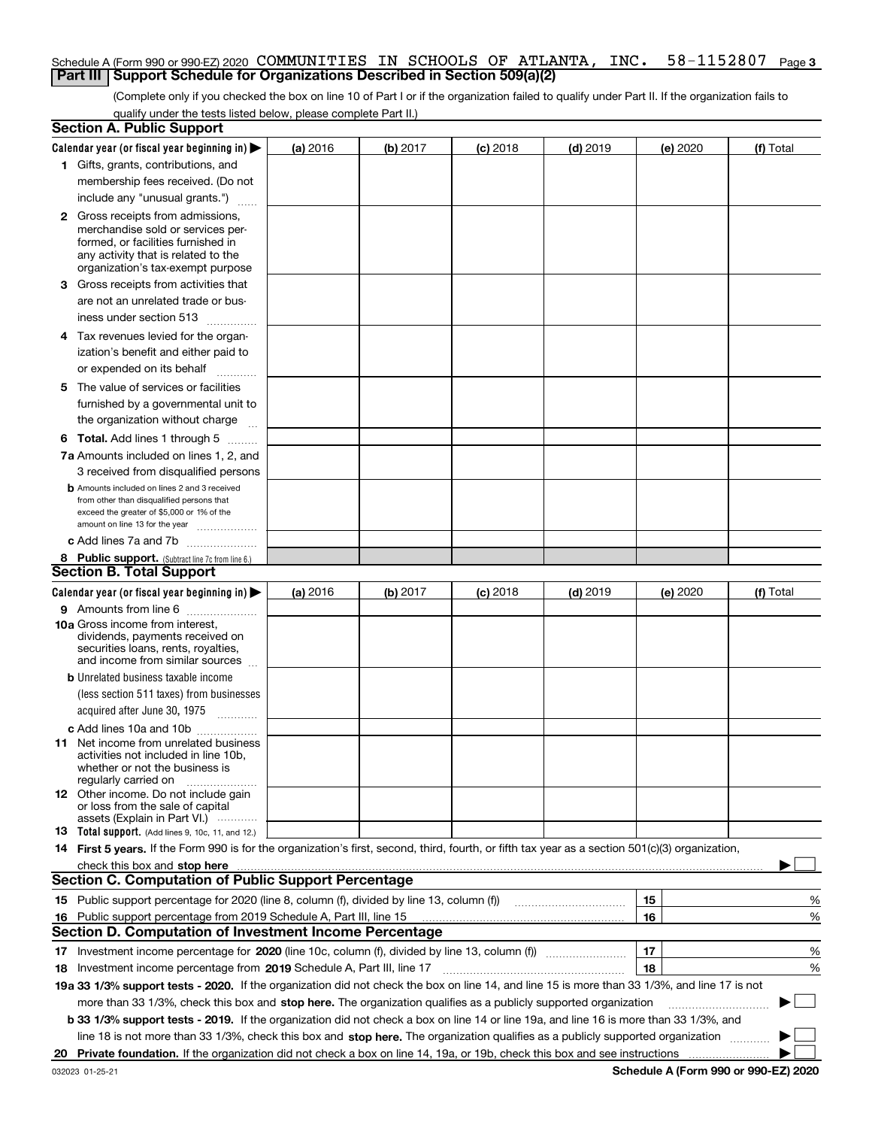#### **3** Schedule A (Form 990 or 990-EZ) 2020  $\,$  COMMUNITIES  $\,$  IN  $\,$  SCHOOLS OF <code>ATLANTA</code> , <code>INC. 58–1152807</code> <code>Page</code> **Part III Support Schedule for Organizations Described in Section 509(a)(2)**

(Complete only if you checked the box on line 10 of Part I or if the organization failed to qualify under Part II. If the organization fails to qualify under the tests listed below, please complete Part II.)

|    | <b>Section A. Public Support</b>                                                                                                                 |          |          |            |            |          |           |
|----|--------------------------------------------------------------------------------------------------------------------------------------------------|----------|----------|------------|------------|----------|-----------|
|    | Calendar year (or fiscal year beginning in) $\blacktriangleright$                                                                                | (a) 2016 | (b) 2017 | $(c)$ 2018 | $(d)$ 2019 | (e) 2020 | (f) Total |
|    | 1 Gifts, grants, contributions, and                                                                                                              |          |          |            |            |          |           |
|    | membership fees received. (Do not                                                                                                                |          |          |            |            |          |           |
|    | include any "unusual grants.")                                                                                                                   |          |          |            |            |          |           |
|    | <b>2</b> Gross receipts from admissions,                                                                                                         |          |          |            |            |          |           |
|    | merchandise sold or services per-                                                                                                                |          |          |            |            |          |           |
|    | formed, or facilities furnished in                                                                                                               |          |          |            |            |          |           |
|    | any activity that is related to the<br>organization's tax-exempt purpose                                                                         |          |          |            |            |          |           |
|    | 3 Gross receipts from activities that                                                                                                            |          |          |            |            |          |           |
|    | are not an unrelated trade or bus-                                                                                                               |          |          |            |            |          |           |
|    |                                                                                                                                                  |          |          |            |            |          |           |
|    | iness under section 513                                                                                                                          |          |          |            |            |          |           |
|    | 4 Tax revenues levied for the organ-                                                                                                             |          |          |            |            |          |           |
|    | ization's benefit and either paid to                                                                                                             |          |          |            |            |          |           |
|    | or expended on its behalf<br>.                                                                                                                   |          |          |            |            |          |           |
|    | 5 The value of services or facilities                                                                                                            |          |          |            |            |          |           |
|    | furnished by a governmental unit to                                                                                                              |          |          |            |            |          |           |
|    | the organization without charge                                                                                                                  |          |          |            |            |          |           |
|    | <b>6 Total.</b> Add lines 1 through 5                                                                                                            |          |          |            |            |          |           |
|    | 7a Amounts included on lines 1, 2, and                                                                                                           |          |          |            |            |          |           |
|    | 3 received from disqualified persons                                                                                                             |          |          |            |            |          |           |
|    | <b>b</b> Amounts included on lines 2 and 3 received                                                                                              |          |          |            |            |          |           |
|    | from other than disqualified persons that                                                                                                        |          |          |            |            |          |           |
|    | exceed the greater of \$5,000 or 1% of the<br>amount on line 13 for the year                                                                     |          |          |            |            |          |           |
|    | c Add lines 7a and 7b                                                                                                                            |          |          |            |            |          |           |
|    | 8 Public support. (Subtract line 7c from line 6.)                                                                                                |          |          |            |            |          |           |
|    | <b>Section B. Total Support</b>                                                                                                                  |          |          |            |            |          |           |
|    | Calendar year (or fiscal year beginning in)                                                                                                      | (a) 2016 | (b) 2017 | $(c)$ 2018 | $(d)$ 2019 | (e) 2020 | (f) Total |
|    | 9 Amounts from line 6                                                                                                                            |          |          |            |            |          |           |
|    | <b>10a</b> Gross income from interest,                                                                                                           |          |          |            |            |          |           |
|    | dividends, payments received on                                                                                                                  |          |          |            |            |          |           |
|    | securities loans, rents, royalties,<br>and income from similar sources                                                                           |          |          |            |            |          |           |
|    | <b>b</b> Unrelated business taxable income                                                                                                       |          |          |            |            |          |           |
|    | (less section 511 taxes) from businesses                                                                                                         |          |          |            |            |          |           |
|    | acquired after June 30, 1975 [10001]                                                                                                             |          |          |            |            |          |           |
|    |                                                                                                                                                  |          |          |            |            |          |           |
|    | c Add lines 10a and 10b<br>11 Net income from unrelated business                                                                                 |          |          |            |            |          |           |
|    | activities not included in line 10b,                                                                                                             |          |          |            |            |          |           |
|    | whether or not the business is                                                                                                                   |          |          |            |            |          |           |
|    | regularly carried on                                                                                                                             |          |          |            |            |          |           |
|    | <b>12</b> Other income. Do not include gain<br>or loss from the sale of capital                                                                  |          |          |            |            |          |           |
|    | assets (Explain in Part VI.)                                                                                                                     |          |          |            |            |          |           |
|    | <b>13</b> Total support. (Add lines 9, 10c, 11, and 12.)                                                                                         |          |          |            |            |          |           |
|    | 14 First 5 years. If the Form 990 is for the organization's first, second, third, fourth, or fifth tax year as a section 501(c)(3) organization, |          |          |            |            |          |           |
|    | check this box and stop here measurements are constructed as the state of the state of the state of the state o                                  |          |          |            |            |          |           |
|    | <b>Section C. Computation of Public Support Percentage</b>                                                                                       |          |          |            |            |          |           |
|    | 15 Public support percentage for 2020 (line 8, column (f), divided by line 13, column (f))                                                       |          |          |            |            | 15       | %         |
|    | 16 Public support percentage from 2019 Schedule A, Part III, line 15                                                                             |          |          |            |            | 16       | %         |
|    | Section D. Computation of Investment Income Percentage                                                                                           |          |          |            |            |          |           |
|    | 17 Investment income percentage for 2020 (line 10c, column (f), divided by line 13, column (f))                                                  |          |          |            |            | 17       | %         |
|    | <b>18</b> Investment income percentage from <b>2019</b> Schedule A, Part III, line 17                                                            |          |          |            |            | 18       | %         |
|    | 19a 33 1/3% support tests - 2020. If the organization did not check the box on line 14, and line 15 is more than 33 1/3%, and line 17 is not     |          |          |            |            |          |           |
|    | more than 33 1/3%, check this box and stop here. The organization qualifies as a publicly supported organization                                 |          |          |            |            |          | ▶         |
|    | b 33 1/3% support tests - 2019. If the organization did not check a box on line 14 or line 19a, and line 16 is more than 33 1/3%, and            |          |          |            |            |          |           |
|    | line 18 is not more than 33 1/3%, check this box and stop here. The organization qualifies as a publicly supported organization                  |          |          |            |            |          |           |
| 20 |                                                                                                                                                  |          |          |            |            |          |           |
|    |                                                                                                                                                  |          |          |            |            |          |           |

**Schedule A (Form 990 or 990-EZ) 2020**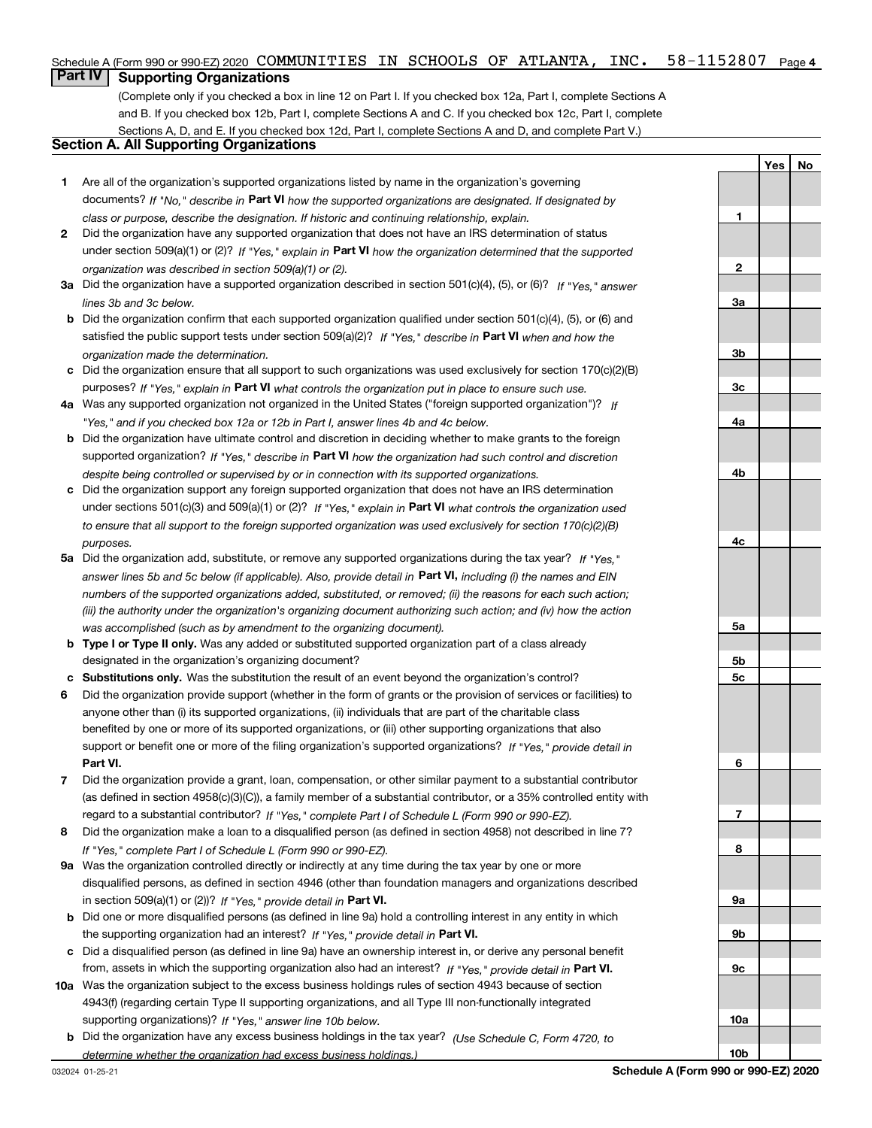#### $58 - 1152807$  Page 4 Schedule A (Form 990 or 990-EZ) 2020  $\,$  COMMUNITIES  $\,$  IN  $\,$  SCHOOLS OF <code>ATLANTA</code> , <code>INC. 58–1152807</code> <code>Page</code>

# **Part IV Supporting Organizations**

(Complete only if you checked a box in line 12 on Part I. If you checked box 12a, Part I, complete Sections A and B. If you checked box 12b, Part I, complete Sections A and C. If you checked box 12c, Part I, complete Sections A, D, and E. If you checked box 12d, Part I, complete Sections A and D, and complete Part V.)

## **Section A. All Supporting Organizations**

- **1** Are all of the organization's supported organizations listed by name in the organization's governing documents? If "No," describe in **Part VI** how the supported organizations are designated. If designated by *class or purpose, describe the designation. If historic and continuing relationship, explain.*
- **2** Did the organization have any supported organization that does not have an IRS determination of status under section 509(a)(1) or (2)? If "Yes," explain in Part VI how the organization determined that the supported *organization was described in section 509(a)(1) or (2).*
- **3a** Did the organization have a supported organization described in section 501(c)(4), (5), or (6)? If "Yes," answer *lines 3b and 3c below.*
- **b** Did the organization confirm that each supported organization qualified under section 501(c)(4), (5), or (6) and satisfied the public support tests under section 509(a)(2)? If "Yes," describe in **Part VI** when and how the *organization made the determination.*
- **c**Did the organization ensure that all support to such organizations was used exclusively for section 170(c)(2)(B) purposes? If "Yes," explain in **Part VI** what controls the organization put in place to ensure such use.
- **4a***If* Was any supported organization not organized in the United States ("foreign supported organization")? *"Yes," and if you checked box 12a or 12b in Part I, answer lines 4b and 4c below.*
- **b** Did the organization have ultimate control and discretion in deciding whether to make grants to the foreign supported organization? If "Yes," describe in **Part VI** how the organization had such control and discretion *despite being controlled or supervised by or in connection with its supported organizations.*
- **c** Did the organization support any foreign supported organization that does not have an IRS determination under sections 501(c)(3) and 509(a)(1) or (2)? If "Yes," explain in **Part VI** what controls the organization used *to ensure that all support to the foreign supported organization was used exclusively for section 170(c)(2)(B) purposes.*
- **5a***If "Yes,"* Did the organization add, substitute, or remove any supported organizations during the tax year? answer lines 5b and 5c below (if applicable). Also, provide detail in **Part VI,** including (i) the names and EIN *numbers of the supported organizations added, substituted, or removed; (ii) the reasons for each such action; (iii) the authority under the organization's organizing document authorizing such action; and (iv) how the action was accomplished (such as by amendment to the organizing document).*
- **b** Type I or Type II only. Was any added or substituted supported organization part of a class already designated in the organization's organizing document?
- **cSubstitutions only.**  Was the substitution the result of an event beyond the organization's control?
- **6** Did the organization provide support (whether in the form of grants or the provision of services or facilities) to **Part VI.** *If "Yes," provide detail in* support or benefit one or more of the filing organization's supported organizations? anyone other than (i) its supported organizations, (ii) individuals that are part of the charitable class benefited by one or more of its supported organizations, or (iii) other supporting organizations that also
- **7**Did the organization provide a grant, loan, compensation, or other similar payment to a substantial contributor *If "Yes," complete Part I of Schedule L (Form 990 or 990-EZ).* regard to a substantial contributor? (as defined in section 4958(c)(3)(C)), a family member of a substantial contributor, or a 35% controlled entity with
- **8** Did the organization make a loan to a disqualified person (as defined in section 4958) not described in line 7? *If "Yes," complete Part I of Schedule L (Form 990 or 990-EZ).*
- **9a** Was the organization controlled directly or indirectly at any time during the tax year by one or more in section 509(a)(1) or (2))? If "Yes," *provide detail in* <code>Part VI.</code> disqualified persons, as defined in section 4946 (other than foundation managers and organizations described
- **b** Did one or more disqualified persons (as defined in line 9a) hold a controlling interest in any entity in which the supporting organization had an interest? If "Yes," provide detail in P**art VI**.
- **c**Did a disqualified person (as defined in line 9a) have an ownership interest in, or derive any personal benefit from, assets in which the supporting organization also had an interest? If "Yes," provide detail in P**art VI.**
- **10a** Was the organization subject to the excess business holdings rules of section 4943 because of section supporting organizations)? If "Yes," answer line 10b below. 4943(f) (regarding certain Type II supporting organizations, and all Type III non-functionally integrated
- **b** Did the organization have any excess business holdings in the tax year? (Use Schedule C, Form 4720, to *determine whether the organization had excess business holdings.)*

**YesNo**

**1**

**10b**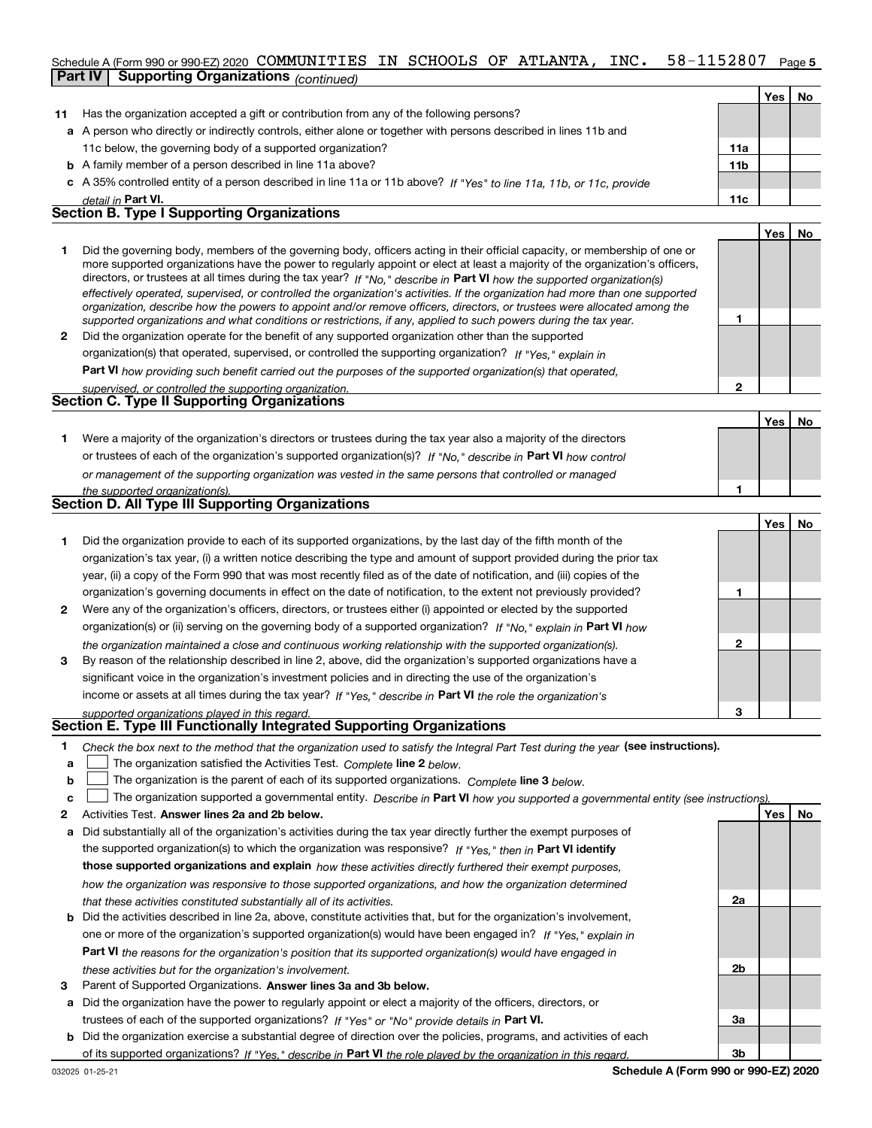#### **5**Schedule A (Form 990 or 990-EZ) 2020  $\,$  COMMUNITIES  $\,$  IN  $\,$  SCHOOLS OF <code>ATLANTA</code> , <code>INC. 58–1152807</code> <code>Page</code> **Part IV Supporting Organizations** *(continued)*

|    |                                                                                                                                                                                                                                                            |                 | Yes | No. |
|----|------------------------------------------------------------------------------------------------------------------------------------------------------------------------------------------------------------------------------------------------------------|-----------------|-----|-----|
| 11 | Has the organization accepted a gift or contribution from any of the following persons?                                                                                                                                                                    |                 |     |     |
|    | a A person who directly or indirectly controls, either alone or together with persons described in lines 11b and                                                                                                                                           |                 |     |     |
|    | 11c below, the governing body of a supported organization?                                                                                                                                                                                                 | 11a             |     |     |
|    | <b>b</b> A family member of a person described in line 11a above?                                                                                                                                                                                          | 11 <sub>b</sub> |     |     |
|    | c A 35% controlled entity of a person described in line 11a or 11b above? If "Yes" to line 11a, 11b, or 11c, provide                                                                                                                                       |                 |     |     |
|    | detail in Part VI.                                                                                                                                                                                                                                         | 11c             |     |     |
|    | <b>Section B. Type I Supporting Organizations</b>                                                                                                                                                                                                          |                 |     |     |
|    |                                                                                                                                                                                                                                                            |                 | Yes | No  |
|    | Did the governing body, members of the governing body, officers acting in their official capacity, or membership of one or<br>more supported organizations have the nower to requierly appoint or elect at least a majority of the organization's officers |                 |     |     |

|   | more supported organizations have the power to regularly appoint or elect at least a majority of the organization's officers,  |  |
|---|--------------------------------------------------------------------------------------------------------------------------------|--|
|   | directors, or trustees at all times during the tax year? If "No," describe in Part VI how the supported organization(s)        |  |
|   | effectively operated, supervised, or controlled the organization's activities. If the organization had more than one supported |  |
|   | organization, describe how the powers to appoint and/or remove officers, directors, or trustees were allocated among the       |  |
|   | supported organizations and what conditions or restrictions, if any, applied to such powers during the tax year.               |  |
| 2 | Did the organization operate for the benefit of any supported organization other than the supported                            |  |
|   | organization(s) that operated, supervised, or controlled the supporting organization? If "Yes," explain in                     |  |
|   | Поні (1) стала в процент процент в после программа в после программа в программа в программа в программа в про                 |  |

**Part VI**  *how providing such benefit carried out the purposes of the supported organization(s) that operated,*

|                                                    |  | supervised, or controlled the supporting organization. |  |
|----------------------------------------------------|--|--------------------------------------------------------|--|
| <b>Section C. Type II Supporting Organizations</b> |  |                                                        |  |

**Yes No 1**or trustees of each of the organization's supported organization(s)? If "No," describe in **Part VI** how control **1***or management of the supporting organization was vested in the same persons that controlled or managed the supported organization(s).* Were a majority of the organization's directors or trustees during the tax year also a majority of the directors

| Section D. All Type III Supporting Organizations |  |
|--------------------------------------------------|--|
|                                                  |  |

|              |                                                                                                                        |   | Tesi No |  |
|--------------|------------------------------------------------------------------------------------------------------------------------|---|---------|--|
|              | Did the organization provide to each of its supported organizations, by the last day of the fifth month of the         |   |         |  |
|              | organization's tax year, (i) a written notice describing the type and amount of support provided during the prior tax  |   |         |  |
|              | year, (ii) a copy of the Form 990 that was most recently filed as of the date of notification, and (iii) copies of the |   |         |  |
|              | organization's governing documents in effect on the date of notification, to the extent not previously provided?       |   |         |  |
| $\mathbf{2}$ | Were any of the organization's officers, directors, or trustees either (i) appointed or elected by the supported       |   |         |  |
|              | organization(s) or (ii) serving on the governing body of a supported organization? If "No." explain in Part VI how     |   |         |  |
|              | the organization maintained a close and continuous working relationship with the supported organization(s).            | 2 |         |  |
| 3            | By reason of the relationship described in line 2, above, did the organization's supported organizations have a        |   |         |  |
|              | significant voice in the organization's investment policies and in directing the use of the organization's             |   |         |  |
|              | income or assets at all times during the tax year? If "Yes," describe in Part VI the role the organization's           |   |         |  |
|              | supported organizations played in this regard.                                                                         | з |         |  |

# *supported organizations played in this regard.* **Section E. Type III Functionally Integrated Supporting Organizations**

- **1**Check the box next to the method that the organization used to satisfy the Integral Part Test during the year (see instructions).
- **alinupy** The organization satisfied the Activities Test. Complete line 2 below.
- **bThe organization is the parent of each of its supported organizations. Complete line 3 below.**

|  |  |  | $\mathbf{c}$ The organization supported a governmental entity. Describe in Part VI how you supported a governmental entity (see instructions). |  |
|--|--|--|------------------------------------------------------------------------------------------------------------------------------------------------|--|
|--|--|--|------------------------------------------------------------------------------------------------------------------------------------------------|--|

- **2Answer lines 2a and 2b below. Yes No** Activities Test.
- **a** Did substantially all of the organization's activities during the tax year directly further the exempt purposes of the supported organization(s) to which the organization was responsive? If "Yes," then in **Part VI identify those supported organizations and explain**  *how these activities directly furthered their exempt purposes, how the organization was responsive to those supported organizations, and how the organization determined that these activities constituted substantially all of its activities.*
- **b** Did the activities described in line 2a, above, constitute activities that, but for the organization's involvement, **Part VI**  *the reasons for the organization's position that its supported organization(s) would have engaged in* one or more of the organization's supported organization(s) would have been engaged in? If "Yes," e*xplain in these activities but for the organization's involvement.*
- **3** Parent of Supported Organizations. Answer lines 3a and 3b below.
- **a** Did the organization have the power to regularly appoint or elect a majority of the officers, directors, or trustees of each of the supported organizations? If "Yes" or "No" provide details in **Part VI.**
- **b** Did the organization exercise a substantial degree of direction over the policies, programs, and activities of each of its supported organizations? If "Yes," describe in Part VI the role played by the organization in this regard.

**2a**

**2b**

**3a**

**3b**

**2**

**Yes**

**No**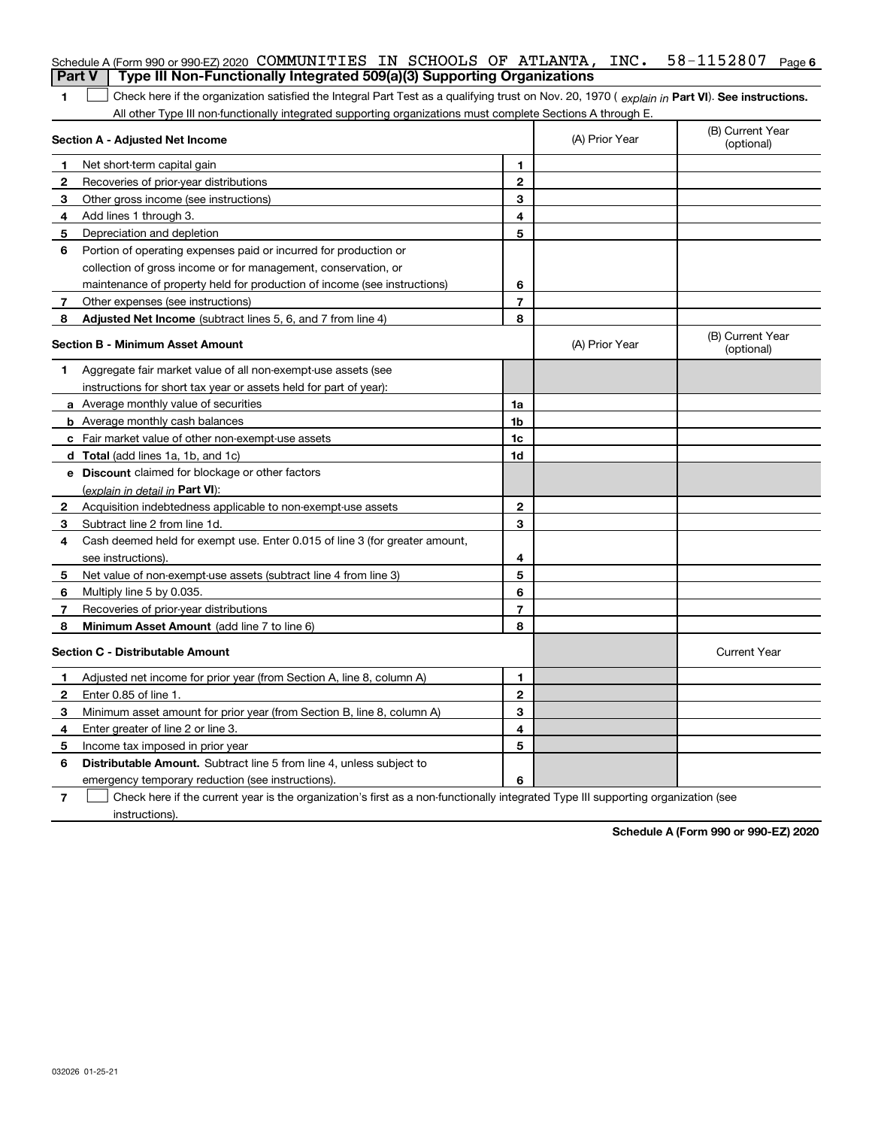|              | Schedule A (Form 990 or 990-EZ) 2020 COMMUNITIES IN SCHOOLS OF ATLANTA, INC.                                                                   |                |                | $58 - 1152807$ Page 6          |
|--------------|------------------------------------------------------------------------------------------------------------------------------------------------|----------------|----------------|--------------------------------|
|              | Type III Non-Functionally Integrated 509(a)(3) Supporting Organizations<br><b>Part V</b>                                                       |                |                |                                |
| 1            | Check here if the organization satisfied the Integral Part Test as a qualifying trust on Nov. 20, 1970 (explain in Part VI). See instructions. |                |                |                                |
|              | All other Type III non-functionally integrated supporting organizations must complete Sections A through E.                                    |                |                |                                |
|              | <b>Section A - Adjusted Net Income</b>                                                                                                         |                | (A) Prior Year | (B) Current Year<br>(optional) |
| 1            | Net short-term capital gain                                                                                                                    | 1              |                |                                |
| $\mathbf{2}$ | Recoveries of prior-year distributions                                                                                                         | $\mathbf 2$    |                |                                |
| 3            | Other gross income (see instructions)                                                                                                          | 3              |                |                                |
| 4            | Add lines 1 through 3.                                                                                                                         | 4              |                |                                |
| 5            | Depreciation and depletion                                                                                                                     | 5              |                |                                |
| 6            | Portion of operating expenses paid or incurred for production or                                                                               |                |                |                                |
|              | collection of gross income or for management, conservation, or                                                                                 |                |                |                                |
|              | maintenance of property held for production of income (see instructions)                                                                       | 6              |                |                                |
| 7            | Other expenses (see instructions)                                                                                                              | $\overline{7}$ |                |                                |
| 8            | Adjusted Net Income (subtract lines 5, 6, and 7 from line 4)                                                                                   | 8              |                |                                |
|              | <b>Section B - Minimum Asset Amount</b>                                                                                                        |                | (A) Prior Year | (B) Current Year<br>(optional) |
| 1            | Aggregate fair market value of all non-exempt-use assets (see                                                                                  |                |                |                                |
|              | instructions for short tax year or assets held for part of year):                                                                              |                |                |                                |
|              | <b>a</b> Average monthly value of securities                                                                                                   | 1a             |                |                                |
|              | <b>b</b> Average monthly cash balances                                                                                                         | 1 <sub>b</sub> |                |                                |
|              | c Fair market value of other non-exempt-use assets                                                                                             | 1 <sub>c</sub> |                |                                |
|              | <b>d</b> Total (add lines 1a, 1b, and 1c)                                                                                                      | 1d             |                |                                |
|              | e Discount claimed for blockage or other factors                                                                                               |                |                |                                |
|              | (explain in detail in <b>Part VI</b> ):                                                                                                        |                |                |                                |
| 2            | Acquisition indebtedness applicable to non-exempt-use assets                                                                                   | 2              |                |                                |
| 3            | Subtract line 2 from line 1d.                                                                                                                  | 3              |                |                                |
| 4            | Cash deemed held for exempt use. Enter 0.015 of line 3 (for greater amount,                                                                    |                |                |                                |
|              | see instructions).                                                                                                                             | 4              |                |                                |
| 5            | Net value of non-exempt-use assets (subtract line 4 from line 3)                                                                               | 5              |                |                                |
| 6            | Multiply line 5 by 0.035.                                                                                                                      | 6              |                |                                |
| 7            | Recoveries of prior-year distributions                                                                                                         | $\overline{7}$ |                |                                |
| 8            | Minimum Asset Amount (add line 7 to line 6)                                                                                                    | 8              |                |                                |
|              | <b>Section C - Distributable Amount</b>                                                                                                        |                |                | <b>Current Year</b>            |
| 1            | Adjusted net income for prior year (from Section A, line 8, column A)                                                                          | 1              |                |                                |
| $\mathbf{2}$ | Enter 0.85 of line 1.                                                                                                                          | $\mathbf{2}$   |                |                                |
| 3            | Minimum asset amount for prior year (from Section B, line 8, column A)                                                                         | 3              |                |                                |
| 4            | Enter greater of line 2 or line 3.                                                                                                             | 4              |                |                                |
| 5            | Income tax imposed in prior year                                                                                                               | 5              |                |                                |
| 6            | <b>Distributable Amount.</b> Subtract line 5 from line 4, unless subject to                                                                    |                |                |                                |
|              | emergency temporary reduction (see instructions).                                                                                              | 6              |                |                                |
|              |                                                                                                                                                |                |                |                                |

**7** Check here if the current year is the organization's first as a non-functionally integrated Type III supporting organization (see instructions).

**Schedule A (Form 990 or 990-EZ) 2020**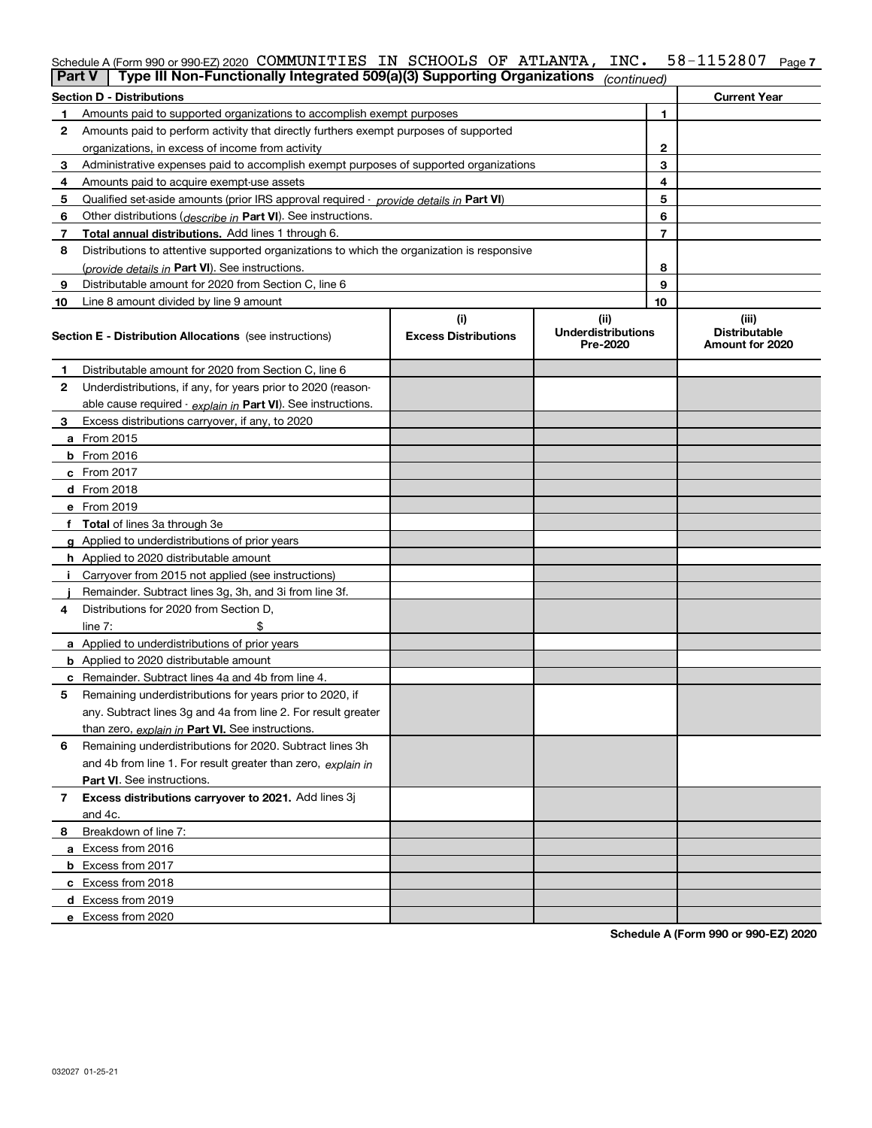| Schedule A (Form 990 or 990-EZ) 2020 COMMUNITIES IN SCHOOLS OF ATLANTA, INC.                           |  |  |  | 58-1152807          | Page 7 |
|--------------------------------------------------------------------------------------------------------|--|--|--|---------------------|--------|
| <b>Part V</b> Type III Non-Functionally Integrated 509(a)(3) Supporting Organizations $_{(continued)}$ |  |  |  |                     |        |
| <b>Section D - Distributions</b>                                                                       |  |  |  | <b>Current Year</b> |        |

|              | <b>Section D - Distributions</b>                                                           |                                    |                                               |    | <b>Current Year</b>                              |
|--------------|--------------------------------------------------------------------------------------------|------------------------------------|-----------------------------------------------|----|--------------------------------------------------|
| 1            | Amounts paid to supported organizations to accomplish exempt purposes                      |                                    |                                               | 1  |                                                  |
| $\mathbf{2}$ | Amounts paid to perform activity that directly furthers exempt purposes of supported       |                                    |                                               |    |                                                  |
|              | organizations, in excess of income from activity                                           | 2                                  |                                               |    |                                                  |
| 3            | Administrative expenses paid to accomplish exempt purposes of supported organizations      | 3                                  |                                               |    |                                                  |
| 4            | Amounts paid to acquire exempt-use assets                                                  | 4                                  |                                               |    |                                                  |
| 5            | Qualified set-aside amounts (prior IRS approval required - provide details in Part VI)     |                                    |                                               | 5  |                                                  |
| 6            | Other distributions ( <i>describe in</i> Part VI). See instructions.                       |                                    |                                               | 6  |                                                  |
| 7            | <b>Total annual distributions.</b> Add lines 1 through 6.                                  |                                    |                                               | 7  |                                                  |
| 8            | Distributions to attentive supported organizations to which the organization is responsive |                                    |                                               |    |                                                  |
|              | (provide details in Part VI). See instructions.                                            |                                    |                                               | 8  |                                                  |
| 9            | Distributable amount for 2020 from Section C, line 6                                       |                                    |                                               | 9  |                                                  |
| 10           | Line 8 amount divided by line 9 amount                                                     |                                    |                                               | 10 |                                                  |
|              | <b>Section E - Distribution Allocations</b> (see instructions)                             | (i)<br><b>Excess Distributions</b> | (ii)<br><b>Underdistributions</b><br>Pre-2020 |    | (iii)<br><b>Distributable</b><br>Amount for 2020 |
| 1            | Distributable amount for 2020 from Section C, line 6                                       |                                    |                                               |    |                                                  |
| 2            | Underdistributions, if any, for years prior to 2020 (reason-                               |                                    |                                               |    |                                                  |
|              | able cause required - explain in Part VI). See instructions.                               |                                    |                                               |    |                                                  |
| З.           | Excess distributions carryover, if any, to 2020                                            |                                    |                                               |    |                                                  |
|              | <b>a</b> From 2015                                                                         |                                    |                                               |    |                                                  |
|              | <b>b</b> From $2016$                                                                       |                                    |                                               |    |                                                  |
|              | $c$ From 2017                                                                              |                                    |                                               |    |                                                  |
|              | $d$ From 2018                                                                              |                                    |                                               |    |                                                  |
|              | e From 2019                                                                                |                                    |                                               |    |                                                  |
|              | f Total of lines 3a through 3e                                                             |                                    |                                               |    |                                                  |
|              | g Applied to underdistributions of prior years                                             |                                    |                                               |    |                                                  |
|              | <b>h</b> Applied to 2020 distributable amount                                              |                                    |                                               |    |                                                  |
| j.           | Carryover from 2015 not applied (see instructions)                                         |                                    |                                               |    |                                                  |
|              | Remainder. Subtract lines 3g, 3h, and 3i from line 3f.                                     |                                    |                                               |    |                                                  |
| 4            | Distributions for 2020 from Section D,                                                     |                                    |                                               |    |                                                  |
|              | \$<br>line $7:$                                                                            |                                    |                                               |    |                                                  |
|              | <b>a</b> Applied to underdistributions of prior years                                      |                                    |                                               |    |                                                  |
|              | <b>b</b> Applied to 2020 distributable amount                                              |                                    |                                               |    |                                                  |
|              | <b>c</b> Remainder. Subtract lines 4a and 4b from line 4.                                  |                                    |                                               |    |                                                  |
| 5            | Remaining underdistributions for years prior to 2020, if                                   |                                    |                                               |    |                                                  |
|              | any. Subtract lines 3g and 4a from line 2. For result greater                              |                                    |                                               |    |                                                  |
|              | than zero, explain in Part VI. See instructions.                                           |                                    |                                               |    |                                                  |
| 6            | Remaining underdistributions for 2020. Subtract lines 3h                                   |                                    |                                               |    |                                                  |
|              | and 4b from line 1. For result greater than zero, explain in                               |                                    |                                               |    |                                                  |
|              | <b>Part VI.</b> See instructions.                                                          |                                    |                                               |    |                                                  |
| 7            | Excess distributions carryover to 2021. Add lines 3j                                       |                                    |                                               |    |                                                  |
|              | and 4c.                                                                                    |                                    |                                               |    |                                                  |
| 8            | Breakdown of line 7:                                                                       |                                    |                                               |    |                                                  |
|              | a Excess from 2016                                                                         |                                    |                                               |    |                                                  |
|              | <b>b</b> Excess from 2017                                                                  |                                    |                                               |    |                                                  |
|              | c Excess from 2018                                                                         |                                    |                                               |    |                                                  |
|              | d Excess from 2019                                                                         |                                    |                                               |    |                                                  |
|              | e Excess from 2020                                                                         |                                    |                                               |    |                                                  |

**Schedule A (Form 990 or 990-EZ) 2020**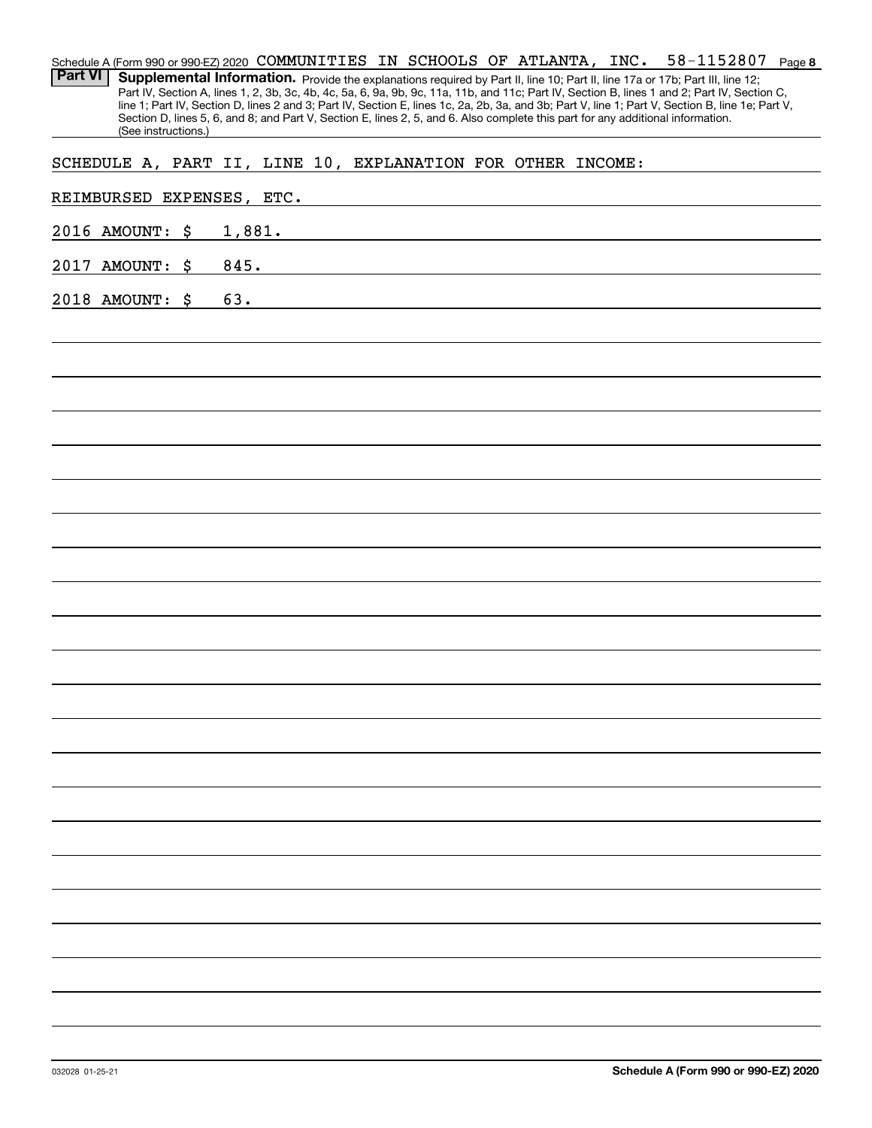| Schedule A (Form 990 or 990-EZ) 2020 COMMUNITIES IN SCHOOLS OF ATLANTA, INC. 58-1152807<br>Page 8<br>Part VI<br>Supplemental Information. Provide the explanations required by Part II, line 10; Part II, line 17a or 17b; Part III, line 12;<br>Part IV, Section A, lines 1, 2, 3b, 3c, 4b, 4c, 5a, 6, 9a, 9b, 9c, 11a, 11b, and 11c; Part IV, Section B, lines 1 and 2; Part IV, Section C,<br>line 1; Part IV, Section D, lines 2 and 3; Part IV, Section E, lines 1c, 2a, 2b, 3a, and 3b; Part V, line 1; Part V, Section B, line 1e; Part V, |
|---------------------------------------------------------------------------------------------------------------------------------------------------------------------------------------------------------------------------------------------------------------------------------------------------------------------------------------------------------------------------------------------------------------------------------------------------------------------------------------------------------------------------------------------------|
| Section D, lines 5, 6, and 8; and Part V, Section E, lines 2, 5, and 6. Also complete this part for any additional information.<br>(See instructions.)                                                                                                                                                                                                                                                                                                                                                                                            |
| SCHEDULE A, PART II, LINE 10, EXPLANATION FOR OTHER INCOME:                                                                                                                                                                                                                                                                                                                                                                                                                                                                                       |
| REIMBURSED EXPENSES, ETC.                                                                                                                                                                                                                                                                                                                                                                                                                                                                                                                         |
| 2016 AMOUNT: \$                                                                                                                                                                                                                                                                                                                                                                                                                                                                                                                                   |
| 2017 AMOUNT: \$<br>845.                                                                                                                                                                                                                                                                                                                                                                                                                                                                                                                           |
| 63.<br>2018 AMOUNT: \$                                                                                                                                                                                                                                                                                                                                                                                                                                                                                                                            |
|                                                                                                                                                                                                                                                                                                                                                                                                                                                                                                                                                   |
|                                                                                                                                                                                                                                                                                                                                                                                                                                                                                                                                                   |
|                                                                                                                                                                                                                                                                                                                                                                                                                                                                                                                                                   |
|                                                                                                                                                                                                                                                                                                                                                                                                                                                                                                                                                   |
|                                                                                                                                                                                                                                                                                                                                                                                                                                                                                                                                                   |
|                                                                                                                                                                                                                                                                                                                                                                                                                                                                                                                                                   |
|                                                                                                                                                                                                                                                                                                                                                                                                                                                                                                                                                   |
|                                                                                                                                                                                                                                                                                                                                                                                                                                                                                                                                                   |
|                                                                                                                                                                                                                                                                                                                                                                                                                                                                                                                                                   |
|                                                                                                                                                                                                                                                                                                                                                                                                                                                                                                                                                   |
|                                                                                                                                                                                                                                                                                                                                                                                                                                                                                                                                                   |
|                                                                                                                                                                                                                                                                                                                                                                                                                                                                                                                                                   |
|                                                                                                                                                                                                                                                                                                                                                                                                                                                                                                                                                   |
|                                                                                                                                                                                                                                                                                                                                                                                                                                                                                                                                                   |
|                                                                                                                                                                                                                                                                                                                                                                                                                                                                                                                                                   |
|                                                                                                                                                                                                                                                                                                                                                                                                                                                                                                                                                   |
|                                                                                                                                                                                                                                                                                                                                                                                                                                                                                                                                                   |
|                                                                                                                                                                                                                                                                                                                                                                                                                                                                                                                                                   |
|                                                                                                                                                                                                                                                                                                                                                                                                                                                                                                                                                   |
|                                                                                                                                                                                                                                                                                                                                                                                                                                                                                                                                                   |
|                                                                                                                                                                                                                                                                                                                                                                                                                                                                                                                                                   |
|                                                                                                                                                                                                                                                                                                                                                                                                                                                                                                                                                   |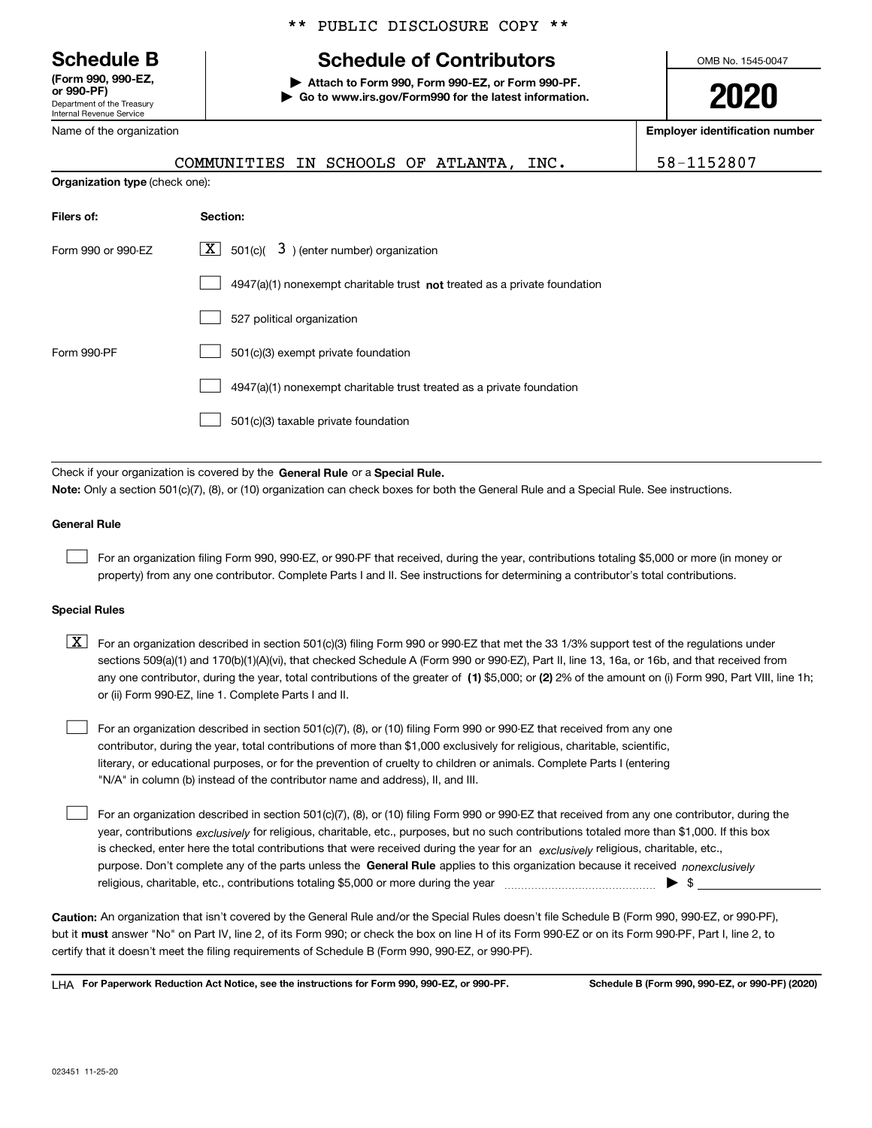Department of the Treasury Internal Revenue Service **(Form 990, 990-EZ, or 990-PF)**

Name of the organization

## \*\* PUBLIC DISCLOSURE COPY \*\*

# **Schedule B Schedule of Contributors**

**| Attach to Form 990, Form 990-EZ, or Form 990-PF. | Go to www.irs.gov/Form990 for the latest information.** OMB No. 1545-0047

**2020**

**Employer identification number**

| COMMUNITIES IN SCHOOLS OF ATLANTA, INC. |  |  |  |
|-----------------------------------------|--|--|--|
| <b>Organization type</b> (check one):   |  |  |  |

58-1152807

| Filers of:         | Section:                                                                           |
|--------------------|------------------------------------------------------------------------------------|
| Form 990 or 990-EZ | $\lfloor \mathbf{X} \rfloor$ 501(c)( 3) (enter number) organization                |
|                    | $4947(a)(1)$ nonexempt charitable trust <b>not</b> treated as a private foundation |
|                    | 527 political organization                                                         |
| Form 990-PF        | 501(c)(3) exempt private foundation                                                |
|                    | 4947(a)(1) nonexempt charitable trust treated as a private foundation              |
|                    | 501(c)(3) taxable private foundation                                               |

Check if your organization is covered by the **General Rule** or a **Special Rule. Note:**  Only a section 501(c)(7), (8), or (10) organization can check boxes for both the General Rule and a Special Rule. See instructions.

## **General Rule**

 $\mathcal{L}^{\text{max}}$ 

For an organization filing Form 990, 990-EZ, or 990-PF that received, during the year, contributions totaling \$5,000 or more (in money or property) from any one contributor. Complete Parts I and II. See instructions for determining a contributor's total contributions.

### **Special Rules**

any one contributor, during the year, total contributions of the greater of  $\,$  (1) \$5,000; or **(2)** 2% of the amount on (i) Form 990, Part VIII, line 1h;  $\boxed{\textbf{X}}$  For an organization described in section 501(c)(3) filing Form 990 or 990-EZ that met the 33 1/3% support test of the regulations under sections 509(a)(1) and 170(b)(1)(A)(vi), that checked Schedule A (Form 990 or 990-EZ), Part II, line 13, 16a, or 16b, and that received from or (ii) Form 990-EZ, line 1. Complete Parts I and II.

For an organization described in section 501(c)(7), (8), or (10) filing Form 990 or 990-EZ that received from any one contributor, during the year, total contributions of more than \$1,000 exclusively for religious, charitable, scientific, literary, or educational purposes, or for the prevention of cruelty to children or animals. Complete Parts I (entering "N/A" in column (b) instead of the contributor name and address), II, and III.  $\mathcal{L}^{\text{max}}$ 

purpose. Don't complete any of the parts unless the **General Rule** applies to this organization because it received *nonexclusively* year, contributions <sub>exclusively</sub> for religious, charitable, etc., purposes, but no such contributions totaled more than \$1,000. If this box is checked, enter here the total contributions that were received during the year for an  $\;$ exclusively religious, charitable, etc., For an organization described in section 501(c)(7), (8), or (10) filing Form 990 or 990-EZ that received from any one contributor, during the religious, charitable, etc., contributions totaling \$5,000 or more during the year  $\Box$ — $\Box$   $\Box$  $\mathcal{L}^{\text{max}}$ 

**Caution:**  An organization that isn't covered by the General Rule and/or the Special Rules doesn't file Schedule B (Form 990, 990-EZ, or 990-PF),  **must** but it answer "No" on Part IV, line 2, of its Form 990; or check the box on line H of its Form 990-EZ or on its Form 990-PF, Part I, line 2, to certify that it doesn't meet the filing requirements of Schedule B (Form 990, 990-EZ, or 990-PF).

**For Paperwork Reduction Act Notice, see the instructions for Form 990, 990-EZ, or 990-PF. Schedule B (Form 990, 990-EZ, or 990-PF) (2020)** LHA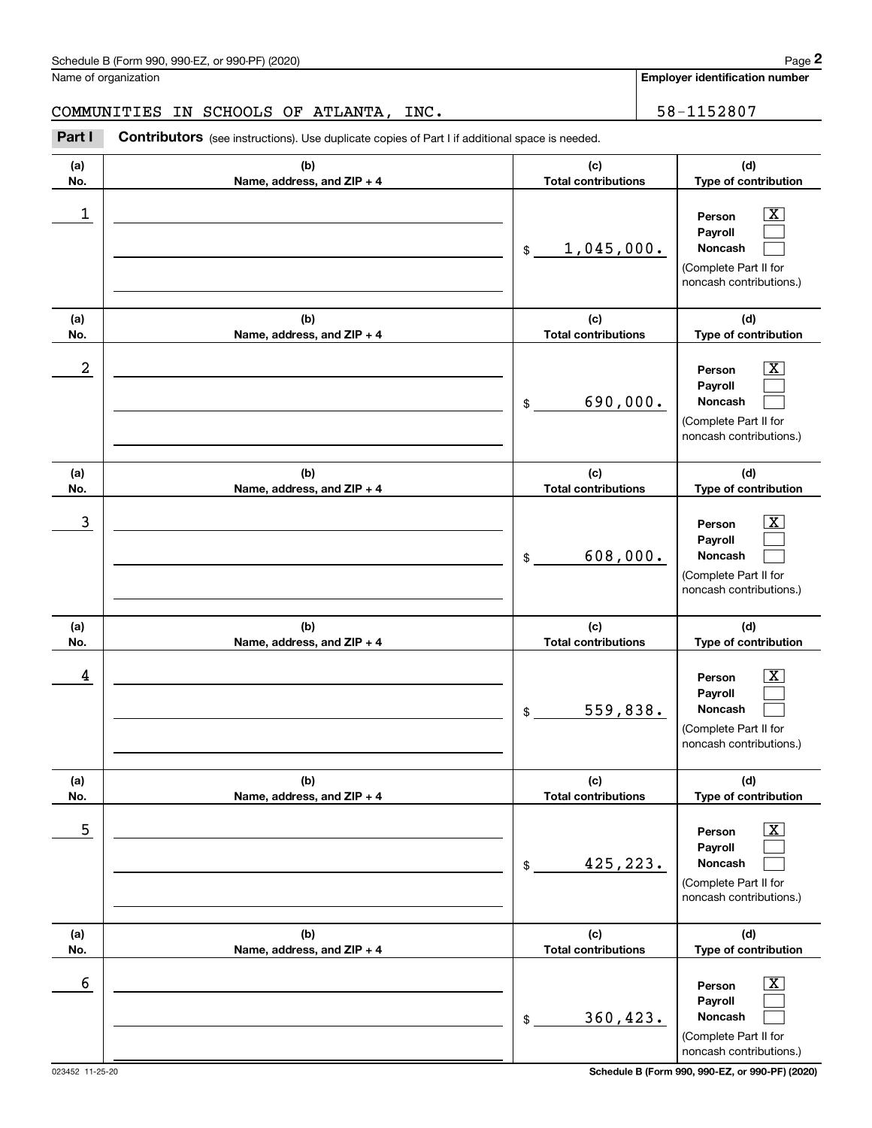|                  | Schedule B (Form 990, 990-EZ, or 990-PF) (2020)                                                       |                                   | Page 2                                                                                                      |
|------------------|-------------------------------------------------------------------------------------------------------|-----------------------------------|-------------------------------------------------------------------------------------------------------------|
|                  | Name of organization                                                                                  |                                   | <b>Employer identification number</b>                                                                       |
|                  | IN SCHOOLS OF ATLANTA, INC.<br>COMMUNITIES                                                            |                                   | 58-1152807                                                                                                  |
| Part I           | <b>Contributors</b> (see instructions). Use duplicate copies of Part I if additional space is needed. |                                   |                                                                                                             |
| (a)<br>No.       | (b)<br>Name, address, and ZIP + 4                                                                     | (c)<br><b>Total contributions</b> | (d)<br>Type of contribution                                                                                 |
| 1                |                                                                                                       | 1,045,000.<br>\$                  | $\overline{\text{X}}$<br>Person<br>Payroll<br>Noncash<br>(Complete Part II for<br>noncash contributions.)   |
| (a)<br>No.       | (b)<br>Name, address, and ZIP + 4                                                                     | (c)<br><b>Total contributions</b> | (d)<br>Type of contribution                                                                                 |
| $\boldsymbol{2}$ |                                                                                                       | 690,000.<br>\$                    | $\overline{\text{X}}$<br>Person<br>Payroll<br>Noncash<br>(Complete Part II for<br>noncash contributions.)   |
| (a)<br>No.       | (b)<br>Name, address, and ZIP + 4                                                                     | (c)<br><b>Total contributions</b> | (d)<br>Type of contribution                                                                                 |
| 3                |                                                                                                       | 608,000.<br>\$                    | X<br>Person<br>Payroll<br>Noncash<br>(Complete Part II for<br>noncash contributions.)                       |
| (a)<br>No.       | (b)<br>Name, address, and ZIP + 4                                                                     | (c)<br><b>Total contributions</b> | (d)<br>Type of contribution                                                                                 |
| 4                |                                                                                                       | 559,838.<br>\$                    | $\mathbf{X}$<br>Person<br>Payroll<br>Noncash<br>(Complete Part II for<br>noncash contributions.)            |
| (a)<br>No.       | (b)<br>Name, address, and ZIP + 4                                                                     | (c)<br><b>Total contributions</b> | (d)<br>Type of contribution                                                                                 |
| 5                |                                                                                                       | 425,223.<br>\$                    | $\overline{\mathbf{X}}$<br>Person<br>Payroll<br>Noncash<br>(Complete Part II for<br>noncash contributions.) |
| (a)<br>No.       | (b)<br>Name, address, and ZIP + 4                                                                     | (c)<br><b>Total contributions</b> | (d)<br>Type of contribution                                                                                 |
| 6                |                                                                                                       | 360, 423.<br>\$                   | $\overline{\mathbf{X}}$<br>Person<br>Payroll<br>Noncash<br>(Complete Part II for<br>noncash contributions.) |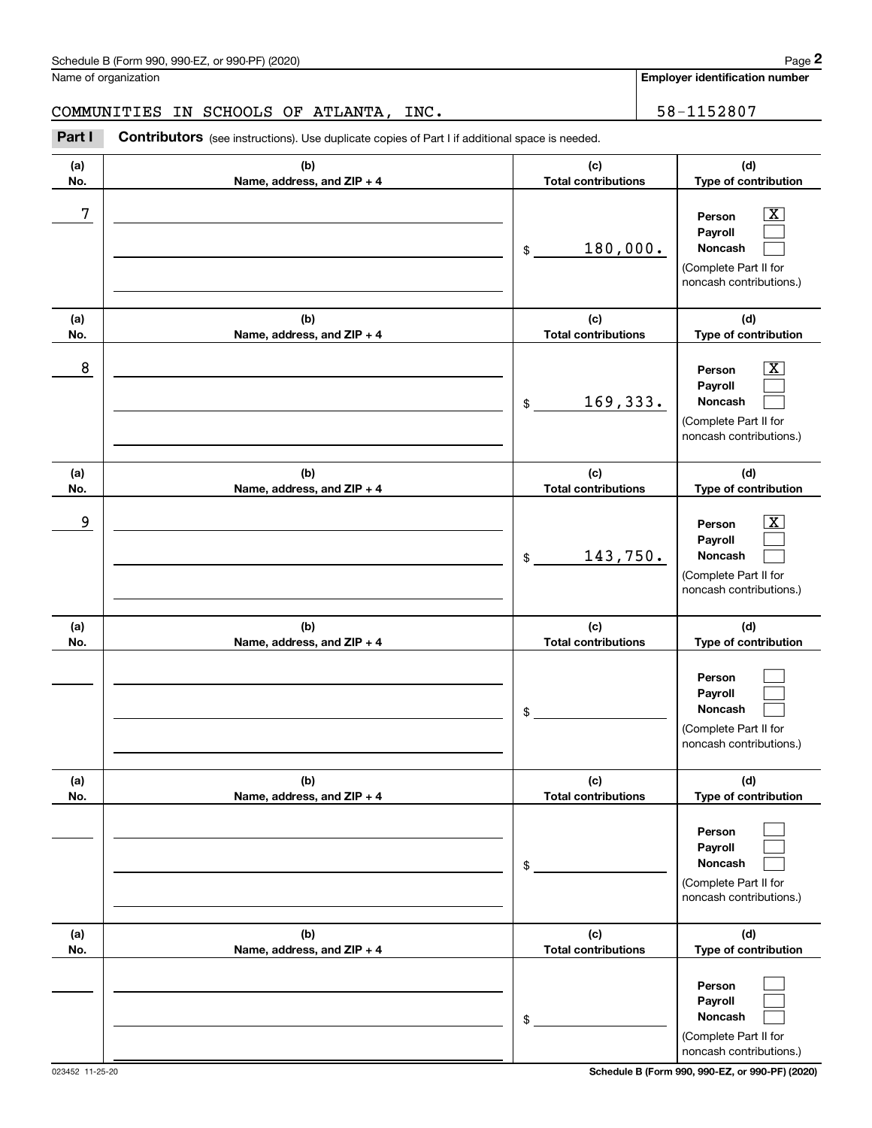Name of organization

**Employer identification number**

COMMUNITIES IN SCHOOLS OF ATLANTA, INC.  $\vert$  58-1152807

**(a)No.(b)Name, address, and ZIP + 4 (c)Total contributions (d)Type of contribution PersonPayrollNoncash (a)No.(b)Name, address, and ZIP + 4 (c)Total contributions (d)Type of contribution PersonPayrollNoncash (a)No.(b)Name, address, and ZIP + 4 (c)Total contributions (d)Type of contribution PersonPayrollNoncash (a) No.(b) Name, address, and ZIP + 4 (c) Total contributions (d) Type of contribution PersonPayrollNoncash(a) No.(b) Name, address, and ZIP + 4 (c) Total contributions (d) Type of contribution PersonPayrollNoncash (a) No.(b)Name, address, and ZIP + 4 (c) Total contributions (d)Type of contribution PersonPayrollNoncash** Contributors (see instructions). Use duplicate copies of Part I if additional space is needed. \$(Complete Part II for noncash contributions.) \$(Complete Part II for noncash contributions.) \$(Complete Part II for noncash contributions.) \$(Complete Part II for noncash contributions.) \$(Complete Part II for noncash contributions.) \$(Complete Part II for noncash contributions.) Chedule B (Form 990, 990-EZ, or 990-PF) (2020)<br>Iame of organization<br>**2Part I 2Part I 2Part I Contributors** (see instructions). Use duplicate copies of Part I if additional space is needed.  $\lceil \text{X} \rceil$  $\mathcal{L}^{\text{max}}$  $\mathcal{L}^{\text{max}}$  $\boxed{\text{X}}$  $\mathcal{L}^{\text{max}}$  $\mathcal{L}^{\text{max}}$  $|X|$  $\mathcal{L}^{\text{max}}$  $\mathcal{L}^{\text{max}}$  $\mathcal{L}^{\text{max}}$  $\mathcal{L}^{\text{max}}$  $\mathcal{L}^{\text{max}}$  $\mathcal{L}^{\text{max}}$  $\mathcal{L}^{\text{max}}$  $\mathcal{L}^{\text{max}}$  $\mathcal{L}^{\text{max}}$  $\mathcal{L}^{\text{max}}$  $\mathcal{L}^{\text{max}}$ 7 X 180,000. 8 X 169,333. example and the set of the set of the set of the set of the set of the set of the set of the set of the set of 143,750.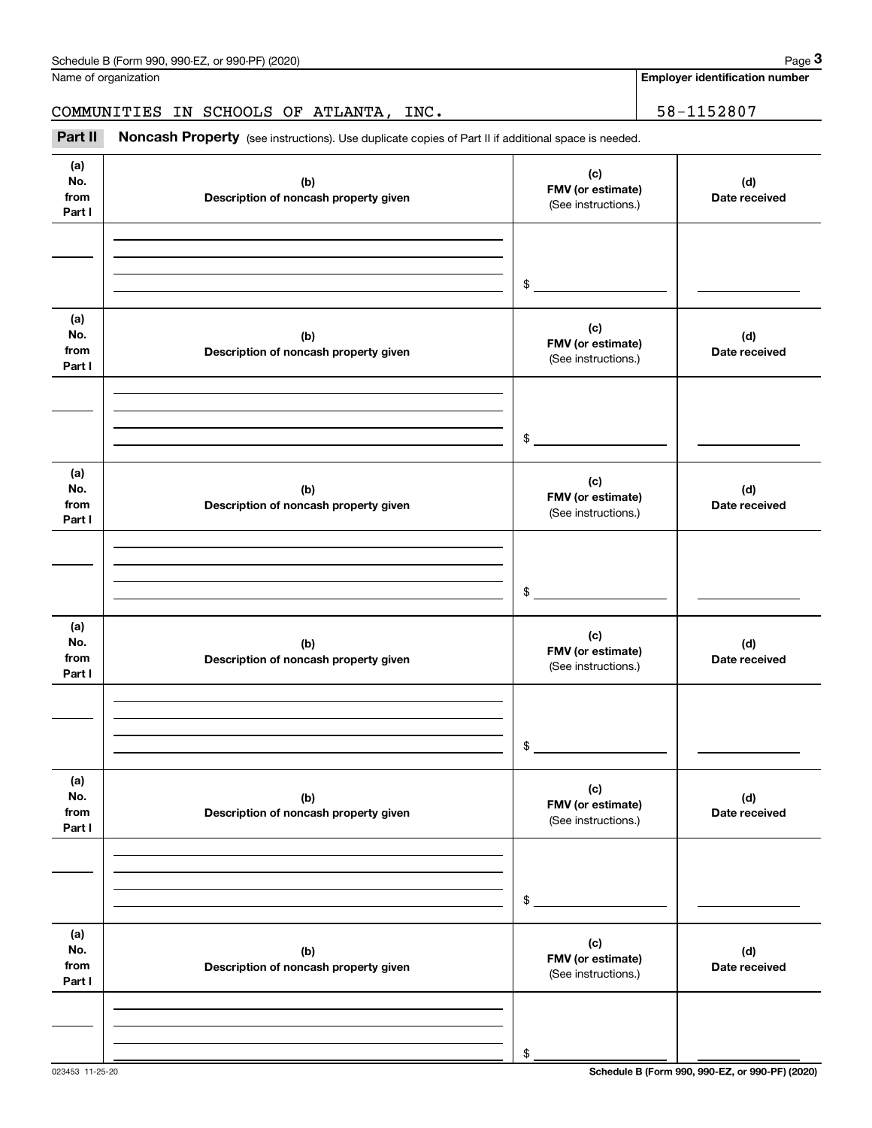| Schedule B (Form 990, 990-EZ, or 990-PF) (2020)                                                                       | Page $3$                              |
|-----------------------------------------------------------------------------------------------------------------------|---------------------------------------|
| Name of organization                                                                                                  | <b>Employer identification number</b> |
|                                                                                                                       |                                       |
| COMMUNITIES IN SCHOOLS OF ATLANTA, INC.                                                                               | 58-1152807                            |
| Part II<br><b>Noncash Property</b> (see instructions). Use duplicate copies of Part II if additional space is needed. |                                       |

**(a)No.fromPart I (c) FMV (or estimate) (b) Description of noncash property given (d) Date received (a)No.fromPart I (c) FMV (or estimate) (b) Description of noncash property given (d) Date received (a)No.fromPart I (c)FMV (or estimate) (b) Description of noncash property given (d) Date received (a) No.fromPart I (c) FMV (or estimate) (b)Description of noncash property given (d)Date received (a) No.fromPart I (c) FMV (or estimate) (b) Description of noncash property given (d) Date received (a) No.fromPart I (c)FMV (or estimate) (b)Description of noncash property given (d)Date received** (See instructions.) \$(See instructions.) \$(See instructions.) \$(See instructions.) \$(See instructions.) \$(See instructions.) \$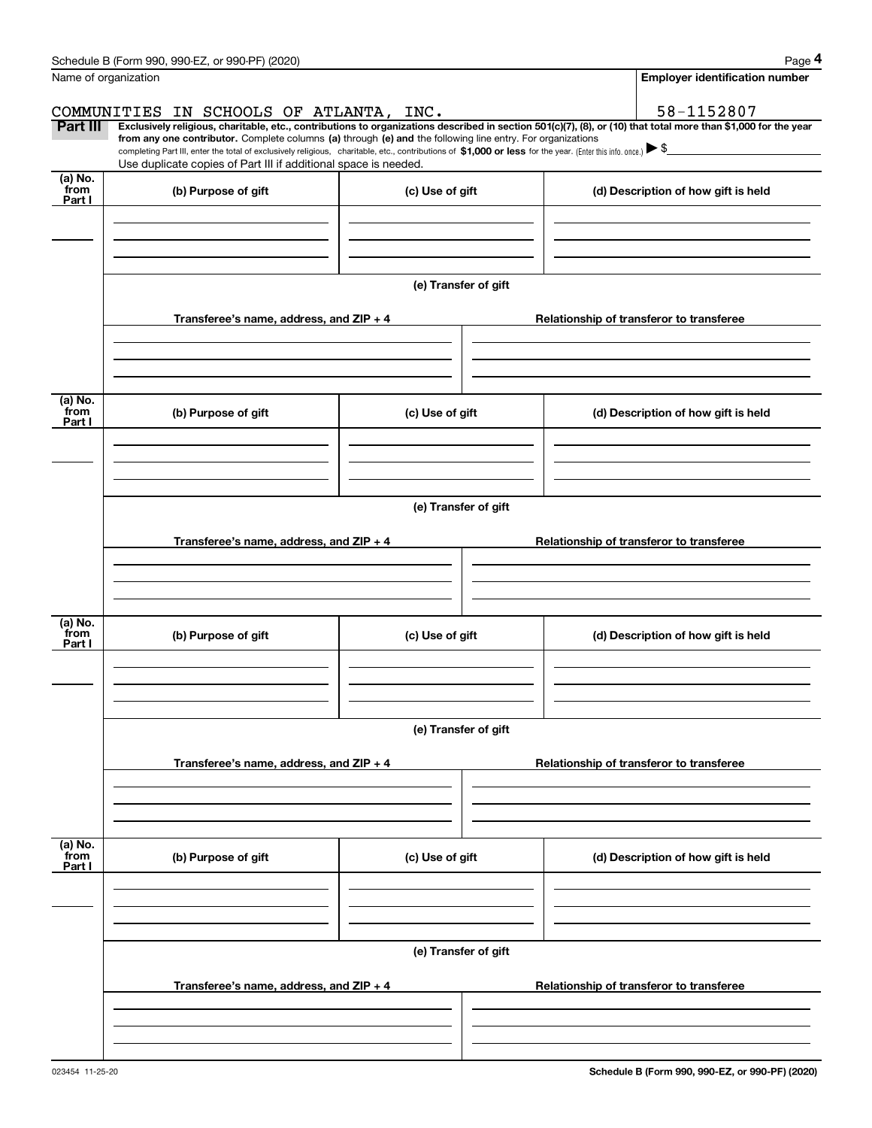|                           | Schedule B (Form 990, 990-EZ, or 990-PF) (2020)                                                                                                                                                                                                                                                                                                                                                                                                                                                                  |                      | Page 4                                   |
|---------------------------|------------------------------------------------------------------------------------------------------------------------------------------------------------------------------------------------------------------------------------------------------------------------------------------------------------------------------------------------------------------------------------------------------------------------------------------------------------------------------------------------------------------|----------------------|------------------------------------------|
|                           | Name of organization                                                                                                                                                                                                                                                                                                                                                                                                                                                                                             |                      | <b>Employer identification number</b>    |
|                           | COMMUNITIES IN SCHOOLS OF ATLANTA, INC.                                                                                                                                                                                                                                                                                                                                                                                                                                                                          |                      | 58-1152807                               |
| Part III                  | Exclusively religious, charitable, etc., contributions to organizations described in section 501(c)(7), (8), or (10) that total more than \$1,000 for the year<br>from any one contributor. Complete columns (a) through (e) and the following line entry. For organizations<br>completing Part III, enter the total of exclusively religious, charitable, etc., contributions of \$1,000 or less for the year. (Enter this info. once.) > \$<br>Use duplicate copies of Part III if additional space is needed. |                      |                                          |
| (a) No.                   |                                                                                                                                                                                                                                                                                                                                                                                                                                                                                                                  |                      |                                          |
| from<br>Part I            | (b) Purpose of gift                                                                                                                                                                                                                                                                                                                                                                                                                                                                                              | (c) Use of gift      | (d) Description of how gift is held      |
|                           |                                                                                                                                                                                                                                                                                                                                                                                                                                                                                                                  | (e) Transfer of gift |                                          |
|                           | Transferee's name, address, and ZIP + 4                                                                                                                                                                                                                                                                                                                                                                                                                                                                          |                      | Relationship of transferor to transferee |
|                           |                                                                                                                                                                                                                                                                                                                                                                                                                                                                                                                  |                      |                                          |
| (a) No.<br>from<br>Part I | (b) Purpose of gift                                                                                                                                                                                                                                                                                                                                                                                                                                                                                              | (c) Use of gift      | (d) Description of how gift is held      |
|                           |                                                                                                                                                                                                                                                                                                                                                                                                                                                                                                                  |                      |                                          |
|                           |                                                                                                                                                                                                                                                                                                                                                                                                                                                                                                                  | (e) Transfer of gift |                                          |
|                           | Transferee's name, address, and $ZIP + 4$                                                                                                                                                                                                                                                                                                                                                                                                                                                                        |                      | Relationship of transferor to transferee |
|                           |                                                                                                                                                                                                                                                                                                                                                                                                                                                                                                                  |                      |                                          |
| (a) No.<br>from<br>Part I | (b) Purpose of gift                                                                                                                                                                                                                                                                                                                                                                                                                                                                                              | (c) Use of gift      | (d) Description of how gift is held      |
|                           |                                                                                                                                                                                                                                                                                                                                                                                                                                                                                                                  |                      |                                          |
|                           |                                                                                                                                                                                                                                                                                                                                                                                                                                                                                                                  | (e) Transfer of gift |                                          |
|                           | Transferee's name, address, and ZIP + 4                                                                                                                                                                                                                                                                                                                                                                                                                                                                          |                      | Relationship of transferor to transferee |
|                           |                                                                                                                                                                                                                                                                                                                                                                                                                                                                                                                  |                      |                                          |
| (a) No.<br>from<br>Part I | (b) Purpose of gift                                                                                                                                                                                                                                                                                                                                                                                                                                                                                              | (c) Use of gift      | (d) Description of how gift is held      |
|                           |                                                                                                                                                                                                                                                                                                                                                                                                                                                                                                                  |                      |                                          |
|                           |                                                                                                                                                                                                                                                                                                                                                                                                                                                                                                                  | (e) Transfer of gift |                                          |
|                           | Transferee's name, address, and ZIP + 4                                                                                                                                                                                                                                                                                                                                                                                                                                                                          |                      | Relationship of transferor to transferee |
|                           |                                                                                                                                                                                                                                                                                                                                                                                                                                                                                                                  |                      |                                          |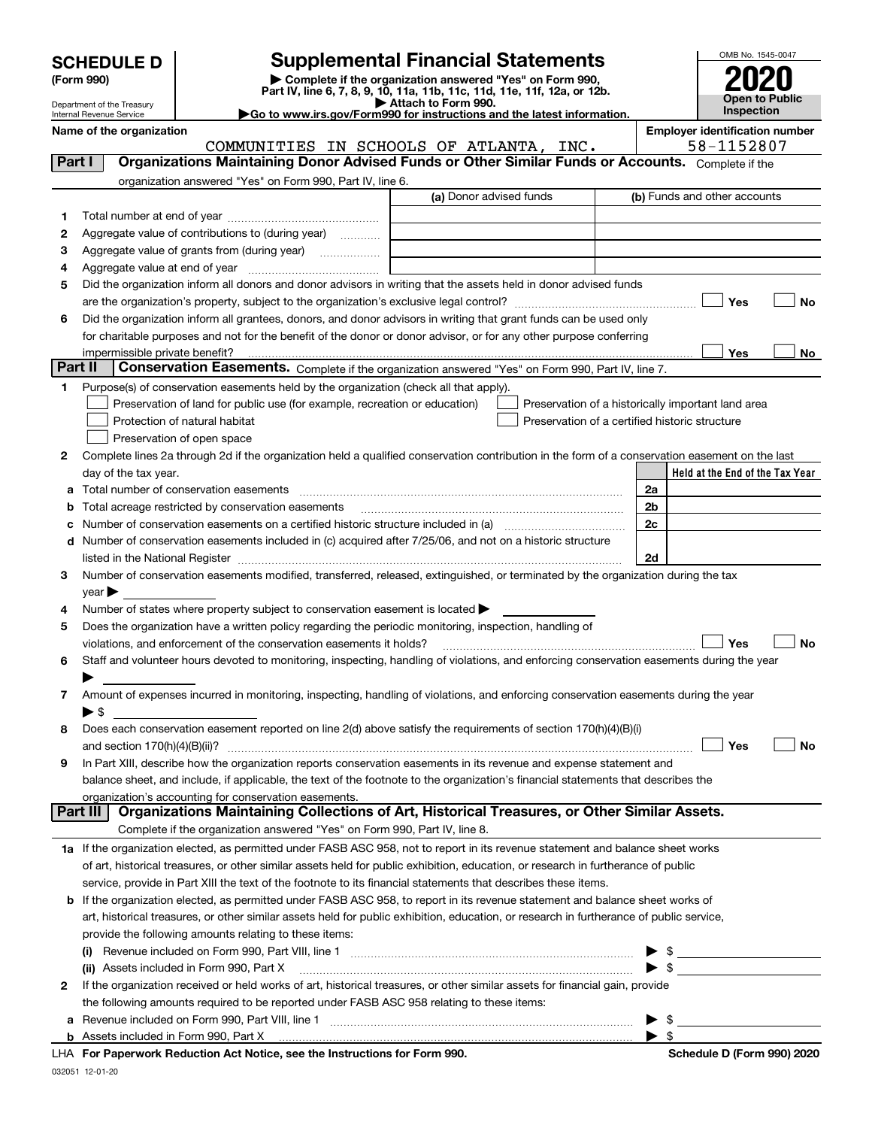|  | <b>SCHEDULE D</b> |  |  |  |
|--|-------------------|--|--|--|
|--|-------------------|--|--|--|

Department of the Treasury

| (Form 990) |
|------------|
|            |

# **Supplemental Financial Statements**

(Form 990)<br>
Pepartment of the Treasury<br>
Department of the Treasury<br>
Department of the Treasury<br>
Department of the Treasury<br> **Co to www.irs.gov/Form990 for instructions and the latest information.**<br> **Co to www.irs.gov/Form9** 



|                | Internal Revenue Service         | Go to www.irs.gov/Form990 for instructions and the latest information.                                                                         |                          | <b>Inspection</b>                     |    |
|----------------|----------------------------------|------------------------------------------------------------------------------------------------------------------------------------------------|--------------------------|---------------------------------------|----|
|                | Name of the organization         |                                                                                                                                                |                          | <b>Employer identification number</b> |    |
|                |                                  | COMMUNITIES IN SCHOOLS OF ATLANTA, INC.                                                                                                        |                          | 58-1152807                            |    |
| Part I         |                                  | Organizations Maintaining Donor Advised Funds or Other Similar Funds or Accounts. Complete if the                                              |                          |                                       |    |
|                |                                  | organization answered "Yes" on Form 990, Part IV, line 6.                                                                                      |                          |                                       |    |
|                |                                  | (a) Donor advised funds                                                                                                                        |                          | (b) Funds and other accounts          |    |
| 1.             |                                  |                                                                                                                                                |                          |                                       |    |
| 2              |                                  | Aggregate value of contributions to (during year)                                                                                              |                          |                                       |    |
| з              |                                  | Aggregate value of grants from (during year)                                                                                                   |                          |                                       |    |
| 4              |                                  |                                                                                                                                                |                          |                                       |    |
| 5              |                                  | Did the organization inform all donors and donor advisors in writing that the assets held in donor advised funds                               |                          |                                       |    |
|                |                                  |                                                                                                                                                |                          | Yes                                   | No |
| 6              |                                  | Did the organization inform all grantees, donors, and donor advisors in writing that grant funds can be used only                              |                          |                                       |    |
|                |                                  | for charitable purposes and not for the benefit of the donor or donor advisor, or for any other purpose conferring                             |                          |                                       |    |
|                |                                  | impermissible private benefit?                                                                                                                 |                          | Yes                                   | No |
| <b>Part II</b> |                                  | Conservation Easements. Complete if the organization answered "Yes" on Form 990, Part IV, line 7.                                              |                          |                                       |    |
| 1              |                                  | Purpose(s) of conservation easements held by the organization (check all that apply).                                                          |                          |                                       |    |
|                |                                  | Preservation of land for public use (for example, recreation or education)<br>Preservation of a historically important land area               |                          |                                       |    |
|                |                                  | Protection of natural habitat<br>Preservation of a certified historic structure                                                                |                          |                                       |    |
|                |                                  | Preservation of open space                                                                                                                     |                          |                                       |    |
| 2              |                                  | Complete lines 2a through 2d if the organization held a qualified conservation contribution in the form of a conservation easement on the last |                          |                                       |    |
|                | day of the tax year.             |                                                                                                                                                |                          | Held at the End of the Tax Year       |    |
|                |                                  | Total number of conservation easements                                                                                                         | 2a                       |                                       |    |
| b              |                                  | Total acreage restricted by conservation easements                                                                                             | 2 <sub>b</sub>           |                                       |    |
| c              |                                  |                                                                                                                                                | 2c                       |                                       |    |
| d              |                                  | Number of conservation easements included in (c) acquired after 7/25/06, and not on a historic structure                                       |                          |                                       |    |
|                |                                  |                                                                                                                                                | 2d                       |                                       |    |
| 3              |                                  | Number of conservation easements modified, transferred, released, extinguished, or terminated by the organization during the tax               |                          |                                       |    |
|                | $\vee$ ear $\blacktriangleright$ |                                                                                                                                                |                          |                                       |    |
| 4              |                                  | Number of states where property subject to conservation easement is located >                                                                  |                          |                                       |    |
| 5              |                                  | Does the organization have a written policy regarding the periodic monitoring, inspection, handling of                                         |                          |                                       |    |
|                |                                  | violations, and enforcement of the conservation easements it holds?                                                                            |                          | Yes                                   | No |
| 6              |                                  | Staff and volunteer hours devoted to monitoring, inspecting, handling of violations, and enforcing conservation easements during the year      |                          |                                       |    |
|                |                                  |                                                                                                                                                |                          |                                       |    |
| 7              |                                  | Amount of expenses incurred in monitoring, inspecting, handling of violations, and enforcing conservation easements during the year            |                          |                                       |    |
|                | ► \$                             |                                                                                                                                                |                          |                                       |    |
| 8              |                                  | Does each conservation easement reported on line 2(d) above satisfy the requirements of section 170(h)(4)(B)(i)                                |                          |                                       |    |
|                |                                  |                                                                                                                                                |                          | $\Box$ Yes                            |    |
| 9              |                                  | In Part XIII, describe how the organization reports conservation easements in its revenue and expense statement and                            |                          |                                       |    |
|                |                                  | balance sheet, and include, if applicable, the text of the footnote to the organization's financial statements that describes the              |                          |                                       |    |
|                |                                  | organization's accounting for conservation easements.                                                                                          |                          |                                       |    |
|                | Part III                         | Organizations Maintaining Collections of Art, Historical Treasures, or Other Similar Assets.                                                   |                          |                                       |    |
|                |                                  | Complete if the organization answered "Yes" on Form 990, Part IV, line 8.                                                                      |                          |                                       |    |
|                |                                  | 1a If the organization elected, as permitted under FASB ASC 958, not to report in its revenue statement and balance sheet works                |                          |                                       |    |
|                |                                  | of art, historical treasures, or other similar assets held for public exhibition, education, or research in furtherance of public              |                          |                                       |    |
|                |                                  | service, provide in Part XIII the text of the footnote to its financial statements that describes these items.                                 |                          |                                       |    |
| b              |                                  | If the organization elected, as permitted under FASB ASC 958, to report in its revenue statement and balance sheet works of                    |                          |                                       |    |
|                |                                  | art, historical treasures, or other similar assets held for public exhibition, education, or research in furtherance of public service,        |                          |                                       |    |
|                |                                  | provide the following amounts relating to these items:                                                                                         |                          |                                       |    |
|                |                                  |                                                                                                                                                |                          | $\frac{1}{2}$                         |    |
|                |                                  |                                                                                                                                                | $\blacktriangleright$ \$ |                                       |    |

**2**If the organization received or held works of art, historical treasures, or other similar assets for financial gain, provide the following amounts required to be reported under FASB ASC 958 relating to these items:

**a**Revenue included on Form 990, Part VIII, line 1 ~~~~~~~~~~~~~~~~~~~~~~~~~~~~~~Assets included in Form 990, Part X

**b**

**For Paperwork Reduction Act Notice, see the Instructions for Form 990. Schedule D (Form 990) 2020** LHA

 $\blacktriangleright$  \$

 $\blacktriangleright$  \$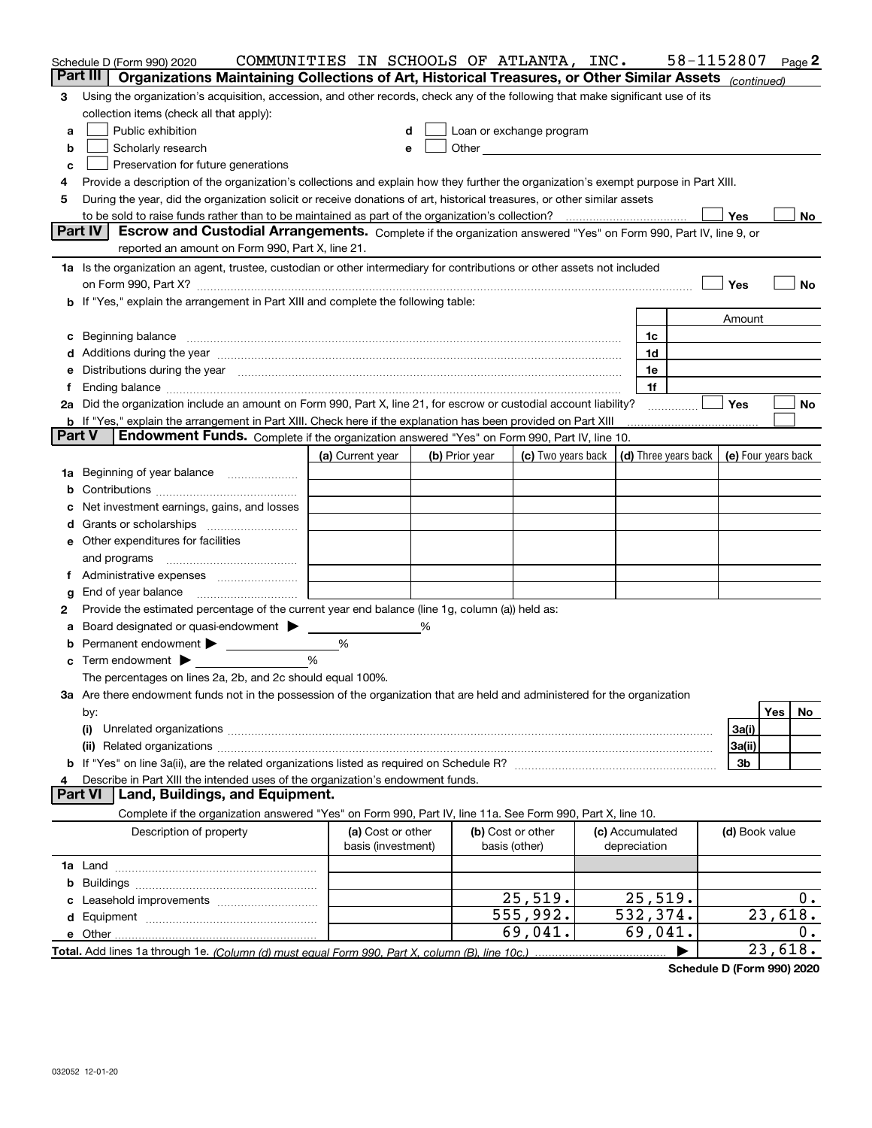|               | Schedule D (Form 990) 2020                                                                                                                                                                                                     | COMMUNITIES IN SCHOOLS OF ATLANTA, INC. |                |                                                                                                                                                                                                                               |                 | 58-1152807 |                | Page 2    |
|---------------|--------------------------------------------------------------------------------------------------------------------------------------------------------------------------------------------------------------------------------|-----------------------------------------|----------------|-------------------------------------------------------------------------------------------------------------------------------------------------------------------------------------------------------------------------------|-----------------|------------|----------------|-----------|
| Part III      | Organizations Maintaining Collections of Art, Historical Treasures, or Other Similar Assets (continued)                                                                                                                        |                                         |                |                                                                                                                                                                                                                               |                 |            |                |           |
| 3             | Using the organization's acquisition, accession, and other records, check any of the following that make significant use of its                                                                                                |                                         |                |                                                                                                                                                                                                                               |                 |            |                |           |
|               | collection items (check all that apply):                                                                                                                                                                                       |                                         |                |                                                                                                                                                                                                                               |                 |            |                |           |
| a             | Public exhibition                                                                                                                                                                                                              | d                                       |                | Loan or exchange program                                                                                                                                                                                                      |                 |            |                |           |
| b             | Scholarly research                                                                                                                                                                                                             | е                                       |                | Other and the contract of the contract of the contract of the contract of the contract of the contract of the contract of the contract of the contract of the contract of the contract of the contract of the contract of the |                 |            |                |           |
| c             | Preservation for future generations                                                                                                                                                                                            |                                         |                |                                                                                                                                                                                                                               |                 |            |                |           |
| 4             | Provide a description of the organization's collections and explain how they further the organization's exempt purpose in Part XIII.                                                                                           |                                         |                |                                                                                                                                                                                                                               |                 |            |                |           |
| 5             | During the year, did the organization solicit or receive donations of art, historical treasures, or other similar assets                                                                                                       |                                         |                |                                                                                                                                                                                                                               |                 |            |                |           |
|               |                                                                                                                                                                                                                                |                                         |                |                                                                                                                                                                                                                               |                 |            | Yes            | No        |
|               | <b>Part IV</b><br>Escrow and Custodial Arrangements. Complete if the organization answered "Yes" on Form 990, Part IV, line 9, or                                                                                              |                                         |                |                                                                                                                                                                                                                               |                 |            |                |           |
|               | reported an amount on Form 990, Part X, line 21.                                                                                                                                                                               |                                         |                |                                                                                                                                                                                                                               |                 |            |                |           |
|               | 1a Is the organization an agent, trustee, custodian or other intermediary for contributions or other assets not included                                                                                                       |                                         |                |                                                                                                                                                                                                                               |                 |            |                |           |
|               |                                                                                                                                                                                                                                |                                         |                |                                                                                                                                                                                                                               |                 |            | Yes            | No        |
|               | b If "Yes," explain the arrangement in Part XIII and complete the following table:                                                                                                                                             |                                         |                |                                                                                                                                                                                                                               |                 |            |                |           |
|               |                                                                                                                                                                                                                                |                                         |                |                                                                                                                                                                                                                               |                 |            | Amount         |           |
| c             | Beginning balance <b>contract to the contract of the contract of the contract of the contract of the contract of t</b>                                                                                                         |                                         |                |                                                                                                                                                                                                                               | 1c              |            |                |           |
|               | d Additions during the year measurement contains and a state of a state of a state of the state of the state of the state of the state of the state of the state of the state of the state of the state of the state of the st |                                         |                |                                                                                                                                                                                                                               | 1d              |            |                |           |
| е             | Distributions during the year measurements are all the set of the set of the set of the set of the set of the set of the set of the set of the set of the set of the set of the set of the set of the set of the set of the se |                                         |                |                                                                                                                                                                                                                               | 1e              |            |                |           |
| Ť.            |                                                                                                                                                                                                                                |                                         |                |                                                                                                                                                                                                                               | 1f              |            |                |           |
|               | 2a Did the organization include an amount on Form 990, Part X, line 21, for escrow or custodial account liability?                                                                                                             |                                         |                |                                                                                                                                                                                                                               |                 |            | <b>Yes</b>     | No        |
| <b>Part V</b> | <b>b</b> If "Yes," explain the arrangement in Part XIII. Check here if the explanation has been provided on Part XIII<br><b>Endowment Funds.</b> Complete if the organization answered "Yes" on Form 990, Part IV, line 10.    |                                         |                |                                                                                                                                                                                                                               |                 |            |                |           |
|               |                                                                                                                                                                                                                                |                                         |                |                                                                                                                                                                                                                               |                 |            |                |           |
|               |                                                                                                                                                                                                                                | (a) Current year                        | (b) Prior year | (c) Two years back $\vert$ (d) Three years back $\vert$ (e) Four years back                                                                                                                                                   |                 |            |                |           |
| 1a            | Beginning of year balance                                                                                                                                                                                                      |                                         |                |                                                                                                                                                                                                                               |                 |            |                |           |
|               | Net investment earnings, gains, and losses                                                                                                                                                                                     |                                         |                |                                                                                                                                                                                                                               |                 |            |                |           |
| d             |                                                                                                                                                                                                                                |                                         |                |                                                                                                                                                                                                                               |                 |            |                |           |
|               | e Other expenditures for facilities                                                                                                                                                                                            |                                         |                |                                                                                                                                                                                                                               |                 |            |                |           |
|               | and programs                                                                                                                                                                                                                   |                                         |                |                                                                                                                                                                                                                               |                 |            |                |           |
| Ť.            |                                                                                                                                                                                                                                |                                         |                |                                                                                                                                                                                                                               |                 |            |                |           |
| g             | End of year balance                                                                                                                                                                                                            |                                         |                |                                                                                                                                                                                                                               |                 |            |                |           |
| 2             | Provide the estimated percentage of the current year end balance (line 1g, column (a)) held as:                                                                                                                                |                                         |                |                                                                                                                                                                                                                               |                 |            |                |           |
| а             | Board designated or quasi-endowment >                                                                                                                                                                                          |                                         |                |                                                                                                                                                                                                                               |                 |            |                |           |
| b             | Permanent endowment                                                                                                                                                                                                            | %                                       |                |                                                                                                                                                                                                                               |                 |            |                |           |
|               | Term endowment $\blacktriangleright$                                                                                                                                                                                           | %                                       |                |                                                                                                                                                                                                                               |                 |            |                |           |
|               | The percentages on lines 2a, 2b, and 2c should equal 100%.                                                                                                                                                                     |                                         |                |                                                                                                                                                                                                                               |                 |            |                |           |
|               | 3a Are there endowment funds not in the possession of the organization that are held and administered for the organization                                                                                                     |                                         |                |                                                                                                                                                                                                                               |                 |            |                |           |
|               | by:                                                                                                                                                                                                                            |                                         |                |                                                                                                                                                                                                                               |                 |            |                | Yes<br>No |
|               | (i)                                                                                                                                                                                                                            |                                         |                |                                                                                                                                                                                                                               |                 |            | 3a(i)          |           |
|               |                                                                                                                                                                                                                                |                                         |                |                                                                                                                                                                                                                               |                 |            | 3a(ii)         |           |
|               |                                                                                                                                                                                                                                |                                         |                |                                                                                                                                                                                                                               |                 |            | 3b             |           |
| 4             | Describe in Part XIII the intended uses of the organization's endowment funds.                                                                                                                                                 |                                         |                |                                                                                                                                                                                                                               |                 |            |                |           |
|               | <b>Part VI</b><br>Land, Buildings, and Equipment.                                                                                                                                                                              |                                         |                |                                                                                                                                                                                                                               |                 |            |                |           |
|               | Complete if the organization answered "Yes" on Form 990, Part IV, line 11a. See Form 990, Part X, line 10.                                                                                                                     |                                         |                |                                                                                                                                                                                                                               |                 |            |                |           |
|               | Description of property                                                                                                                                                                                                        | (a) Cost or other                       |                | (b) Cost or other                                                                                                                                                                                                             | (c) Accumulated |            | (d) Book value |           |
|               |                                                                                                                                                                                                                                | basis (investment)                      |                | basis (other)                                                                                                                                                                                                                 | depreciation    |            |                |           |
|               |                                                                                                                                                                                                                                |                                         |                |                                                                                                                                                                                                                               |                 |            |                |           |
| b             |                                                                                                                                                                                                                                |                                         |                |                                                                                                                                                                                                                               |                 |            |                |           |
|               |                                                                                                                                                                                                                                |                                         |                | 25,519.                                                                                                                                                                                                                       | 25,519.         |            |                | $0$ .     |
|               |                                                                                                                                                                                                                                |                                         |                | 555,992.                                                                                                                                                                                                                      | 532,374.        |            |                | 23,618.   |
|               |                                                                                                                                                                                                                                |                                         |                | 69,041.                                                                                                                                                                                                                       | 69,041.         |            |                | О.        |
|               |                                                                                                                                                                                                                                |                                         |                |                                                                                                                                                                                                                               |                 |            |                | 23,618.   |

**Schedule D (Form 990) 2020**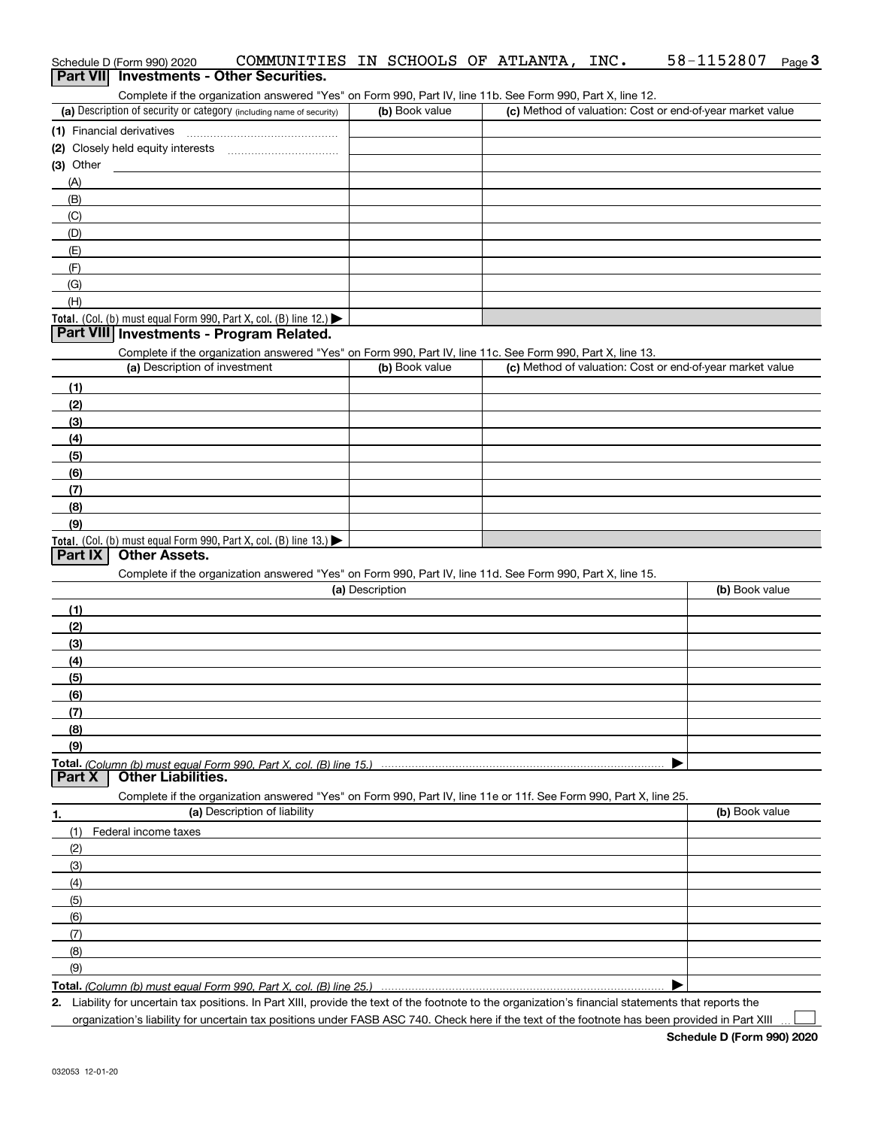| Complete if the organization answered "Yes" on Form 990, Part IV, line 11b. See Form 990, Part X, line 12.<br>(a) Description of security or category (including name of security) | (b) Book value  | (c) Method of valuation: Cost or end-of-year market value |                |
|------------------------------------------------------------------------------------------------------------------------------------------------------------------------------------|-----------------|-----------------------------------------------------------|----------------|
|                                                                                                                                                                                    |                 |                                                           |                |
|                                                                                                                                                                                    |                 |                                                           |                |
| (3) Other                                                                                                                                                                          |                 |                                                           |                |
| (A)                                                                                                                                                                                |                 |                                                           |                |
| (B)                                                                                                                                                                                |                 |                                                           |                |
| (C)                                                                                                                                                                                |                 |                                                           |                |
| (D)                                                                                                                                                                                |                 |                                                           |                |
| (E)                                                                                                                                                                                |                 |                                                           |                |
| (F)                                                                                                                                                                                |                 |                                                           |                |
| (G)                                                                                                                                                                                |                 |                                                           |                |
| (H)                                                                                                                                                                                |                 |                                                           |                |
| Total. (Col. (b) must equal Form 990, Part X, col. (B) line 12.) $\blacktriangleright$                                                                                             |                 |                                                           |                |
| Part VIII Investments - Program Related.                                                                                                                                           |                 |                                                           |                |
| Complete if the organization answered "Yes" on Form 990, Part IV, line 11c. See Form 990, Part X, line 13.<br>(a) Description of investment                                        | (b) Book value  | (c) Method of valuation: Cost or end-of-year market value |                |
| (1)                                                                                                                                                                                |                 |                                                           |                |
| (2)                                                                                                                                                                                |                 |                                                           |                |
| (3)                                                                                                                                                                                |                 |                                                           |                |
| (4)                                                                                                                                                                                |                 |                                                           |                |
| (5)                                                                                                                                                                                |                 |                                                           |                |
| (6)                                                                                                                                                                                |                 |                                                           |                |
| (7)                                                                                                                                                                                |                 |                                                           |                |
| (8)                                                                                                                                                                                |                 |                                                           |                |
| (9)                                                                                                                                                                                |                 |                                                           |                |
| Total. (Col. (b) must equal Form 990, Part X, col. (B) line $13.$ )                                                                                                                |                 |                                                           |                |
| <b>Other Assets.</b><br><b>Part IX</b>                                                                                                                                             |                 |                                                           |                |
| Complete if the organization answered "Yes" on Form 990, Part IV, line 11d. See Form 990, Part X, line 15.                                                                         |                 |                                                           |                |
|                                                                                                                                                                                    | (a) Description |                                                           | (b) Book value |
| (1)                                                                                                                                                                                |                 |                                                           |                |
| (2)                                                                                                                                                                                |                 |                                                           |                |
| (3)                                                                                                                                                                                |                 |                                                           |                |
| (4)                                                                                                                                                                                |                 |                                                           |                |
| (5)                                                                                                                                                                                |                 |                                                           |                |
|                                                                                                                                                                                    |                 |                                                           |                |
| (6)                                                                                                                                                                                |                 |                                                           |                |
| (7)                                                                                                                                                                                |                 |                                                           |                |
| (8)                                                                                                                                                                                |                 |                                                           |                |
| (9)                                                                                                                                                                                |                 |                                                           |                |
|                                                                                                                                                                                    |                 |                                                           |                |
| <b>Other Liabilities.</b><br>Part X                                                                                                                                                |                 |                                                           |                |
| Complete if the organization answered "Yes" on Form 990, Part IV, line 11e or 11f. See Form 990, Part X, line 25.<br>(a) Description of liability                                  |                 |                                                           | (b) Book value |
| (1)<br>Federal income taxes                                                                                                                                                        |                 |                                                           |                |
|                                                                                                                                                                                    |                 |                                                           |                |
| (2)                                                                                                                                                                                |                 |                                                           |                |
| 1.<br>(3)<br>(4)                                                                                                                                                                   |                 |                                                           |                |
|                                                                                                                                                                                    |                 |                                                           |                |
| (5)<br>(6)                                                                                                                                                                         |                 |                                                           |                |
|                                                                                                                                                                                    |                 |                                                           |                |
| (7)                                                                                                                                                                                |                 |                                                           |                |
| (8)<br>(9)                                                                                                                                                                         |                 |                                                           |                |

**2.** Liability for uncertain tax positions. In Part XIII, provide the text of the footnote to the organization's financial statements that reports the organization's liability for uncertain tax positions under FASB ASC 740. Check here if the text of the footnote has been provided in Part XIII

# Schedule D (Form 990) 2020 COMMUNITIES IN SCHOOLS OF ATLANTA,INC**.** 58-1152807 <sub>Page</sub> 3<br>| **Part VII** | Investments - Other Securities.

| (a) Description of security or category (including name of security) | (b) Book value | (c) Method of valuation: Cost or end-of-year market value |
|----------------------------------------------------------------------|----------------|-----------------------------------------------------------|
| (1) Financial derivatives                                            |                |                                                           |
| (2) Closely held equity interests                                    |                |                                                           |
| (3) Other                                                            |                |                                                           |
| (A)                                                                  |                |                                                           |
| (B)                                                                  |                |                                                           |
| (C)                                                                  |                |                                                           |
| (D)                                                                  |                |                                                           |
| (E)                                                                  |                |                                                           |
| (F)                                                                  |                |                                                           |
| (G)                                                                  |                |                                                           |
| (H)                                                                  |                |                                                           |
|                                                                      |                |                                                           |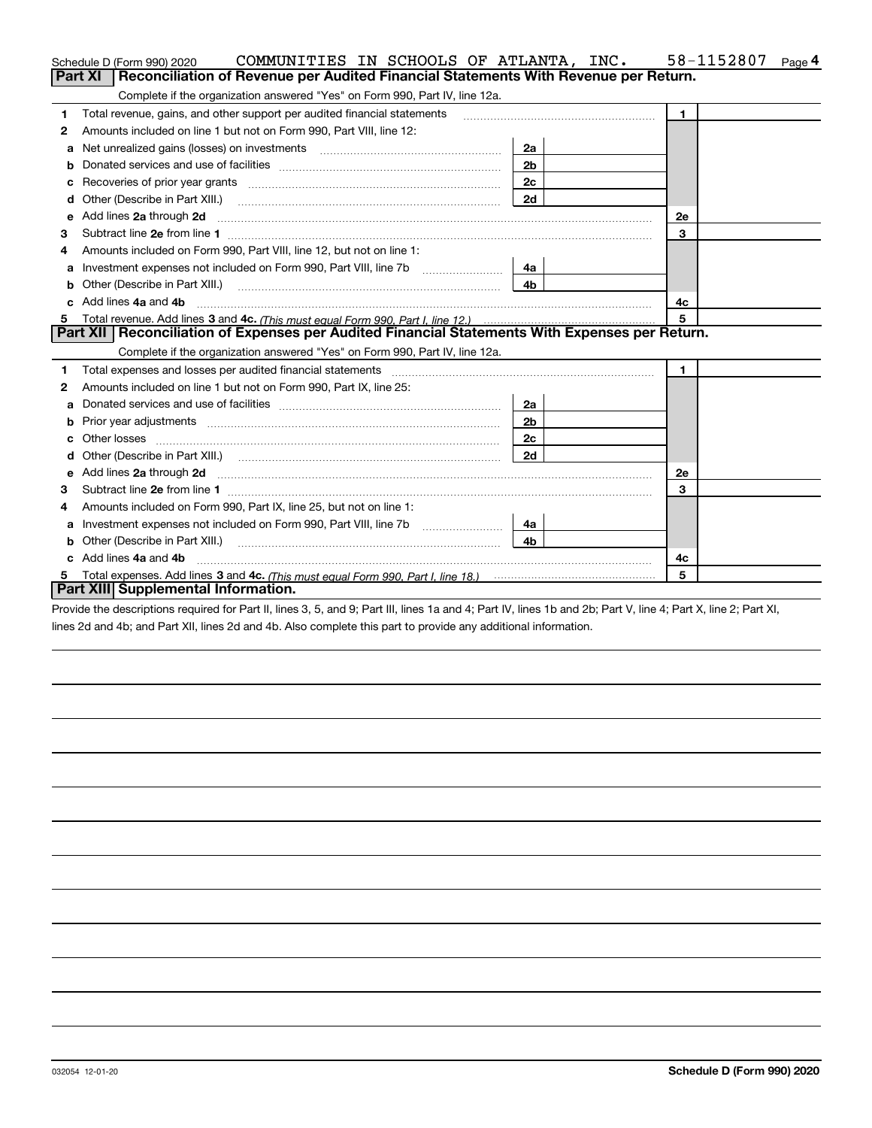|    | COMMUNITIES IN SCHOOLS OF ATLANTA, INC.<br>Schedule D (Form 990) 2020                                                                                                                                                          |                | 58-1152807           | Page 4 |
|----|--------------------------------------------------------------------------------------------------------------------------------------------------------------------------------------------------------------------------------|----------------|----------------------|--------|
|    | Reconciliation of Revenue per Audited Financial Statements With Revenue per Return.<br>Part XI                                                                                                                                 |                |                      |        |
|    | Complete if the organization answered "Yes" on Form 990, Part IV, line 12a.                                                                                                                                                    |                |                      |        |
| 1  | Total revenue, gains, and other support per audited financial statements                                                                                                                                                       |                | $\blacktriangleleft$ |        |
| 2  | Amounts included on line 1 but not on Form 990, Part VIII, line 12:                                                                                                                                                            |                |                      |        |
| a  |                                                                                                                                                                                                                                | 2a             |                      |        |
|    |                                                                                                                                                                                                                                | 2 <sub>b</sub> |                      |        |
| с  | Recoveries of prior year grants [111] matter contracts and prior year grants [11] matter contracts and prior year grants and an intervention and an intervention and an intervention and an intervention and an intervention a | 2 <sub>c</sub> |                      |        |
| d  |                                                                                                                                                                                                                                | 2d             |                      |        |
| е  | Add lines 2a through 2d                                                                                                                                                                                                        |                | <b>2e</b>            |        |
| 3  |                                                                                                                                                                                                                                |                | 3                    |        |
| 4  | Amounts included on Form 990, Part VIII, line 12, but not on line 1:                                                                                                                                                           |                |                      |        |
| а  |                                                                                                                                                                                                                                | 4a             |                      |        |
| b  | Other (Describe in Part XIII.) <b>Construction Contract Construction</b> (Describe in Part XIII.)                                                                                                                              | 4 <sub>b</sub> |                      |        |
| c. | Add lines 4a and 4b                                                                                                                                                                                                            |                | 4c                   |        |
|    |                                                                                                                                                                                                                                |                | 5                    |        |
|    | Part XII   Reconciliation of Expenses per Audited Financial Statements With Expenses per Return.                                                                                                                               |                |                      |        |
|    | Complete if the organization answered "Yes" on Form 990, Part IV, line 12a.                                                                                                                                                    |                |                      |        |
| 1  | Total expenses and losses per audited financial statements [11] [12] manuscription control expenses and losses per audited financial statements [12] manuscription of the statements [12] manuscription of the statements [12] |                | $\blacksquare$       |        |
| 2  | Amounts included on line 1 but not on Form 990, Part IX, line 25:                                                                                                                                                              |                |                      |        |
| a  |                                                                                                                                                                                                                                | 2a             |                      |        |
|    |                                                                                                                                                                                                                                | 2 <sub>b</sub> |                      |        |
| с  |                                                                                                                                                                                                                                | 2c             |                      |        |
| d  |                                                                                                                                                                                                                                | 2d             |                      |        |
| е  | Add lines 2a through 2d <b>must be a constructed as the constant of the constant of the constant of the construction</b>                                                                                                       |                | <b>2e</b>            |        |
| 3  |                                                                                                                                                                                                                                |                | 3                    |        |
| 4  | Amounts included on Form 990, Part IX, line 25, but not on line 1:                                                                                                                                                             |                |                      |        |
| а  |                                                                                                                                                                                                                                | 4a             |                      |        |
| b  |                                                                                                                                                                                                                                | 4 <sub>b</sub> |                      |        |
|    | Add lines 4a and 4b                                                                                                                                                                                                            |                | 4с                   |        |
| 5  |                                                                                                                                                                                                                                |                | 5                    |        |
|    | Part XIII Supplemental Information.                                                                                                                                                                                            |                |                      |        |

Provide the descriptions required for Part II, lines 3, 5, and 9; Part III, lines 1a and 4; Part IV, lines 1b and 2b; Part V, line 4; Part X, line 2; Part XI, lines 2d and 4b; and Part XII, lines 2d and 4b. Also complete this part to provide any additional information.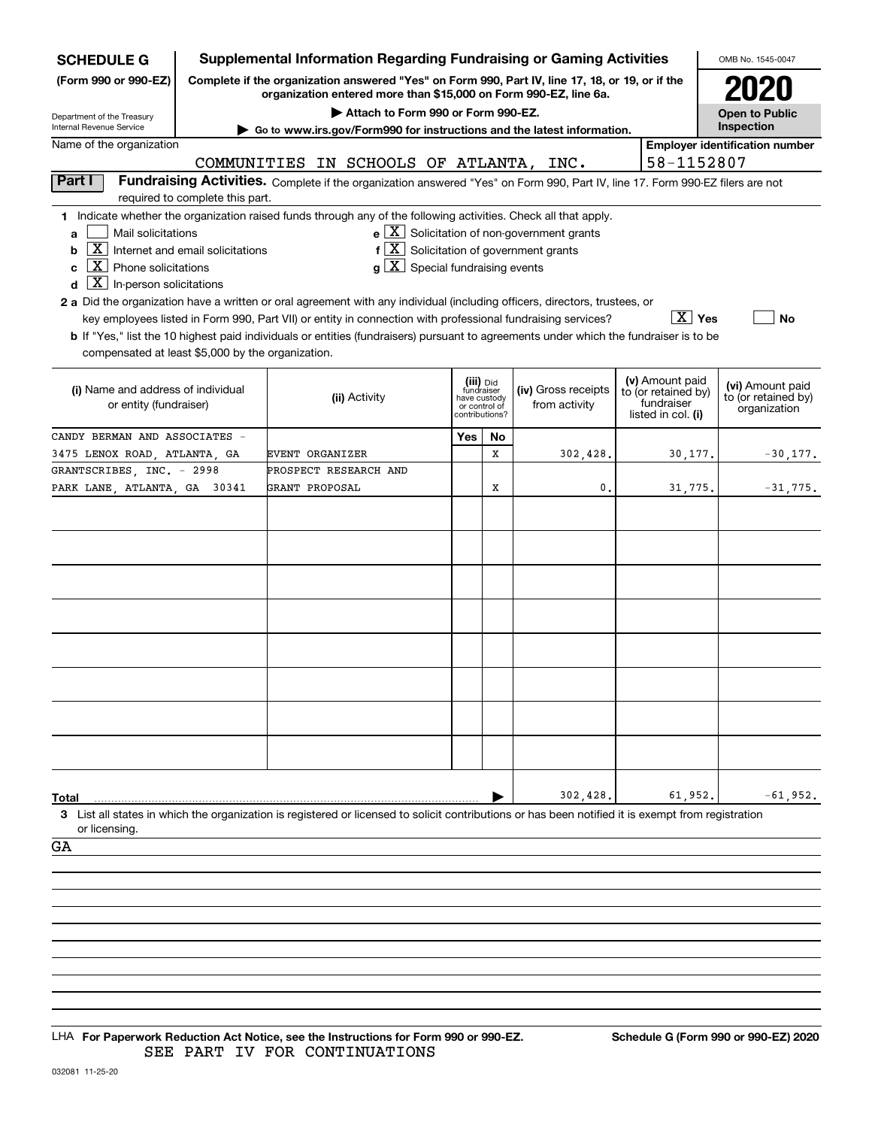| <b>SCHEDULE G</b>                                         |                                  | <b>Supplemental Information Regarding Fundraising or Gaming Activities</b>                                                                                                                                                                |                                         |    |                                                                      |                                  |                                        | OMB No. 1545-0047                                   |
|-----------------------------------------------------------|----------------------------------|-------------------------------------------------------------------------------------------------------------------------------------------------------------------------------------------------------------------------------------------|-----------------------------------------|----|----------------------------------------------------------------------|----------------------------------|----------------------------------------|-----------------------------------------------------|
| (Form 990 or 990-EZ)                                      |                                  | Complete if the organization answered "Yes" on Form 990, Part IV, line 17, 18, or 19, or if the<br>organization entered more than \$15,000 on Form 990-EZ, line 6a.                                                                       |                                         |    |                                                                      |                                  |                                        |                                                     |
| Department of the Treasury                                |                                  | Attach to Form 990 or Form 990-EZ.                                                                                                                                                                                                        |                                         |    |                                                                      |                                  |                                        | <b>Open to Public</b>                               |
| Internal Revenue Service<br>Name of the organization      |                                  | Go to www.irs.gov/Form990 for instructions and the latest information.                                                                                                                                                                    |                                         |    |                                                                      |                                  |                                        | Inspection<br><b>Employer identification number</b> |
|                                                           |                                  | COMMUNITIES IN SCHOOLS OF ATLANTA, INC.                                                                                                                                                                                                   |                                         |    |                                                                      |                                  | 58-1152807                             |                                                     |
| Part I                                                    |                                  | Fundraising Activities. Complete if the organization answered "Yes" on Form 990, Part IV, line 17. Form 990-EZ filers are not                                                                                                             |                                         |    |                                                                      |                                  |                                        |                                                     |
|                                                           | required to complete this part.  |                                                                                                                                                                                                                                           |                                         |    |                                                                      |                                  |                                        |                                                     |
|                                                           |                                  | 1 Indicate whether the organization raised funds through any of the following activities. Check all that apply.                                                                                                                           |                                         |    |                                                                      |                                  |                                        |                                                     |
| Mail solicitations<br>a                                   |                                  |                                                                                                                                                                                                                                           |                                         |    | $\mathbf{e} \times \mathbf{X}$ Solicitation of non-government grants |                                  |                                        |                                                     |
| $\mathbf{X}$<br>b                                         | Internet and email solicitations | $f[X]$ Solicitation of government grants                                                                                                                                                                                                  |                                         |    |                                                                      |                                  |                                        |                                                     |
| ΧI<br>Phone solicitations<br>C                            |                                  | $g\mid X$ Special fundraising events                                                                                                                                                                                                      |                                         |    |                                                                      |                                  |                                        |                                                     |
| $\lfloor \mathbf{X} \rfloor$ In-person solicitations<br>d |                                  |                                                                                                                                                                                                                                           |                                         |    |                                                                      |                                  |                                        |                                                     |
|                                                           |                                  | 2 a Did the organization have a written or oral agreement with any individual (including officers, directors, trustees, or<br>key employees listed in Form 990, Part VII) or entity in connection with professional fundraising services? |                                         |    |                                                                      |                                  | $\boxed{\text{X}}$ Yes                 | <b>No</b>                                           |
|                                                           |                                  | <b>b</b> If "Yes," list the 10 highest paid individuals or entities (fundraisers) pursuant to agreements under which the fundraiser is to be                                                                                              |                                         |    |                                                                      |                                  |                                        |                                                     |
| compensated at least \$5,000 by the organization.         |                                  |                                                                                                                                                                                                                                           |                                         |    |                                                                      |                                  |                                        |                                                     |
|                                                           |                                  |                                                                                                                                                                                                                                           |                                         |    |                                                                      |                                  |                                        |                                                     |
| (i) Name and address of individual                        |                                  | (ii) Activity                                                                                                                                                                                                                             | (iii) Did<br>fundraiser<br>have custody |    | (iv) Gross receipts                                                  |                                  | (v) Amount paid<br>to (or retained by) | (vi) Amount paid<br>to (or retained by)             |
| or entity (fundraiser)                                    |                                  |                                                                                                                                                                                                                                           | or control of<br>contributions?         |    | from activity                                                        | fundraiser<br>listed in col. (i) |                                        | organization                                        |
| CANDY BERMAN AND ASSOCIATES -                             |                                  |                                                                                                                                                                                                                                           | Yes                                     | No |                                                                      |                                  |                                        |                                                     |
| 3475 LENOX ROAD, ATLANTA, GA                              |                                  | EVENT ORGANIZER                                                                                                                                                                                                                           |                                         | X  | 302,428.                                                             |                                  | 30,177.                                | $-30,177.$                                          |
| GRANTSCRIBES, INC. - 2998                                 |                                  | PROSPECT RESEARCH AND                                                                                                                                                                                                                     |                                         |    |                                                                      |                                  |                                        |                                                     |
| PARK LANE, ATLANTA, GA 30341                              |                                  | GRANT PROPOSAL                                                                                                                                                                                                                            |                                         | X  | 0.                                                                   |                                  | 31,775.                                | $-31,775.$                                          |
|                                                           |                                  |                                                                                                                                                                                                                                           |                                         |    |                                                                      |                                  |                                        |                                                     |
|                                                           |                                  |                                                                                                                                                                                                                                           |                                         |    |                                                                      |                                  |                                        |                                                     |
|                                                           |                                  |                                                                                                                                                                                                                                           |                                         |    |                                                                      |                                  |                                        |                                                     |
|                                                           |                                  |                                                                                                                                                                                                                                           |                                         |    |                                                                      |                                  |                                        |                                                     |
|                                                           |                                  |                                                                                                                                                                                                                                           |                                         |    |                                                                      |                                  |                                        |                                                     |
|                                                           |                                  |                                                                                                                                                                                                                                           |                                         |    |                                                                      |                                  |                                        |                                                     |
|                                                           |                                  |                                                                                                                                                                                                                                           |                                         |    |                                                                      |                                  |                                        |                                                     |
|                                                           |                                  |                                                                                                                                                                                                                                           |                                         |    |                                                                      |                                  |                                        |                                                     |
|                                                           |                                  |                                                                                                                                                                                                                                           |                                         |    |                                                                      |                                  |                                        |                                                     |
|                                                           |                                  |                                                                                                                                                                                                                                           |                                         |    |                                                                      |                                  |                                        |                                                     |
|                                                           |                                  |                                                                                                                                                                                                                                           |                                         |    |                                                                      |                                  |                                        |                                                     |
|                                                           |                                  |                                                                                                                                                                                                                                           |                                         |    |                                                                      |                                  |                                        |                                                     |
|                                                           |                                  |                                                                                                                                                                                                                                           |                                         |    |                                                                      |                                  |                                        |                                                     |
|                                                           |                                  |                                                                                                                                                                                                                                           |                                         |    |                                                                      |                                  |                                        |                                                     |
| Total                                                     |                                  |                                                                                                                                                                                                                                           |                                         |    | 302,428                                                              |                                  | 61,952.                                | $-61,952.$                                          |
| or licensing.                                             |                                  | 3 List all states in which the organization is registered or licensed to solicit contributions or has been notified it is exempt from registration                                                                                        |                                         |    |                                                                      |                                  |                                        |                                                     |
| GA                                                        |                                  |                                                                                                                                                                                                                                           |                                         |    |                                                                      |                                  |                                        |                                                     |
|                                                           |                                  |                                                                                                                                                                                                                                           |                                         |    |                                                                      |                                  |                                        |                                                     |
|                                                           |                                  |                                                                                                                                                                                                                                           |                                         |    |                                                                      |                                  |                                        |                                                     |
|                                                           |                                  |                                                                                                                                                                                                                                           |                                         |    |                                                                      |                                  |                                        |                                                     |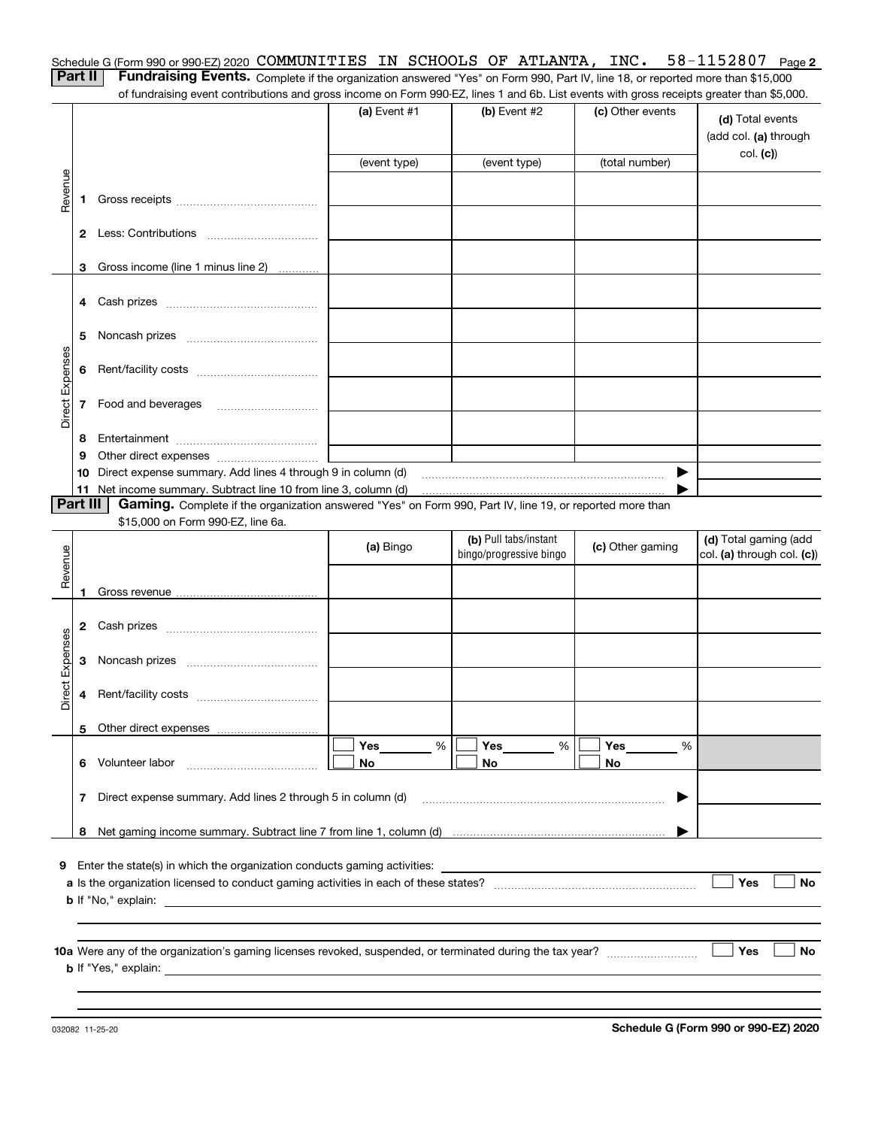| Schedule G (Form 990 or 990-EZ) 2020 COMMUNITIES IN SCHOOLS OF ATLANTA, INC. $58-1152807$ Page 2                                             |  |  |  |  |
|----------------------------------------------------------------------------------------------------------------------------------------------|--|--|--|--|
| <b>Part II</b> Fundraising Events. Complete if the organization answered "Yes" on Form 990, Part IV, line 18, or reported more than \$15,000 |  |  |  |  |

of fundraising event contributions and gross income on Form 990-EZ, lines 1 and 6b. List events with gross receipts greater than \$5,000.

|                 |          | n ianalaong event continuations and gross income on r onn sou EZ, inics i and ob. Elst events with gross receipts greater than \$0,000. |                                          |                         |                  |                                                     |
|-----------------|----------|-----------------------------------------------------------------------------------------------------------------------------------------|------------------------------------------|-------------------------|------------------|-----------------------------------------------------|
|                 |          |                                                                                                                                         | $(a)$ Event #1                           | $(b)$ Event #2          | (c) Other events | (d) Total events<br>(add col. (a) through           |
|                 |          |                                                                                                                                         | (event type)                             | (event type)            | (total number)   | col. (c)                                            |
| Revenue         |          |                                                                                                                                         |                                          |                         |                  |                                                     |
|                 | 1.       |                                                                                                                                         |                                          |                         |                  |                                                     |
|                 |          |                                                                                                                                         |                                          |                         |                  |                                                     |
|                 |          | 3 Gross income (line 1 minus line 2)                                                                                                    |                                          |                         |                  |                                                     |
|                 |          |                                                                                                                                         |                                          |                         |                  |                                                     |
|                 | 5        |                                                                                                                                         |                                          |                         |                  |                                                     |
|                 |          |                                                                                                                                         |                                          |                         |                  |                                                     |
| Direct Expenses |          | 7 Food and beverages                                                                                                                    |                                          |                         |                  |                                                     |
|                 | 8        |                                                                                                                                         | <u> 1980 - Johann Barbara, martxa al</u> |                         |                  |                                                     |
|                 | 9        |                                                                                                                                         |                                          |                         |                  |                                                     |
|                 |          | 10 Direct expense summary. Add lines 4 through 9 in column (d)                                                                          |                                          |                         | ▶                |                                                     |
|                 |          | 11 Net income summary. Subtract line 10 from line 3, column (d)                                                                         |                                          |                         |                  |                                                     |
|                 | Part III | Gaming. Complete if the organization answered "Yes" on Form 990, Part IV, line 19, or reported more than                                |                                          |                         |                  |                                                     |
|                 |          | \$15,000 on Form 990-EZ, line 6a.                                                                                                       |                                          | (b) Pull tabs/instant   |                  |                                                     |
| Revenue         |          |                                                                                                                                         | (a) Bingo                                | bingo/progressive bingo | (c) Other gaming | (d) Total gaming (add<br>col. (a) through col. (c)) |
|                 |          |                                                                                                                                         |                                          |                         |                  |                                                     |
|                 | 1        |                                                                                                                                         |                                          |                         |                  |                                                     |
|                 |          |                                                                                                                                         |                                          |                         |                  |                                                     |
| Direct Expenses |          |                                                                                                                                         |                                          |                         |                  |                                                     |
|                 |          |                                                                                                                                         |                                          |                         |                  |                                                     |
|                 |          |                                                                                                                                         |                                          |                         |                  |                                                     |
|                 |          |                                                                                                                                         |                                          |                         |                  |                                                     |
|                 | 6        | Volunteer labor                                                                                                                         | Yes<br>%<br>No                           | Yes<br>%<br>No          | Yes<br>%<br>No   |                                                     |
|                 | 7        | Direct expense summary. Add lines 2 through 5 in column (d)                                                                             |                                          |                         |                  |                                                     |
|                 | 8        |                                                                                                                                         |                                          |                         |                  |                                                     |
|                 |          |                                                                                                                                         |                                          |                         |                  |                                                     |
|                 |          | <b>9</b> Enter the state(s) in which the organization conducts gaming activities:                                                       |                                          |                         |                  |                                                     |
|                 |          |                                                                                                                                         |                                          |                         |                  | Yes<br>No                                           |
|                 |          | <b>b</b> If "No," explain:                                                                                                              |                                          |                         |                  |                                                     |
|                 |          | <b>b</b> If "Yes," explain:                                                                                                             |                                          |                         |                  | Yes<br>No                                           |
|                 |          |                                                                                                                                         |                                          |                         |                  |                                                     |
|                 |          |                                                                                                                                         |                                          |                         |                  |                                                     |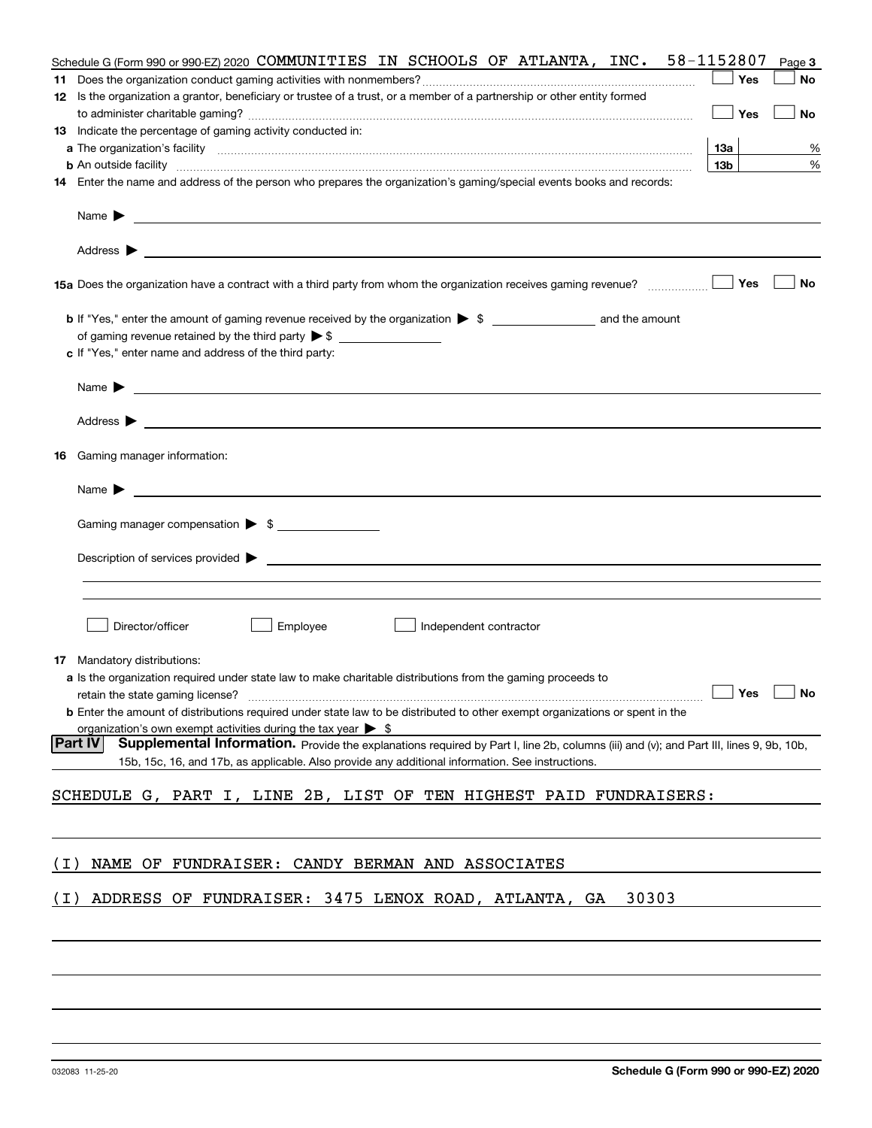|       | Schedule G (Form 990 or 990-EZ) 2020 COMMUNITIES IN SCHOOLS OF ATLANTA, INC.                                                                                                                                                                                                                             | 58-1152807      | Page 3 |
|-------|----------------------------------------------------------------------------------------------------------------------------------------------------------------------------------------------------------------------------------------------------------------------------------------------------------|-----------------|--------|
| 11    |                                                                                                                                                                                                                                                                                                          | Yes             | No     |
|       | 12 Is the organization a grantor, beneficiary or trustee of a trust, or a member of a partnership or other entity formed                                                                                                                                                                                 |                 |        |
|       |                                                                                                                                                                                                                                                                                                          | Yes             | No     |
|       | 13 Indicate the percentage of gaming activity conducted in:                                                                                                                                                                                                                                              |                 |        |
|       |                                                                                                                                                                                                                                                                                                          | 13а             | %      |
|       | <b>b</b> An outside facility <b>contained and the contract of the contract of the contract of the contract of the contract of the contract of the contract of the contract of the contract of the contract of the contract of the con</b>                                                                | 13 <sub>b</sub> | %      |
|       | 14 Enter the name and address of the person who prepares the organization's gaming/special events books and records:                                                                                                                                                                                     |                 |        |
|       | Name $\blacktriangleright$<br>and the control of the control of the control of the control of the control of the control of the control of the<br>Address $\blacktriangleright$<br><u> 1989 - Johann Stoff, deutscher Stoff, der Stoff, der Stoff, der Stoff, der Stoff, der Stoff, der Stoff, der S</u> |                 |        |
|       | 15a Does the organization have a contract with a third party from whom the organization receives gaming revenue?                                                                                                                                                                                         | Yes             | No     |
|       | c If "Yes," enter name and address of the third party:                                                                                                                                                                                                                                                   |                 |        |
|       | Name $\blacktriangleright$                                                                                                                                                                                                                                                                               |                 |        |
|       | Address ><br><u>state and the state of the state of the state of the state of the state of the state of the state of the state of the state of the state of the state of the state of the state of the state of the state of the state of the</u>                                                        |                 |        |
| 16    | Gaming manager information:                                                                                                                                                                                                                                                                              |                 |        |
|       | Name $\blacktriangleright$                                                                                                                                                                                                                                                                               |                 |        |
|       | Gaming manager compensation > \$                                                                                                                                                                                                                                                                         |                 |        |
|       |                                                                                                                                                                                                                                                                                                          |                 |        |
|       | $\blacksquare$ Description of services provided $\blacktriangleright$                                                                                                                                                                                                                                    |                 |        |
|       |                                                                                                                                                                                                                                                                                                          |                 |        |
|       |                                                                                                                                                                                                                                                                                                          |                 |        |
|       | Director/officer<br>Employee<br>Independent contractor                                                                                                                                                                                                                                                   |                 |        |
|       | <b>17</b> Mandatory distributions:                                                                                                                                                                                                                                                                       |                 |        |
|       | <b>a</b> Is the organization required under state law to make charitable distributions from the gaming proceeds to                                                                                                                                                                                       |                 |        |
|       | retain the state gaming license? $\Box$ Yes $\Box$                                                                                                                                                                                                                                                       |                 | No     |
|       | <b>b</b> Enter the amount of distributions required under state law to be distributed to other exempt organizations or spent in the                                                                                                                                                                      |                 |        |
|       | organization's own exempt activities during the tax year $\triangleright$ \$                                                                                                                                                                                                                             |                 |        |
|       | Part IV<br>Supplemental Information. Provide the explanations required by Part I, line 2b, columns (iii) and (v); and Part III, lines 9, 9b, 10b,                                                                                                                                                        |                 |        |
|       | 15b, 15c, 16, and 17b, as applicable. Also provide any additional information. See instructions.                                                                                                                                                                                                         |                 |        |
|       | SCHEDULE G, PART I, LINE 2B, LIST OF TEN HIGHEST PAID FUNDRAISERS:                                                                                                                                                                                                                                       |                 |        |
|       |                                                                                                                                                                                                                                                                                                          |                 |        |
| ( I ) | NAME OF FUNDRAISER: CANDY BERMAN AND ASSOCIATES                                                                                                                                                                                                                                                          |                 |        |
| ( I ) | ADDRESS OF FUNDRAISER: 3475 LENOX ROAD, ATLANTA, GA<br>30303                                                                                                                                                                                                                                             |                 |        |
|       |                                                                                                                                                                                                                                                                                                          |                 |        |
|       |                                                                                                                                                                                                                                                                                                          |                 |        |
|       |                                                                                                                                                                                                                                                                                                          |                 |        |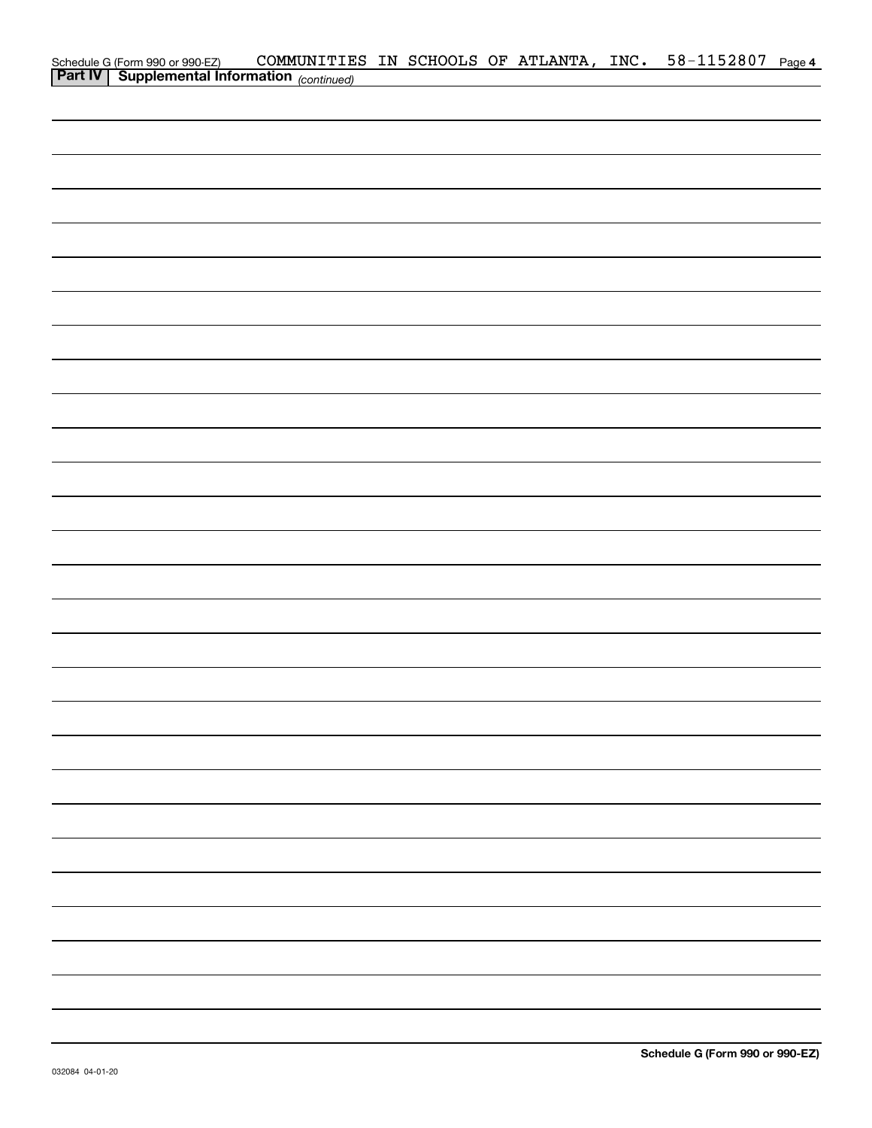| Schedule G (Form 990 or 990-EZ) COMMUNITIE<br><b>Part IV</b> Supplemental Information (continued) | COMMUNITIES IN SCHOOLS OF ATLANTA, INC. 58-1152807 Page 4 |  |  |  |  |
|---------------------------------------------------------------------------------------------------|-----------------------------------------------------------|--|--|--|--|
|                                                                                                   |                                                           |  |  |  |  |
|                                                                                                   |                                                           |  |  |  |  |
|                                                                                                   |                                                           |  |  |  |  |
|                                                                                                   |                                                           |  |  |  |  |
|                                                                                                   |                                                           |  |  |  |  |
|                                                                                                   |                                                           |  |  |  |  |
|                                                                                                   |                                                           |  |  |  |  |
|                                                                                                   |                                                           |  |  |  |  |
|                                                                                                   |                                                           |  |  |  |  |
|                                                                                                   |                                                           |  |  |  |  |
|                                                                                                   |                                                           |  |  |  |  |
|                                                                                                   |                                                           |  |  |  |  |
|                                                                                                   |                                                           |  |  |  |  |
|                                                                                                   |                                                           |  |  |  |  |
|                                                                                                   |                                                           |  |  |  |  |
|                                                                                                   |                                                           |  |  |  |  |
|                                                                                                   |                                                           |  |  |  |  |
|                                                                                                   |                                                           |  |  |  |  |
|                                                                                                   |                                                           |  |  |  |  |
|                                                                                                   |                                                           |  |  |  |  |
|                                                                                                   |                                                           |  |  |  |  |
|                                                                                                   |                                                           |  |  |  |  |
|                                                                                                   |                                                           |  |  |  |  |
|                                                                                                   |                                                           |  |  |  |  |
|                                                                                                   |                                                           |  |  |  |  |
|                                                                                                   |                                                           |  |  |  |  |
|                                                                                                   |                                                           |  |  |  |  |
|                                                                                                   |                                                           |  |  |  |  |
|                                                                                                   |                                                           |  |  |  |  |
|                                                                                                   |                                                           |  |  |  |  |
|                                                                                                   |                                                           |  |  |  |  |
|                                                                                                   |                                                           |  |  |  |  |
|                                                                                                   |                                                           |  |  |  |  |
|                                                                                                   |                                                           |  |  |  |  |
|                                                                                                   |                                                           |  |  |  |  |
|                                                                                                   |                                                           |  |  |  |  |
|                                                                                                   |                                                           |  |  |  |  |
|                                                                                                   |                                                           |  |  |  |  |
|                                                                                                   |                                                           |  |  |  |  |
|                                                                                                   |                                                           |  |  |  |  |
|                                                                                                   |                                                           |  |  |  |  |
|                                                                                                   |                                                           |  |  |  |  |
|                                                                                                   |                                                           |  |  |  |  |
|                                                                                                   |                                                           |  |  |  |  |
|                                                                                                   |                                                           |  |  |  |  |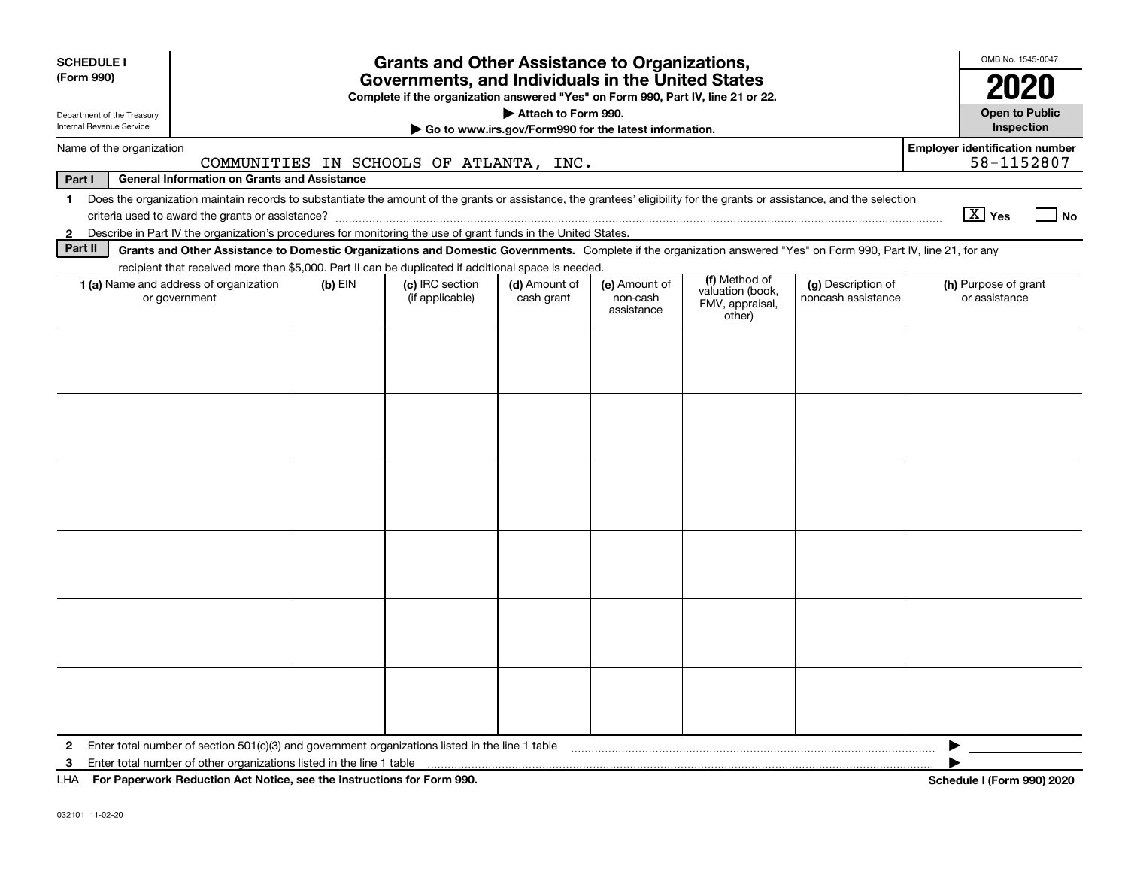| <b>SCHEDULE I</b><br>(Form 990)<br>Department of the Treasury<br>Internal Revenue Service | <b>Grants and Other Assistance to Organizations,</b><br>Governments, and Individuals in the United States<br>Complete if the organization answered "Yes" on Form 990, Part IV, line 21 or 22.<br>Attach to Form 990.<br>Go to www.irs.gov/Form990 for the latest information.             |           |                                         |                             |                                         |                                                                |                                          |                                       |            |  |  |
|-------------------------------------------------------------------------------------------|-------------------------------------------------------------------------------------------------------------------------------------------------------------------------------------------------------------------------------------------------------------------------------------------|-----------|-----------------------------------------|-----------------------------|-----------------------------------------|----------------------------------------------------------------|------------------------------------------|---------------------------------------|------------|--|--|
| Name of the organization                                                                  |                                                                                                                                                                                                                                                                                           |           |                                         |                             |                                         |                                                                |                                          | <b>Employer identification number</b> |            |  |  |
| Part I                                                                                    | <b>General Information on Grants and Assistance</b>                                                                                                                                                                                                                                       |           | COMMUNITIES IN SCHOOLS OF ATLANTA, INC. |                             |                                         |                                                                |                                          |                                       | 58-1152807 |  |  |
| $\mathbf 1$<br>$\mathbf{2}$                                                               | Does the organization maintain records to substantiate the amount of the grants or assistance, the grantees' eligibility for the grants or assistance, and the selection<br>Describe in Part IV the organization's procedures for monitoring the use of grant funds in the United States. |           |                                         |                             |                                         |                                                                |                                          | $\boxed{\text{X}}$ Yes                | ⊿ No       |  |  |
| Part II                                                                                   | Grants and Other Assistance to Domestic Organizations and Domestic Governments. Complete if the organization answered "Yes" on Form 990, Part IV, line 21, for any                                                                                                                        |           |                                         |                             |                                         |                                                                |                                          |                                       |            |  |  |
|                                                                                           | recipient that received more than \$5,000. Part II can be duplicated if additional space is needed.                                                                                                                                                                                       |           |                                         |                             |                                         |                                                                |                                          |                                       |            |  |  |
|                                                                                           | <b>1 (a)</b> Name and address of organization<br>or government                                                                                                                                                                                                                            | $(b)$ EIN | (c) IRC section<br>(if applicable)      | (d) Amount of<br>cash grant | (e) Amount of<br>non-cash<br>assistance | (f) Method of<br>valuation (book,<br>FMV, appraisal,<br>other) | (g) Description of<br>noncash assistance | (h) Purpose of grant<br>or assistance |            |  |  |
|                                                                                           |                                                                                                                                                                                                                                                                                           |           |                                         |                             |                                         |                                                                |                                          |                                       |            |  |  |
|                                                                                           |                                                                                                                                                                                                                                                                                           |           |                                         |                             |                                         |                                                                |                                          |                                       |            |  |  |
|                                                                                           |                                                                                                                                                                                                                                                                                           |           |                                         |                             |                                         |                                                                |                                          |                                       |            |  |  |
|                                                                                           |                                                                                                                                                                                                                                                                                           |           |                                         |                             |                                         |                                                                |                                          |                                       |            |  |  |
|                                                                                           |                                                                                                                                                                                                                                                                                           |           |                                         |                             |                                         |                                                                |                                          |                                       |            |  |  |
| $\mathbf{2}$                                                                              | Enter total number of section $501(c)(3)$ and government organizations listed in the line 1 table                                                                                                                                                                                         |           |                                         |                             |                                         |                                                                |                                          |                                       |            |  |  |
| 3                                                                                         | Enter total number of other organizations listed in the line 1 table                                                                                                                                                                                                                      |           |                                         |                             |                                         |                                                                |                                          |                                       |            |  |  |
|                                                                                           | LHA For Paperwork Reduction Act Notice, see the Instructions for Form 990.                                                                                                                                                                                                                |           |                                         |                             |                                         |                                                                |                                          | Schedule I (Form 990) 2020            |            |  |  |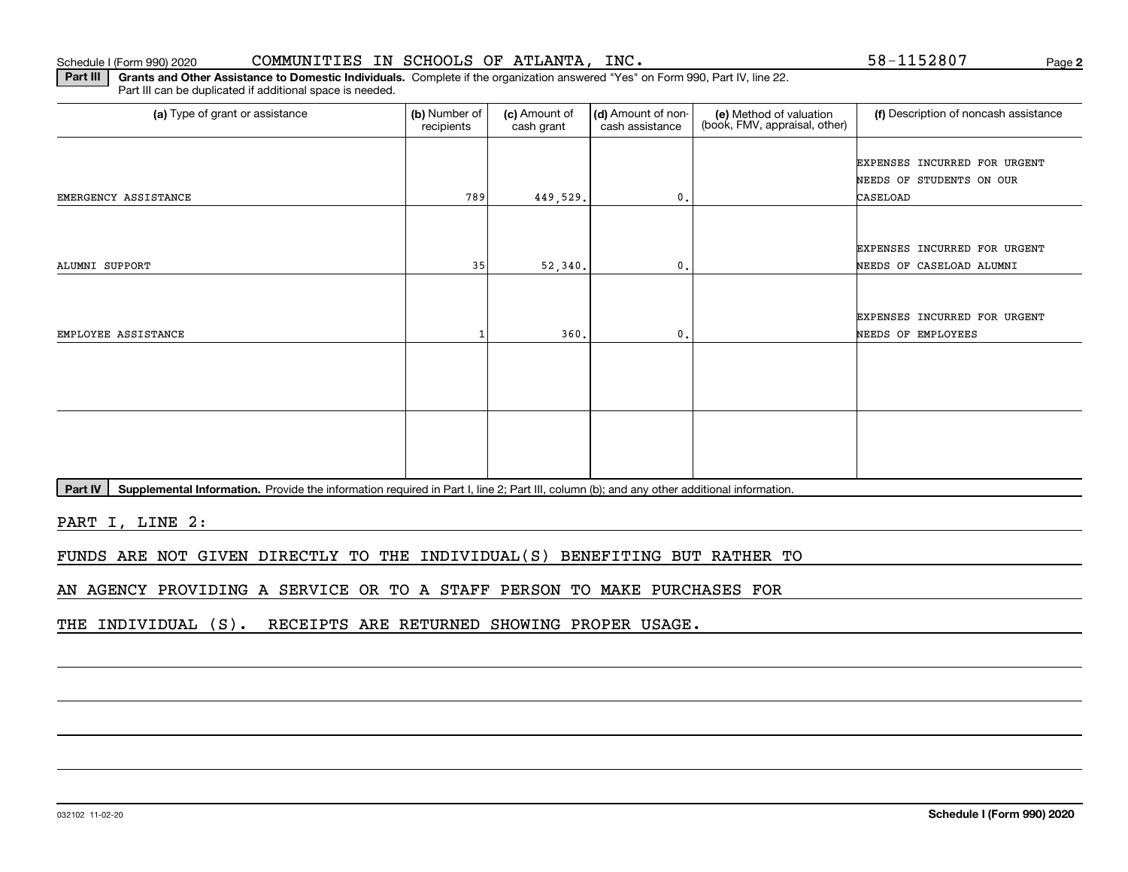**2**

**Part III | Grants and Other Assistance to Domestic Individuals. Complete if the organization answered "Yes" on Form 990, Part IV, line 22.** Part III can be duplicated if additional space is needed.

| (a) Type of grant or assistance | (b) Number of<br>recipients | (c) Amount of<br>cash grant | (d) Amount of non-<br>cash assistance | (e) Method of valuation<br>(book, FMV, appraisal, other) | (f) Description of noncash assistance |
|---------------------------------|-----------------------------|-----------------------------|---------------------------------------|----------------------------------------------------------|---------------------------------------|
|                                 |                             |                             |                                       |                                                          | EXPENSES INCURRED FOR URGENT          |
|                                 |                             |                             |                                       |                                                          | NEEDS OF STUDENTS ON OUR              |
| EMERGENCY ASSISTANCE            | 789                         | 449,529.                    | $\mathbf{0}$ .                        |                                                          | CASELOAD                              |
|                                 |                             |                             |                                       |                                                          |                                       |
|                                 |                             |                             |                                       |                                                          | EXPENSES INCURRED FOR URGENT          |
| ALUMNI SUPPORT                  | 35                          | 52,340.                     | $\mathbf{0}$ .                        |                                                          | NEEDS OF CASELOAD ALUMNI              |
|                                 |                             |                             |                                       |                                                          |                                       |
|                                 |                             |                             |                                       |                                                          | EXPENSES INCURRED FOR URGENT          |
| EMPLOYEE ASSISTANCE             |                             | 360.                        | $\mathbf{0}$ .                        |                                                          | NEEDS OF EMPLOYEES                    |
|                                 |                             |                             |                                       |                                                          |                                       |
|                                 |                             |                             |                                       |                                                          |                                       |
|                                 |                             |                             |                                       |                                                          |                                       |
|                                 |                             |                             |                                       |                                                          |                                       |
|                                 |                             |                             |                                       |                                                          |                                       |
|                                 |                             |                             |                                       |                                                          |                                       |
|                                 |                             |                             |                                       |                                                          |                                       |

Part IV | Supplemental Information. Provide the information required in Part I, line 2; Part III, column (b); and any other additional information.

PART I, LINE 2:

FUNDS ARE NOT GIVEN DIRECTLY TO THE INDIVIDUAL(S) BENEFITING BUT RATHER TO

AN AGENCY PROVIDING A SERVICE OR TO A STAFF PERSON TO MAKE PURCHASES FOR

THE INDIVIDUAL (S). RECEIPTS ARE RETURNED SHOWING PROPER USAGE.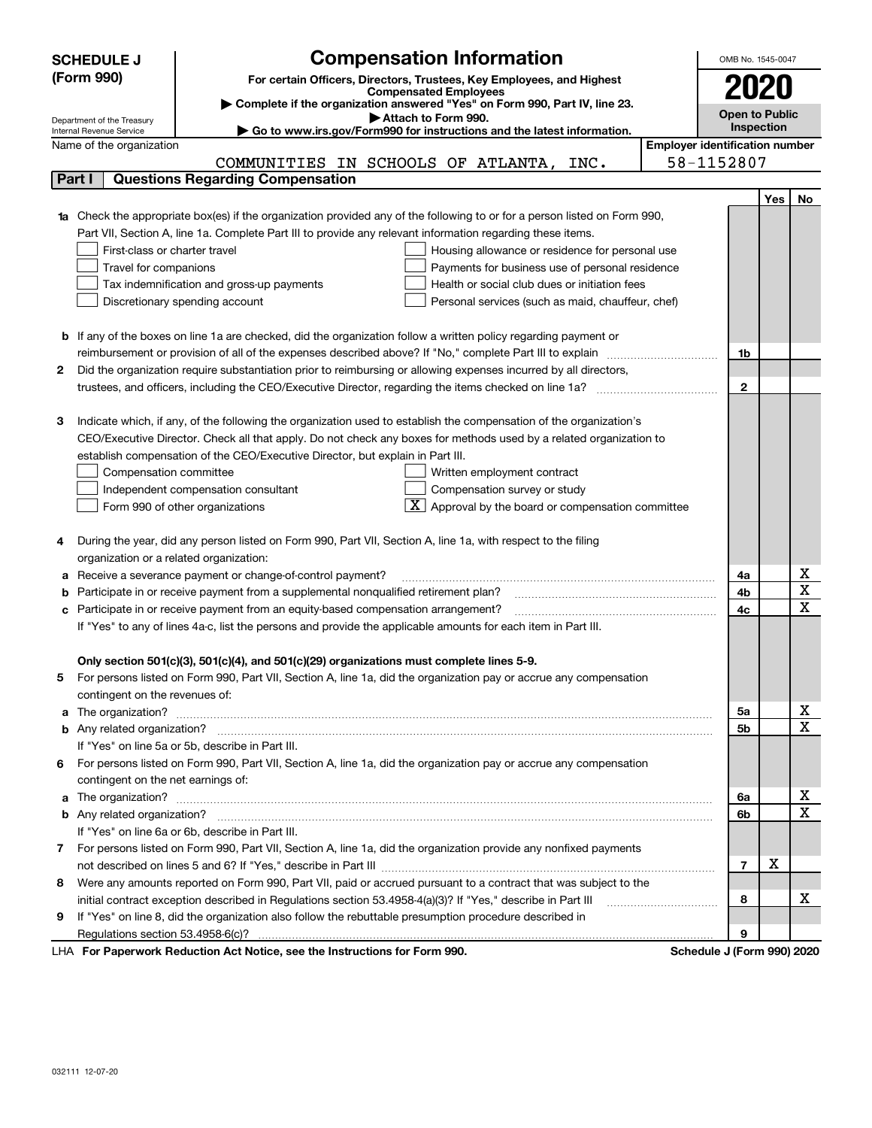|                                                                                  | <b>SCHEDULE J</b>                                      | <b>Compensation Information</b>                                                                                        |  | OMB No. 1545-0047                     |     |             |
|----------------------------------------------------------------------------------|--------------------------------------------------------|------------------------------------------------------------------------------------------------------------------------|--|---------------------------------------|-----|-------------|
|                                                                                  | (Form 990)                                             | For certain Officers, Directors, Trustees, Key Employees, and Highest                                                  |  |                                       |     |             |
|                                                                                  |                                                        | <b>Compensated Employees</b>                                                                                           |  | 2020                                  |     |             |
|                                                                                  |                                                        | Complete if the organization answered "Yes" on Form 990, Part IV, line 23.<br>Attach to Form 990.                      |  | <b>Open to Public</b>                 |     |             |
|                                                                                  | Department of the Treasury<br>Internal Revenue Service | $\blacktriangleright$ Go to www.irs.gov/Form990 for instructions and the latest information.                           |  | <b>Inspection</b>                     |     |             |
|                                                                                  | Name of the organization                               |                                                                                                                        |  | <b>Employer identification number</b> |     |             |
|                                                                                  |                                                        | COMMUNITIES IN SCHOOLS OF ATLANTA,<br>INC.                                                                             |  | 58-1152807                            |     |             |
|                                                                                  | Part I                                                 | <b>Questions Regarding Compensation</b>                                                                                |  |                                       |     |             |
|                                                                                  |                                                        |                                                                                                                        |  |                                       | Yes | No.         |
| 1a                                                                               |                                                        | Check the appropriate box(es) if the organization provided any of the following to or for a person listed on Form 990, |  |                                       |     |             |
|                                                                                  |                                                        | Part VII, Section A, line 1a. Complete Part III to provide any relevant information regarding these items.             |  |                                       |     |             |
| First-class or charter travel<br>Housing allowance or residence for personal use |                                                        |                                                                                                                        |  |                                       |     |             |
|                                                                                  | Travel for companions                                  | Payments for business use of personal residence                                                                        |  |                                       |     |             |
|                                                                                  |                                                        | Health or social club dues or initiation fees<br>Tax indemnification and gross-up payments                             |  |                                       |     |             |
|                                                                                  |                                                        | Discretionary spending account<br>Personal services (such as maid, chauffeur, chef)                                    |  |                                       |     |             |
|                                                                                  |                                                        |                                                                                                                        |  |                                       |     |             |
|                                                                                  |                                                        | <b>b</b> If any of the boxes on line 1a are checked, did the organization follow a written policy regarding payment or |  |                                       |     |             |
|                                                                                  |                                                        |                                                                                                                        |  | 1b                                    |     |             |
| 2                                                                                |                                                        | Did the organization require substantiation prior to reimbursing or allowing expenses incurred by all directors,       |  |                                       |     |             |
|                                                                                  |                                                        |                                                                                                                        |  | $\mathbf{2}$                          |     |             |
|                                                                                  |                                                        |                                                                                                                        |  |                                       |     |             |
| з                                                                                |                                                        | Indicate which, if any, of the following the organization used to establish the compensation of the organization's     |  |                                       |     |             |
|                                                                                  |                                                        | CEO/Executive Director. Check all that apply. Do not check any boxes for methods used by a related organization to     |  |                                       |     |             |
|                                                                                  |                                                        | establish compensation of the CEO/Executive Director, but explain in Part III.                                         |  |                                       |     |             |
|                                                                                  | Compensation committee                                 | Written employment contract                                                                                            |  |                                       |     |             |
|                                                                                  |                                                        | Compensation survey or study<br>Independent compensation consultant                                                    |  |                                       |     |             |
|                                                                                  |                                                        | $\mathbf{X}$ Approval by the board or compensation committee<br>Form 990 of other organizations                        |  |                                       |     |             |
| 4                                                                                |                                                        | During the year, did any person listed on Form 990, Part VII, Section A, line 1a, with respect to the filing           |  |                                       |     |             |
|                                                                                  | organization or a related organization:                |                                                                                                                        |  |                                       |     |             |
| а                                                                                |                                                        | Receive a severance payment or change-of-control payment?                                                              |  | 4a                                    |     | х           |
| b                                                                                |                                                        | Participate in or receive payment from a supplemental nonqualified retirement plan?                                    |  | 4b                                    |     | X           |
| c                                                                                |                                                        | Participate in or receive payment from an equity-based compensation arrangement?                                       |  | 4c                                    |     | $\mathbf X$ |
|                                                                                  |                                                        | If "Yes" to any of lines 4a-c, list the persons and provide the applicable amounts for each item in Part III.          |  |                                       |     |             |
|                                                                                  |                                                        |                                                                                                                        |  |                                       |     |             |
|                                                                                  |                                                        | Only section 501(c)(3), 501(c)(4), and 501(c)(29) organizations must complete lines 5-9.                               |  |                                       |     |             |
|                                                                                  |                                                        | For persons listed on Form 990, Part VII, Section A, line 1a, did the organization pay or accrue any compensation      |  |                                       |     |             |
|                                                                                  | contingent on the revenues of:                         |                                                                                                                        |  |                                       |     |             |
| a                                                                                |                                                        |                                                                                                                        |  | 5a                                    |     | х           |
|                                                                                  |                                                        |                                                                                                                        |  | 5 <sub>b</sub>                        |     | $\mathbf x$ |
|                                                                                  |                                                        | If "Yes" on line 5a or 5b, describe in Part III.                                                                       |  |                                       |     |             |
| 6                                                                                |                                                        | For persons listed on Form 990, Part VII, Section A, line 1a, did the organization pay or accrue any compensation      |  |                                       |     |             |
|                                                                                  | contingent on the net earnings of:                     |                                                                                                                        |  |                                       |     |             |
| a                                                                                |                                                        |                                                                                                                        |  | 6a                                    |     | х           |
|                                                                                  |                                                        |                                                                                                                        |  | 6b                                    |     | $\mathbf X$ |
|                                                                                  |                                                        | If "Yes" on line 6a or 6b, describe in Part III.                                                                       |  |                                       |     |             |
| 7.                                                                               |                                                        | For persons listed on Form 990, Part VII, Section A, line 1a, did the organization provide any nonfixed payments       |  |                                       |     |             |
|                                                                                  |                                                        |                                                                                                                        |  | $\overline{7}$                        | X   |             |
| 8                                                                                |                                                        | Were any amounts reported on Form 990, Part VII, paid or accrued pursuant to a contract that was subject to the        |  |                                       |     |             |
|                                                                                  |                                                        | initial contract exception described in Regulations section 53.4958-4(a)(3)? If "Yes," describe in Part III            |  | 8                                     |     | х           |
| 9                                                                                |                                                        | If "Yes" on line 8, did the organization also follow the rebuttable presumption procedure described in                 |  |                                       |     |             |
|                                                                                  |                                                        |                                                                                                                        |  | 9                                     |     |             |

LHA For Paperwork Reduction Act Notice, see the Instructions for Form 990. Schedule J (Form 990) 2020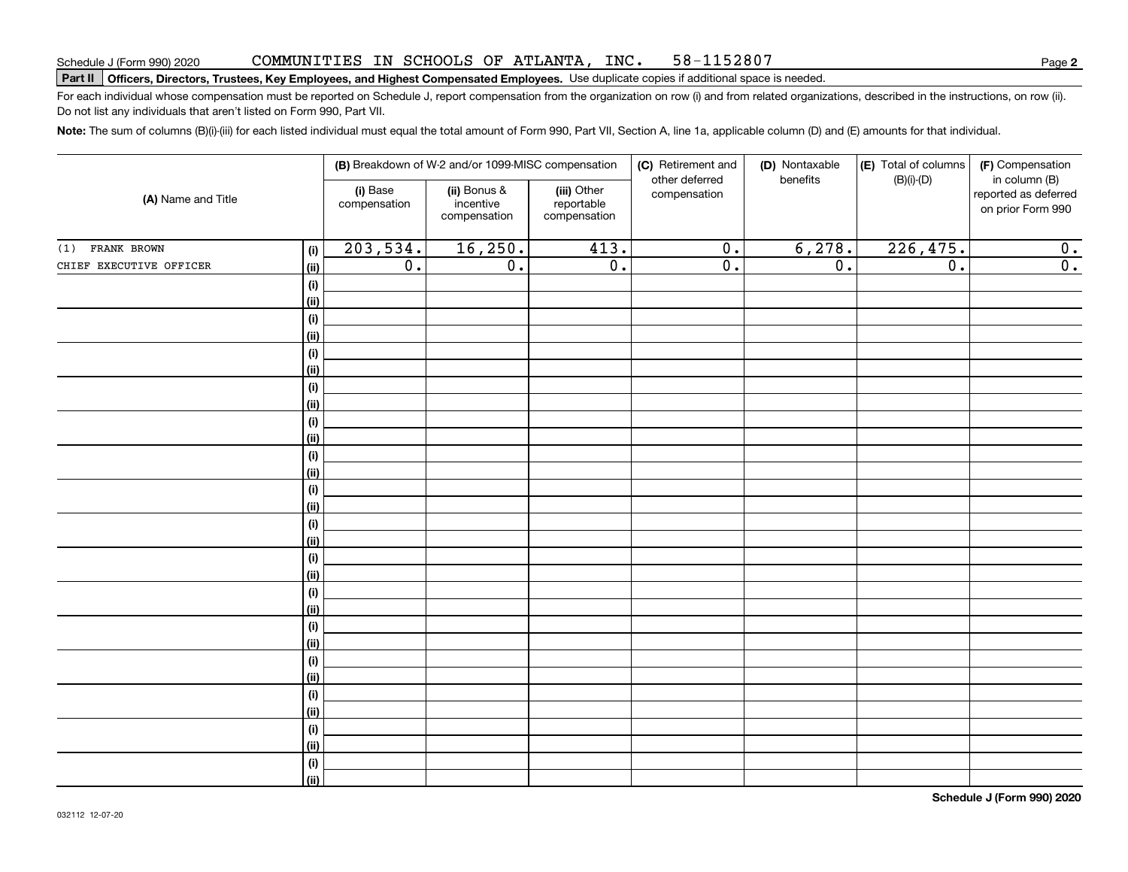#### COMMUNITIES IN SCHOOLS OF ATLANTA, INC. 58-1152807

# **Part II Officers, Directors, Trustees, Key Employees, and Highest Compensated Employees.**  Schedule J (Form 990) 2020 Page Use duplicate copies if additional space is needed.

For each individual whose compensation must be reported on Schedule J, report compensation from the organization on row (i) and from related organizations, described in the instructions, on row (ii). Do not list any individuals that aren't listed on Form 990, Part VII.

**Note:**  The sum of columns (B)(i)-(iii) for each listed individual must equal the total amount of Form 990, Part VII, Section A, line 1a, applicable column (D) and (E) amounts for that individual.

| (A) Name and Title      |                              |                          | (B) Breakdown of W-2 and/or 1099-MISC compensation |                                           | (C) Retirement and<br>other deferred | (D) Nontaxable<br>benefits | (E) Total of columns | (F) Compensation<br>in column (B)         |
|-------------------------|------------------------------|--------------------------|----------------------------------------------------|-------------------------------------------|--------------------------------------|----------------------------|----------------------|-------------------------------------------|
|                         |                              | (i) Base<br>compensation | (ii) Bonus &<br>incentive<br>compensation          | (iii) Other<br>reportable<br>compensation | compensation                         |                            | $(B)(i)$ - $(D)$     | reported as deferred<br>on prior Form 990 |
| (1) FRANK BROWN         | (i)                          | 203,534.                 | 16, 250.                                           | 413.                                      | $\overline{0}$ .                     | 6,278.                     | 226,475.             | $\mathbf 0$ .                             |
| CHIEF EXECUTIVE OFFICER | (ii)                         | $\overline{0}$ .         | $\overline{0}$ .                                   | $\overline{0}$ .                          | $\overline{0}$ .                     | $\overline{0}$ .           | $\overline{0}$ .     | $\overline{\mathbf{0}}$ .                 |
|                         | $\qquad \qquad \textbf{(i)}$ |                          |                                                    |                                           |                                      |                            |                      |                                           |
|                         | (ii)                         |                          |                                                    |                                           |                                      |                            |                      |                                           |
|                         | (i)                          |                          |                                                    |                                           |                                      |                            |                      |                                           |
|                         | (ii)                         |                          |                                                    |                                           |                                      |                            |                      |                                           |
|                         | (i)                          |                          |                                                    |                                           |                                      |                            |                      |                                           |
|                         | (ii)                         |                          |                                                    |                                           |                                      |                            |                      |                                           |
|                         | (i)                          |                          |                                                    |                                           |                                      |                            |                      |                                           |
|                         | (ii)                         |                          |                                                    |                                           |                                      |                            |                      |                                           |
|                         | (i)                          |                          |                                                    |                                           |                                      |                            |                      |                                           |
|                         | (ii)                         |                          |                                                    |                                           |                                      |                            |                      |                                           |
|                         | (i)                          |                          |                                                    |                                           |                                      |                            |                      |                                           |
|                         | (ii)                         |                          |                                                    |                                           |                                      |                            |                      |                                           |
|                         | (i)                          |                          |                                                    |                                           |                                      |                            |                      |                                           |
|                         | (ii)                         |                          |                                                    |                                           |                                      |                            |                      |                                           |
|                         | (i)<br>(ii)                  |                          |                                                    |                                           |                                      |                            |                      |                                           |
|                         | (i)                          |                          |                                                    |                                           |                                      |                            |                      |                                           |
|                         | (ii)                         |                          |                                                    |                                           |                                      |                            |                      |                                           |
|                         | (i)                          |                          |                                                    |                                           |                                      |                            |                      |                                           |
|                         | (ii)                         |                          |                                                    |                                           |                                      |                            |                      |                                           |
|                         | (i)                          |                          |                                                    |                                           |                                      |                            |                      |                                           |
|                         | (ii)                         |                          |                                                    |                                           |                                      |                            |                      |                                           |
|                         | (i)                          |                          |                                                    |                                           |                                      |                            |                      |                                           |
|                         | (ii)                         |                          |                                                    |                                           |                                      |                            |                      |                                           |
|                         | (i)                          |                          |                                                    |                                           |                                      |                            |                      |                                           |
|                         | (ii)                         |                          |                                                    |                                           |                                      |                            |                      |                                           |
|                         | (i)                          |                          |                                                    |                                           |                                      |                            |                      |                                           |
|                         | (ii)                         |                          |                                                    |                                           |                                      |                            |                      |                                           |
|                         | (i)                          |                          |                                                    |                                           |                                      |                            |                      |                                           |
|                         | (ii)                         |                          |                                                    |                                           |                                      |                            |                      |                                           |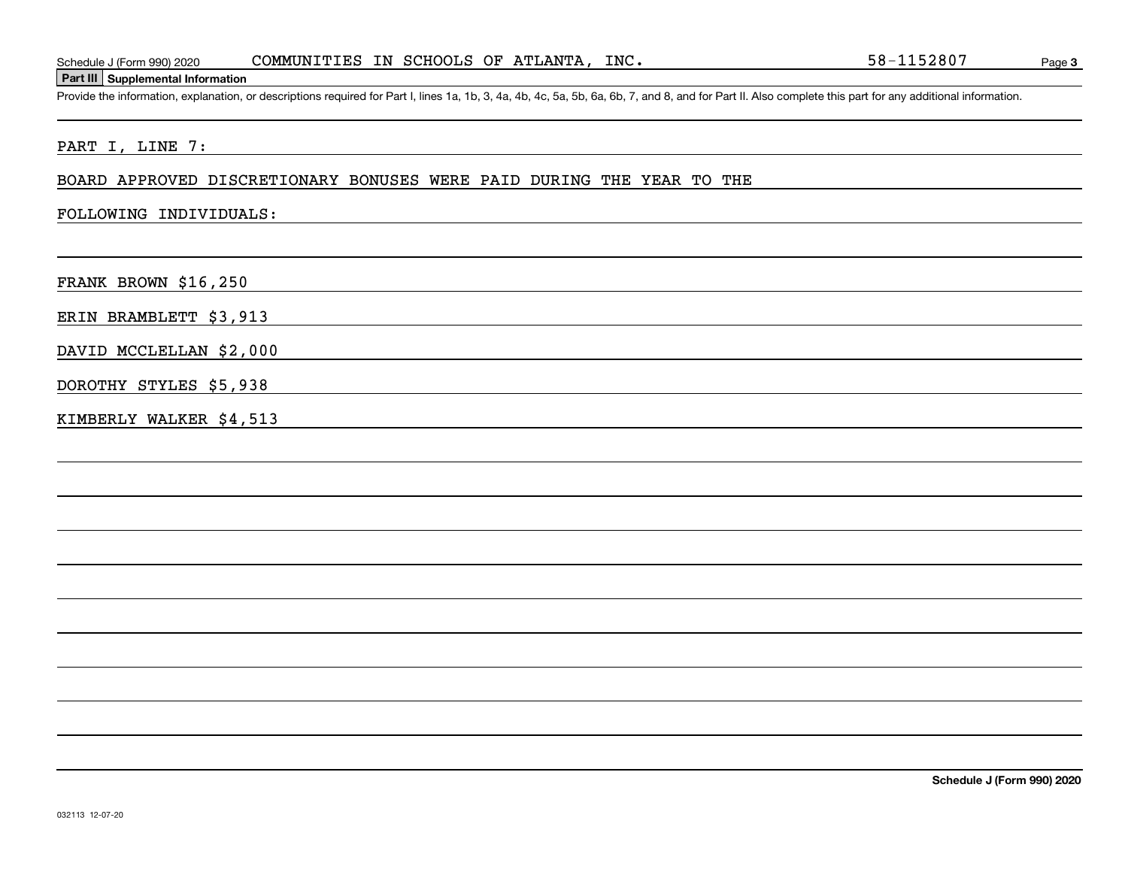## **Part III Supplemental Information**

Schedule J (Form 990) 2020 COMMUNITIES IN SCHOOLS OF ATLANTA, INC. 58-1152807<br>Part III Supplemental Information<br>Provide the information, explanation, or descriptions required for Part I, lines 1a, 1b, 3, 4a, 4b, 4c, 5a, 5b

## PART I, LINE 7:

#### BOARD APPROVED DISCRETIONARY BONUSES WERE PAID DURING THE YEAR TO THE

### FOLLOWING INDIVIDUALS:

FRANK BROWN \$16,250

ERIN BRAMBLETT \$3,913

DAVID MCCLELLAN \$2,000

DOROTHY STYLES \$5,938

KIMBERLY WALKER \$4,513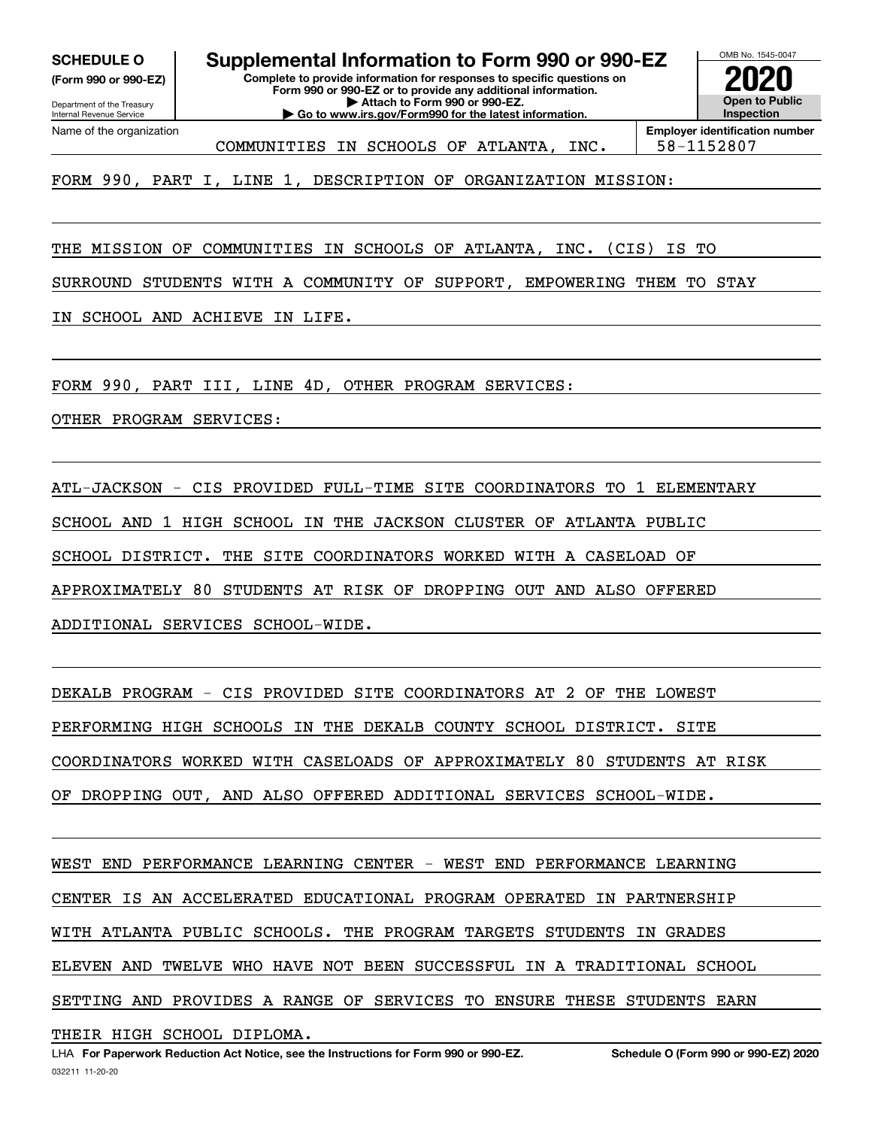**(Form 990 or 990-EZ)**

Department of the Treasury Internal Revenue Service Name of the organization

**Complete to provide information for responses to specific questions on Form 990 or 990-EZ or to provide any additional information. | Attach to Form 990 or 990-EZ. | Go to www.irs.gov/Form990 for the latest information. SCHEDULE O Supplemental Information to Form 990 or 990-EZ**



**Employer identification number** COMMUNITIES IN SCHOOLS OF ATLANTA, INC. 58-1152807

FORM 990, PART I, LINE 1, DESCRIPTION OF ORGANIZATION MISSION:

THE MISSION OF COMMUNITIES IN SCHOOLS OF ATLANTA, INC. (CIS) IS TO

SURROUND STUDENTS WITH A COMMUNITY OF SUPPORT, EMPOWERING THEM TO STAY

IN SCHOOL AND ACHIEVE IN LIFE.

FORM 990, PART III, LINE 4D, OTHER PROGRAM SERVICES:

OTHER PROGRAM SERVICES:

ATL-JACKSON - CIS PROVIDED FULL-TIME SITE COORDINATORS TO 1 ELEMENTARY SCHOOL AND 1 HIGH SCHOOL IN THE JACKSON CLUSTER OF ATLANTA PUBLIC SCHOOL DISTRICT. THE SITE COORDINATORS WORKED WITH A CASELOAD OF APPROXIMATELY 80 STUDENTS AT RISK OF DROPPING OUT AND ALSO OFFERED ADDITIONAL SERVICES SCHOOL-WIDE.

DEKALB PROGRAM - CIS PROVIDED SITE COORDINATORS AT 2 OF THE LOWEST PERFORMING HIGH SCHOOLS IN THE DEKALB COUNTY SCHOOL DISTRICT. SITE COORDINATORS WORKED WITH CASELOADS OF APPROXIMATELY 80 STUDENTS AT RISK OF DROPPING OUT, AND ALSO OFFERED ADDITIONAL SERVICES SCHOOL-WIDE.

WEST END PERFORMANCE LEARNING CENTER - WEST END PERFORMANCE LEARNING CENTER IS AN ACCELERATED EDUCATIONAL PROGRAM OPERATED IN PARTNERSHIP WITH ATLANTA PUBLIC SCHOOLS. THE PROGRAM TARGETS STUDENTS IN GRADES ELEVEN AND TWELVE WHO HAVE NOT BEEN SUCCESSFUL IN A TRADITIONAL SCHOOL SETTING AND PROVIDES A RANGE OF SERVICES TO ENSURE THESE STUDENTS EARN

THEIR HIGH SCHOOL DIPLOMA.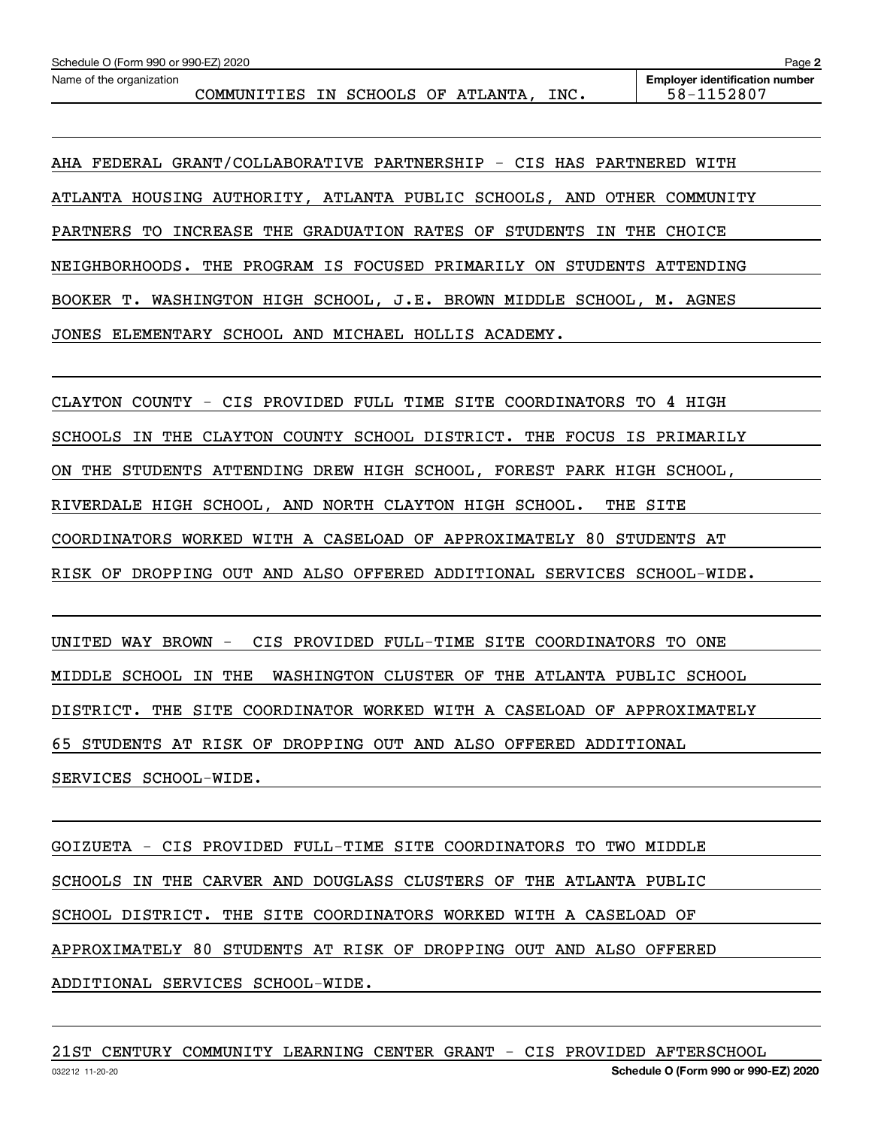AHA FEDERAL GRANT/COLLABORATIVE PARTNERSHIP - CIS HAS PARTNERED WITH ATLANTA HOUSING AUTHORITY, ATLANTA PUBLIC SCHOOLS, AND OTHER COMMUNITY PARTNERS TO INCREASE THE GRADUATION RATES OF STUDENTS IN THE CHOICE NEIGHBORHOODS. THE PROGRAM IS FOCUSED PRIMARILY ON STUDENTS ATTENDING BOOKER T. WASHINGTON HIGH SCHOOL, J.E. BROWN MIDDLE SCHOOL, M. AGNES JONES ELEMENTARY SCHOOL AND MICHAEL HOLLIS ACADEMY.

CLAYTON COUNTY - CIS PROVIDED FULL TIME SITE COORDINATORS TO 4 HIGH SCHOOLS IN THE CLAYTON COUNTY SCHOOL DISTRICT. THE FOCUS IS PRIMARILY ON THE STUDENTS ATTENDING DREW HIGH SCHOOL, FOREST PARK HIGH SCHOOL, RIVERDALE HIGH SCHOOL, AND NORTH CLAYTON HIGH SCHOOL. THE SITE COORDINATORS WORKED WITH A CASELOAD OF APPROXIMATELY 80 STUDENTS AT RISK OF DROPPING OUT AND ALSO OFFERED ADDITIONAL SERVICES SCHOOL-WIDE.

UNITED WAY BROWN - CIS PROVIDED FULL-TIME SITE COORDINATORS TO ONE MIDDLE SCHOOL IN THE WASHINGTON CLUSTER OF THE ATLANTA PUBLIC SCHOOL DISTRICT. THE SITE COORDINATOR WORKED WITH A CASELOAD OF APPROXIMATELY 65 STUDENTS AT RISK OF DROPPING OUT AND ALSO OFFERED ADDITIONAL SERVICES SCHOOL-WIDE.

GOIZUETA - CIS PROVIDED FULL-TIME SITE COORDINATORS TO TWO MIDDLE SCHOOLS IN THE CARVER AND DOUGLASS CLUSTERS OF THE ATLANTA PUBLIC SCHOOL DISTRICT. THE SITE COORDINATORS WORKED WITH A CASELOAD OF APPROXIMATELY 80 STUDENTS AT RISK OF DROPPING OUT AND ALSO OFFERED ADDITIONAL SERVICES SCHOOL-WIDE.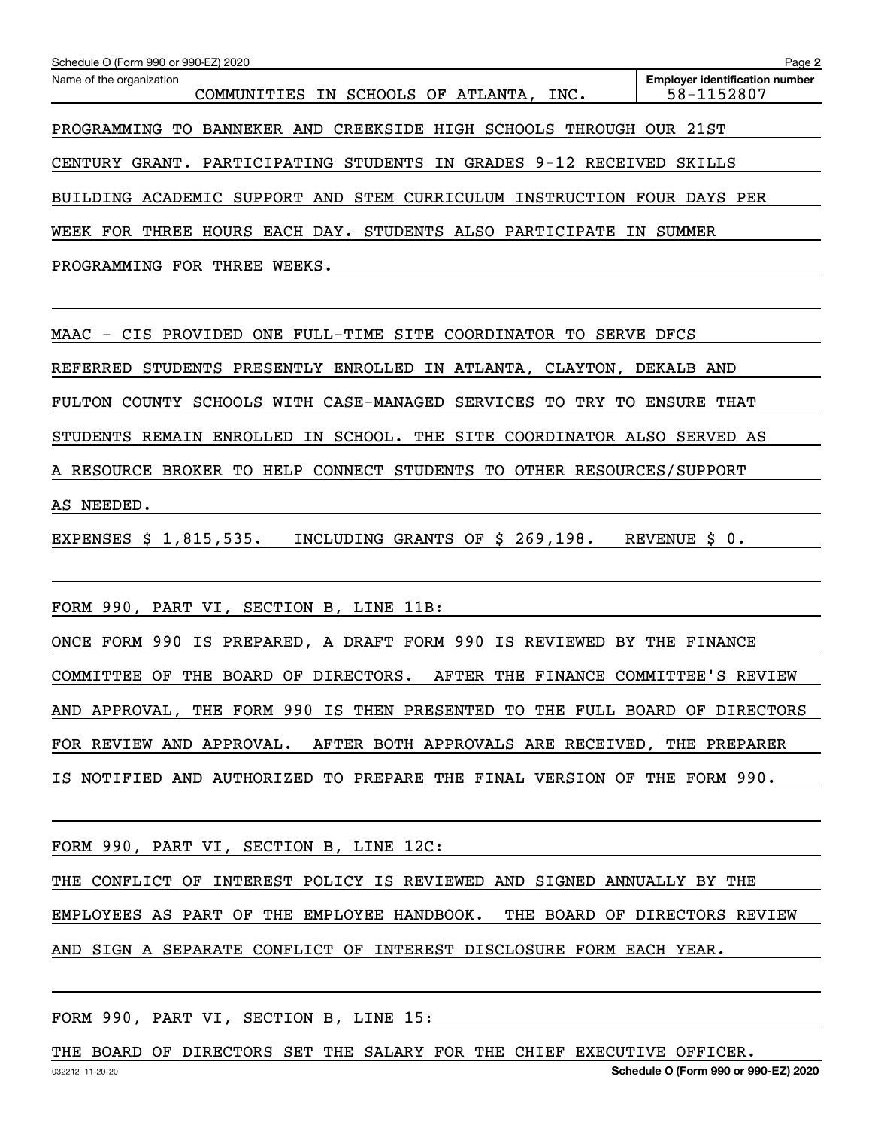| Schedule O (Form 990 or 990-EZ) 2020                                         | Page 2                                              |
|------------------------------------------------------------------------------|-----------------------------------------------------|
| Name of the organization<br>COMMUNITIES IN SCHOOLS OF ATLANTA, INC.          | <b>Employer identification number</b><br>58-1152807 |
| PROGRAMMING TO BANNEKER AND CREEKSIDE HIGH SCHOOLS THROUGH OUR 21ST          |                                                     |
| CENTURY GRANT. PARTICIPATING STUDENTS IN GRADES 9-12 RECEIVED SKILLS         |                                                     |
| BUILDING ACADEMIC SUPPORT AND STEM CURRICULUM INSTRUCTION FOUR DAYS PER      |                                                     |
| WEEK FOR THREE HOURS EACH DAY. STUDENTS ALSO PARTICIPATE IN SUMMER           |                                                     |
| PROGRAMMING FOR THREE WEEKS.                                                 |                                                     |
|                                                                              |                                                     |
| MAAC - CIS PROVIDED ONE FULL-TIME SITE COORDINATOR TO SERVE DFCS             |                                                     |
| REFERRED STUDENTS PRESENTLY ENROLLED IN ATLANTA, CLAYTON, DEKALB AND         |                                                     |
| FULTON COUNTY SCHOOLS WITH CASE-MANAGED SERVICES TO TRY TO ENSURE THAT       |                                                     |
| STUDENTS REMAIN ENROLLED IN SCHOOL. THE SITE COORDINATOR ALSO SERVED AS      |                                                     |
| A RESOURCE BROKER TO HELP CONNECT STUDENTS TO OTHER RESOURCES/SUPPORT        |                                                     |
| AS NEEDED.                                                                   |                                                     |
| EXPENSES \$ 1,815,535.<br>INCLUDING GRANTS OF \$ 269,198.                    | REVENUE S 0.                                        |
|                                                                              |                                                     |
| FORM 990, PART VI, SECTION B, LINE 11B:                                      |                                                     |
| ONCE FORM 990 IS PREPARED, A DRAFT FORM 990 IS REVIEWED BY THE FINANCE       |                                                     |
| AFTER THE FINANCE COMMITTEE'S REVIEW<br>COMMITTEE OF THE BOARD OF DIRECTORS. |                                                     |
| AND APPROVAL, THE FORM 990 IS THEN PRESENTED TO THE FULL BOARD OF DIRECTORS  |                                                     |
| FOR REVIEW AND APPROVAL.<br>AFTER BOTH APPROVALS ARE RECEIVED, THE PREPARER  |                                                     |
| IS NOTIFIED AND AUTHORIZED TO PREPARE THE FINAL VERSION OF THE FORM 990.     |                                                     |

FORM 990, PART VI, SECTION B, LINE 12C:

THE CONFLICT OF INTEREST POLICY IS REVIEWED AND SIGNED ANNUALLY BY THE

EMPLOYEES AS PART OF THE EMPLOYEE HANDBOOK. THE BOARD OF DIRECTORS REVIEW

AND SIGN A SEPARATE CONFLICT OF INTEREST DISCLOSURE FORM EACH YEAR.

FORM 990, PART VI, SECTION B, LINE 15:

THE BOARD OF DIRECTORS SET THE SALARY FOR THE CHIEF EXECUTIVE OFFICER.